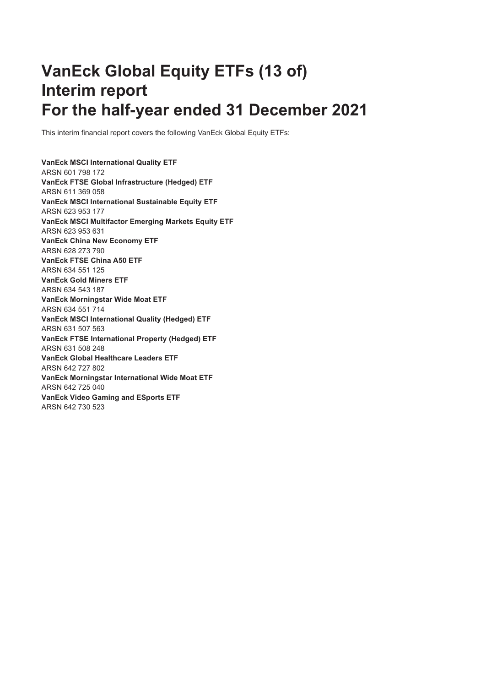# **VanEck Global Equity ETFs (13 of) Interim report For the half-year ended 31 December 2021**

This interim financial report covers the following VanEck Global Equity ETFs:

**VanEck MSCI International Quality ETF** ARSN 601 798 172 **VanEck FTSE Global Infrastructure (Hedged) ETF** ARSN 611 369 058 **VanEck MSCI International Sustainable Equity ETF** ARSN 623 953 177 **VanEck MSCI Multifactor Emerging Markets Equity ETF** ARSN 623 953 631 **VanEck China New Economy ETF** ARSN 628 273 790 **VanEck FTSE China A50 ETF** ARSN 634 551 125 **VanEck Gold Miners ETF** ARSN 634 543 187 **VanEck Morningstar Wide Moat ETF** ARSN 634 551 714 **VanEck MSCI International Quality (Hedged) ETF** ARSN 631 507 563 **VanEck FTSE International Property (Hedged) ETF** ARSN 631 508 248 **VanEck Global Healthcare Leaders ETF** ARSN 642 727 802 **VanEck Morningstar International Wide Moat ETF** ARSN 642 725 040 **VanEck Video Gaming and ESports ETF** ARSN 642 730 523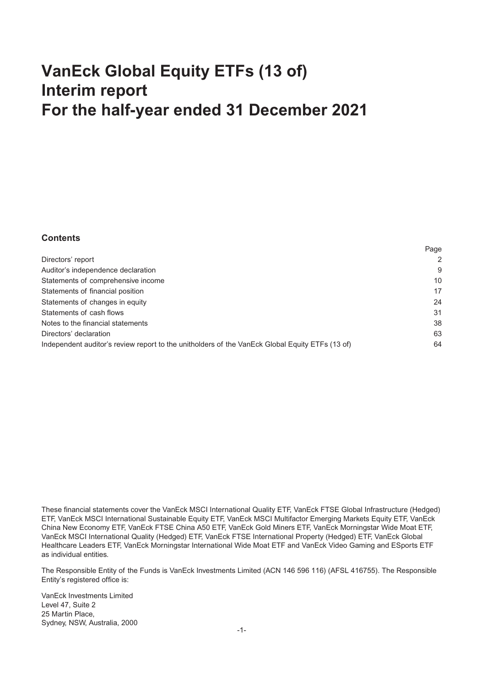# **VanEck Global Equity ETFs (13 of) Interim report For the half-year ended 31 December 2021**

### **Contents**

|                                                                                                 | Page          |
|-------------------------------------------------------------------------------------------------|---------------|
| Directors' report                                                                               | $\mathcal{P}$ |
| Auditor's independence declaration                                                              | 9             |
| Statements of comprehensive income                                                              | 10            |
| Statements of financial position                                                                | 17            |
| Statements of changes in equity                                                                 | 24            |
| Statements of cash flows                                                                        | 31            |
| Notes to the financial statements                                                               | 38            |
| Directors' declaration                                                                          | 63            |
| Independent auditor's review report to the unitholders of the VanEck Global Equity ETFs (13 of) | 64            |

These financial statements cover the VanEck MSCI International Quality ETF, VanEck FTSE Global Infrastructure (Hedged) ETF, VanEck MSCI International Sustainable Equity ETF, VanEck MSCI Multifactor Emerging Markets Equity ETF, VanEck China New Economy ETF, VanEck FTSE China A50 ETF, VanEck Gold Miners ETF, VanEck Morningstar Wide Moat ETF, VanEck MSCI International Quality (Hedged) ETF, VanEck FTSE International Property (Hedged) ETF, VanEck Global Healthcare Leaders ETF, VanEck Morningstar International Wide Moat ETF and VanEck Video Gaming and ESports ETF as individual entities.

The Responsible Entity of the Funds is VanEck Investments Limited (ACN 146 596 116) (AFSL 416755). The Responsible Entity's registered office is:

VanEck Investments Limited Level 47, Suite 2 25 Martin Place, Sydney, NSW, Australia, 2000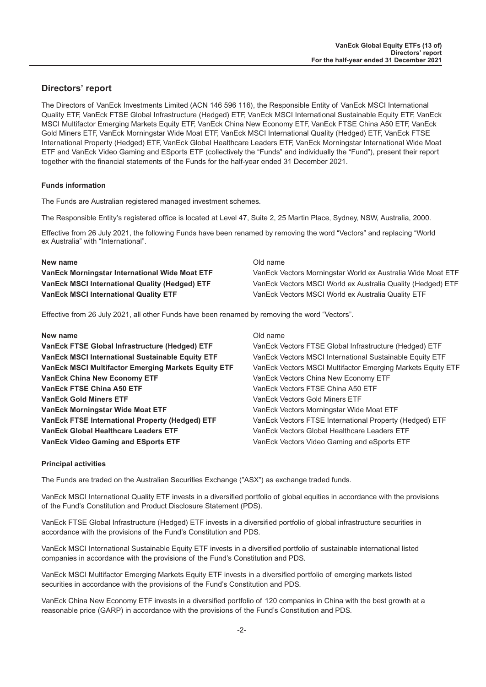### <span id="page-2-0"></span>**Directors' report**

The Directors of VanEck Investments Limited (ACN 146 596 116), the Responsible Entity of VanEck MSCI International Quality ETF, VanEck FTSE Global Infrastructure (Hedged) ETF, VanEck MSCI International Sustainable Equity ETF, VanEck MSCI Multifactor Emerging Markets Equity ETF, VanEck China New Economy ETF, VanEck FTSE China A50 ETF, VanEck Gold Miners ETF, VanEck Morningstar Wide Moat ETF, VanEck MSCI International Quality (Hedged) ETF, VanEck FTSE International Property (Hedged) ETF, VanEck Global Healthcare Leaders ETF, VanEck Morningstar International Wide Moat ETF and VanEck Video Gaming and ESports ETF (collectively the "Funds" and individually the "Fund"), present their report together with the financial statements of the Funds for the half-year ended 31 December 2021.

#### **Funds information**

The Funds are Australian registered managed investment schemes.

The Responsible Entity's registered office is located at Level 47, Suite 2, 25 Martin Place, Sydney, NSW, Australia, 2000.

Effective from 26 July 2021, the following Funds have been renamed by removing the word "Vectors" and replacing "World ex Australia" with "International".

#### **New name** Old name

**VanEck Morningstar International Wide Moat ETF** VanEck Vectors Morningstar World ex Australia Wide Moat ETF **VanEck MSCI International Quality (Hedged) ETF** VanEck Vectors MSCI World ex Australia Quality (Hedged) ETF **VanEck MSCI International Quality ETF** VanEck Vectors MSCI World ex Australia Quality ETF

Effective from 26 July 2021, all other Funds have been renamed by removing the word "Vectors".

#### **New name** Old name

**VanEck China New Economy ETF** VanEck Vectors China New Economy ETF **VanEck FTSE China A50 ETF** The China Control of VanEck Vectors FTSE China A50 ETF **VanEck Gold Miners ETF** VanEck Vectors Gold Miners ETF **VanEck Morningstar Wide Moat ETF** VanEck Vectors Morningstar Wide Moat ETF **VanEck Global Healthcare Leaders ETF** VanEck Vectors Global Healthcare Leaders ETF **VanEck Video Gaming and ESports ETF** VanEck Vectors Video Gaming and eSports ETF

**VanEck FTSE Global Infrastructure (Hedged) ETF** VanEck Vectors FTSE Global Infrastructure (Hedged) ETF **VanEck MSCI International Sustainable Equity ETF** VanEck Vectors MSCI International Sustainable Equity ETF **VanEck MSCI Multifactor Emerging Markets Equity ETF** VanEck Vectors MSCI Multifactor Emerging Markets Equity ETF **VanEck FTSE International Property (Hedged) ETF** VanEck Vectors FTSE International Property (Hedged) ETF

#### **Principal activities**

The Funds are traded on the Australian Securities Exchange ("ASX") as exchange traded funds.

VanEck MSCI International Quality ETF invests in a diversified portfolio of global equities in accordance with the provisions of the Fund's Constitution and Product Disclosure Statement (PDS).

VanEck FTSE Global Infrastructure (Hedged) ETF invests in a diversified portfolio of global infrastructure securities in accordance with the provisions of the Fund's Constitution and PDS.

VanEck MSCI International Sustainable Equity ETF invests in a diversified portfolio of sustainable international listed companies in accordance with the provisions of the Fund's Constitution and PDS.

VanEck MSCI Multifactor Emerging Markets Equity ETF invests in a diversified portfolio of emerging markets listed securities in accordance with the provisions of the Fund's Constitution and PDS.

VanEck China New Economy ETF invests in a diversified portfolio of 120 companies in China with the best growth at a reasonable price (GARP) in accordance with the provisions of the Fund's Constitution and PDS.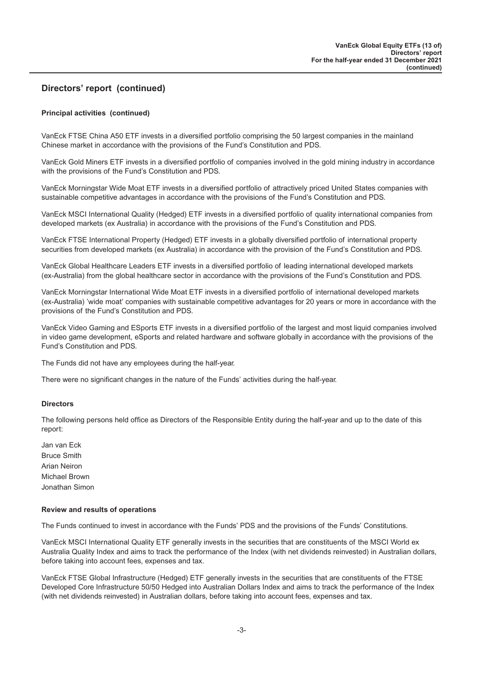#### **Principal activities (continued)**

VanEck FTSE China A50 ETF invests in a diversified portfolio comprising the 50 largest companies in the mainland Chinese market in accordance with the provisions of the Fund's Constitution and PDS.

VanEck Gold Miners ETF invests in a diversified portfolio of companies involved in the gold mining industry in accordance with the provisions of the Fund's Constitution and PDS.

VanEck Morningstar Wide Moat ETF invests in a diversified portfolio of attractively priced United States companies with sustainable competitive advantages in accordance with the provisions of the Fund's Constitution and PDS.

VanEck MSCI International Quality (Hedged) ETF invests in a diversified portfolio of quality international companies from developed markets (ex Australia) in accordance with the provisions of the Fund's Constitution and PDS.

VanEck FTSE International Property (Hedged) ETF invests in a globally diversified portfolio of international property securities from developed markets (ex Australia) in accordance with the provision of the Fund's Constitution and PDS.

VanEck Global Healthcare Leaders ETF invests in a diversified portfolio of leading international developed markets (ex-Australia) from the global healthcare sector in accordance with the provisions of the Fund's Constitution and PDS.

VanEck Morningstar International Wide Moat ETF invests in a diversified portfolio of international developed markets (ex-Australia) 'wide moat' companies with sustainable competitive advantages for 20 years or more in accordance with the provisions of the Fund's Constitution and PDS.

VanEck Video Gaming and ESports ETF invests in a diversified portfolio of the largest and most liquid companies involved in video game development, eSports and related hardware and software globally in accordance with the provisions of the Fund's Constitution and PDS.

The Funds did not have any employees during the half-year.

There were no significant changes in the nature of the Funds' activities during the half-year.

#### **Directors**

The following persons held office as Directors of the Responsible Entity during the half-year and up to the date of this report:

Jan van Eck Bruce Smith Arian Neiron Michael Brown Jonathan Simon

#### **Review and results of operations**

The Funds continued to invest in accordance with the Funds' PDS and the provisions of the Funds' Constitutions.

VanEck MSCI International Quality ETF generally invests in the securities that are constituents of the MSCI World ex Australia Quality Index and aims to track the performance of the Index (with net dividends reinvested) in Australian dollars, before taking into account fees, expenses and tax.

VanEck FTSE Global Infrastructure (Hedged) ETF generally invests in the securities that are constituents of the FTSE Developed Core Infrastructure 50/50 Hedged into Australian Dollars Index and aims to track the performance of the Index (with net dividends reinvested) in Australian dollars, before taking into account fees, expenses and tax.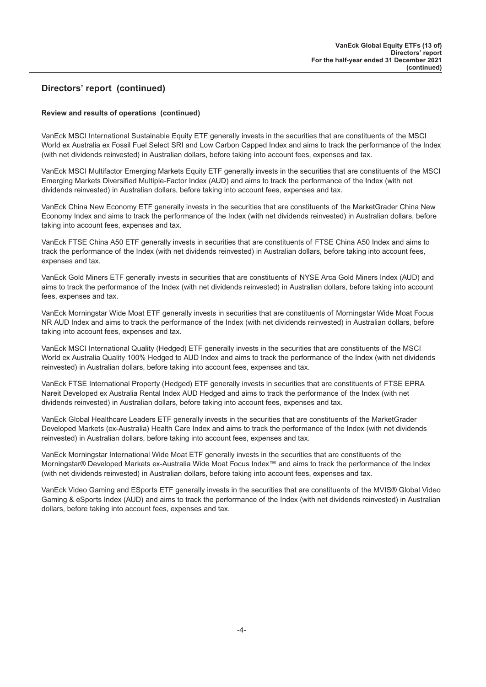#### **Review and results of operations (continued)**

VanEck MSCI International Sustainable Equity ETF generally invests in the securities that are constituents of the MSCI World ex Australia ex Fossil Fuel Select SRI and Low Carbon Capped Index and aims to track the performance of the Index (with net dividends reinvested) in Australian dollars, before taking into account fees, expenses and tax.

VanEck MSCI Multifactor Emerging Markets Equity ETF generally invests in the securities that are constituents of the MSCI Emerging Markets Diversified Multiple-Factor Index (AUD) and aims to track the performance of the Index (with net dividends reinvested) in Australian dollars, before taking into account fees, expenses and tax.

VanEck China New Economy ETF generally invests in the securities that are constituents of the MarketGrader China New Economy Index and aims to track the performance of the Index (with net dividends reinvested) in Australian dollars, before taking into account fees, expenses and tax.

VanEck FTSE China A50 ETF generally invests in securities that are constituents of FTSE China A50 Index and aims to track the performance of the Index (with net dividends reinvested) in Australian dollars, before taking into account fees, expenses and tax.

VanEck Gold Miners ETF generally invests in securities that are constituents of NYSE Arca Gold Miners Index (AUD) and aims to track the performance of the Index (with net dividends reinvested) in Australian dollars, before taking into account fees, expenses and tax.

VanEck Morningstar Wide Moat ETF generally invests in securities that are constituents of Morningstar Wide Moat Focus NR AUD Index and aims to track the performance of the Index (with net dividends reinvested) in Australian dollars, before taking into account fees, expenses and tax.

VanEck MSCI International Quality (Hedged) ETF generally invests in the securities that are constituents of the MSCI World ex Australia Quality 100% Hedged to AUD Index and aims to track the performance of the Index (with net dividends reinvested) in Australian dollars, before taking into account fees, expenses and tax.

VanEck FTSE International Property (Hedged) ETF generally invests in securities that are constituents of FTSE EPRA Nareit Developed ex Australia Rental Index AUD Hedged and aims to track the performance of the Index (with net dividends reinvested) in Australian dollars, before taking into account fees, expenses and tax.

VanEck Global Healthcare Leaders ETF generally invests in the securities that are constituents of the MarketGrader Developed Markets (ex-Australia) Health Care Index and aims to track the performance of the Index (with net dividends reinvested) in Australian dollars, before taking into account fees, expenses and tax.

VanEck Morningstar International Wide Moat ETF generally invests in the securities that are constituents of the Morningstar® Developed Markets ex-Australia Wide Moat Focus Index™ and aims to track the performance of the Index (with net dividends reinvested) in Australian dollars, before taking into account fees, expenses and tax.

VanEck Video Gaming and ESports ETF generally invests in the securities that are constituents of the MVIS® Global Video Gaming & eSports Index (AUD) and aims to track the performance of the Index (with net dividends reinvested) in Australian dollars, before taking into account fees, expenses and tax.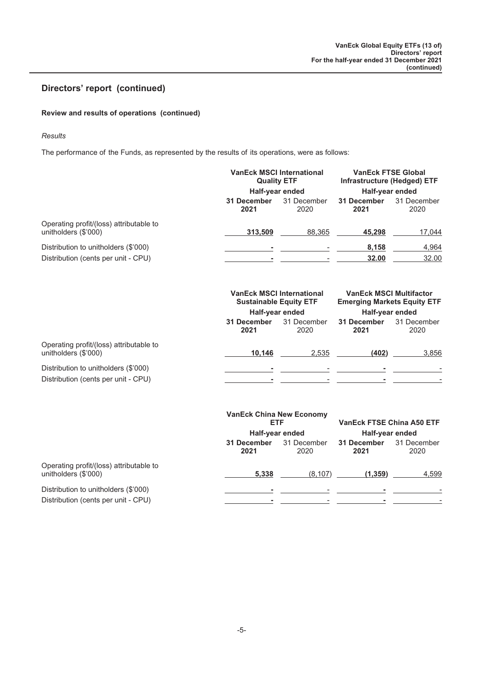#### **Review and results of operations (continued)**

#### *Results*

The performance of the Funds, as represented by the results of its operations, were as follows:

|                                                                 | <b>VanEck MSCI International</b><br><b>Quality ETF</b><br>Half-year ended |                     | <b>VanEck FTSE Global</b><br>Infrastructure (Hedged) ETF<br>Half-year ended |                     |
|-----------------------------------------------------------------|---------------------------------------------------------------------------|---------------------|-----------------------------------------------------------------------------|---------------------|
|                                                                 |                                                                           |                     |                                                                             |                     |
|                                                                 | 31 December<br>2021                                                       | 31 December<br>2020 | 31 December<br>2021                                                         | 31 December<br>2020 |
| Operating profit/(loss) attributable to<br>unitholders (\$'000) | 313.509                                                                   | 88.365              | 45.298                                                                      | 17,044              |
| Distribution to unitholders (\$'000)                            |                                                                           |                     | 8,158                                                                       | 4,964               |
| Distribution (cents per unit - CPU)                             |                                                                           |                     | 32.00                                                                       | 32.00               |

|                                                                             | <b>VanEck MSCI International</b><br><b>Sustainable Equity ETF</b> |                     | <b>VanEck MSCI Multifactor</b><br><b>Emerging Markets Equity ETF</b> |                     |  |
|-----------------------------------------------------------------------------|-------------------------------------------------------------------|---------------------|----------------------------------------------------------------------|---------------------|--|
|                                                                             | Half-year ended                                                   |                     | Half-year ended                                                      |                     |  |
|                                                                             | 31 December<br>2021                                               | 31 December<br>2020 | 31 December<br>2021                                                  | 31 December<br>2020 |  |
| Operating profit/(loss) attributable to<br>unitholders (\$'000)             | 10.146                                                            | 2.535               | (402)                                                                | 3,856               |  |
| Distribution to unitholders (\$'000)<br>Distribution (cents per unit - CPU) |                                                                   |                     |                                                                      |                     |  |

|                                                                 | <b>VanEck China New Economy</b><br>ETF |                     | <b>VanEck FTSE China A50 ETF</b> |                     |
|-----------------------------------------------------------------|----------------------------------------|---------------------|----------------------------------|---------------------|
|                                                                 | Half-year ended                        |                     | Half-year ended                  |                     |
|                                                                 | 31 December<br>2021                    | 31 December<br>2020 | 31 December<br>2021              | 31 December<br>2020 |
| Operating profit/(loss) attributable to<br>unitholders (\$'000) | 5,338                                  | (8, 107)            | (1, 359)                         | 4,599               |
| Distribution to unitholders (\$'000)                            |                                        |                     |                                  |                     |
| Distribution (cents per unit - CPU)                             |                                        |                     |                                  |                     |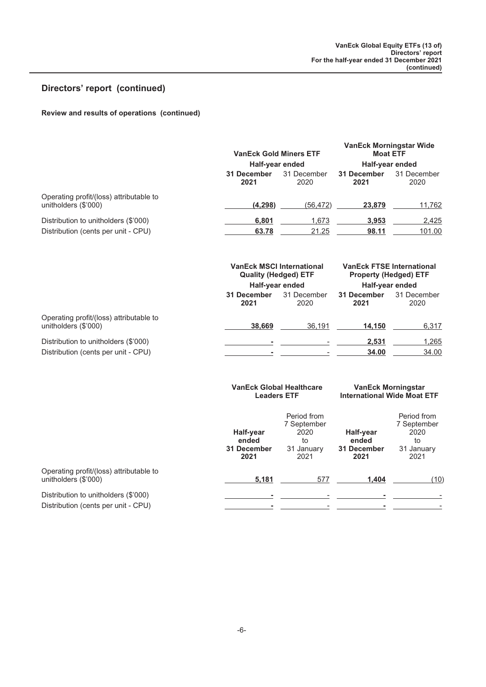### **Review and results of operations (continued)**

|                                                                             | <b>VanEck Gold Miners ETF</b> |                     | <b>VanEck Morningstar Wide</b><br><b>Moat ETF</b> |                     |
|-----------------------------------------------------------------------------|-------------------------------|---------------------|---------------------------------------------------|---------------------|
|                                                                             | Half-year ended               |                     | Half-year ended                                   |                     |
|                                                                             | 31 December<br>2021           | 31 December<br>2020 | 31 December<br>2021                               | 31 December<br>2020 |
| Operating profit/(loss) attributable to<br>unitholders (\$'000)             | (4,298)                       | (56,472)            | 23,879                                            | 11,762              |
| Distribution to unitholders (\$'000)<br>Distribution (cents per unit - CPU) | 6.801<br>63.78                | 1,673<br>21.25      | 3.953<br>98.11                                    | 2,425<br>101.00     |

|                                                                 | <b>VanEck MSCI International</b><br><b>Quality (Hedged) ETF</b> |                     | <b>VanEck FTSE International</b><br><b>Property (Hedged) ETF</b> |                     |  |
|-----------------------------------------------------------------|-----------------------------------------------------------------|---------------------|------------------------------------------------------------------|---------------------|--|
|                                                                 | Half-year ended                                                 |                     | Half-year ended                                                  |                     |  |
|                                                                 | 31 December<br>2021                                             | 31 December<br>2020 | 31 December<br>2021                                              | 31 December<br>2020 |  |
| Operating profit/(loss) attributable to<br>unitholders (\$'000) | 38.669                                                          | 36.191              | 14.150                                                           | 6,317               |  |
| Distribution to unitholders (\$'000)                            |                                                                 |                     | 2,531                                                            | 1,265               |  |
| Distribution (cents per unit - CPU)                             |                                                                 |                     | 34.00                                                            | 34.00               |  |

|                                                                             | <b>VanEck Global Healthcare</b><br><b>Leaders ETF</b> |                                                                | <b>VanEck Morningstar</b><br><b>International Wide Moat ETF</b> |                                                                |
|-----------------------------------------------------------------------------|-------------------------------------------------------|----------------------------------------------------------------|-----------------------------------------------------------------|----------------------------------------------------------------|
|                                                                             | Half-year<br>ended<br>31 December<br>2021             | Period from<br>7 September<br>2020<br>to<br>31 January<br>2021 | Half-year<br>ended<br>31 December<br>2021                       | Period from<br>7 September<br>2020<br>to<br>31 January<br>2021 |
| Operating profit/(loss) attributable to<br>unitholders (\$'000)             | 5,181                                                 | 577                                                            | 1,404                                                           | (10)                                                           |
| Distribution to unitholders (\$'000)<br>Distribution (cents per unit - CPU) |                                                       |                                                                |                                                                 |                                                                |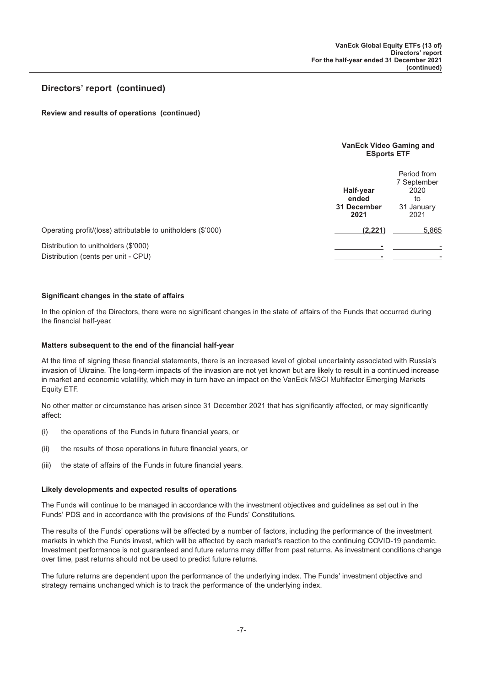#### **Review and results of operations (continued)**

#### **VanEck Video Gaming and ESports ETF**

|                                                                             | Half-year<br>ended<br>31 December<br>2021 | Period from<br>7 September<br>2020<br>to<br>31 January<br>2021 |
|-----------------------------------------------------------------------------|-------------------------------------------|----------------------------------------------------------------|
| Operating profit/(loss) attributable to unitholders (\$'000)                | (2, 221)                                  | 5,865                                                          |
| Distribution to unitholders (\$'000)<br>Distribution (cents per unit - CPU) |                                           |                                                                |

#### **Significant changes in the state of affairs**

In the opinion of the Directors, there were no significant changes in the state of affairs of the Funds that occurred during the financial half-year.

#### **Matters subsequent to the end of the financial half-year**

At the time of signing these financial statements, there is an increased level of global uncertainty associated with Russia's invasion of Ukraine. The long-term impacts of the invasion are not yet known but are likely to result in a continued increase in market and economic volatility, which may in turn have an impact on the VanEck MSCI Multifactor Emerging Markets Equity ETF.

No other matter or circumstance has arisen since 31 December 2021 that has significantly affected, or may significantly affect:

- (i) the operations of the Funds in future financial years, or
- (ii) the results of those operations in future financial years, or
- (iii) the state of affairs of the Funds in future financial years.

#### **Likely developments and expected results of operations**

The Funds will continue to be managed in accordance with the investment objectives and guidelines as set out in the Funds' PDS and in accordance with the provisions of the Funds' Constitutions.

The results of the Funds' operations will be affected by a number of factors, including the performance of the investment markets in which the Funds invest, which will be affected by each market's reaction to the continuing COVID-19 pandemic. Investment performance is not guaranteed and future returns may differ from past returns. As investment conditions change over time, past returns should not be used to predict future returns.

The future returns are dependent upon the performance of the underlying index. The Funds' investment objective and strategy remains unchanged which is to track the performance of the underlying index.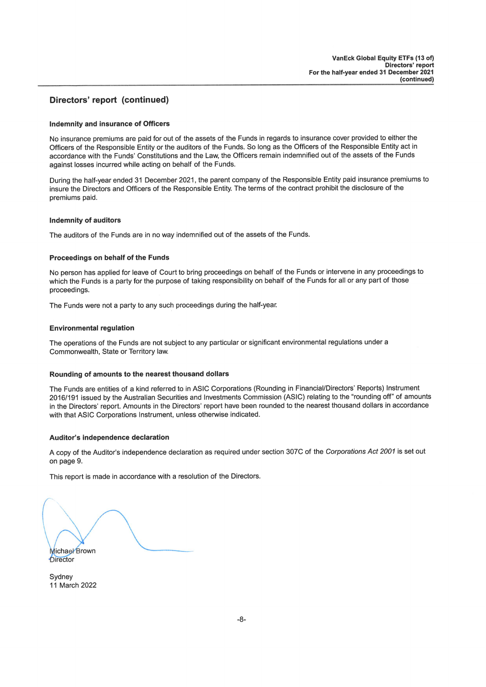#### Indemnity and insurance of Officers

No insurance premiums are paid for out of the assets of the Funds in regards to insurance cover provided to either the Officers of the Responsible Entity or the auditors of the Funds. So long as the Officers of the Responsible Entity act in accordance with the Funds' Constitutions and the Law, the Officers remain indemnified out of the assets of the Funds against losses incurred while acting on behalf of the Funds.

During the half-year ended 31 December 2021, the parent company of the Responsible Entity paid insurance premiums to insure the Directors and Officers of the Responsible Entity. The terms of the contract prohibit the disclosure of the premiums paid.

#### **Indemnity of auditors**

The auditors of the Funds are in no way indemnified out of the assets of the Funds.

#### Proceedings on behalf of the Funds

No person has applied for leave of Court to bring proceedings on behalf of the Funds or intervene in any proceedings to which the Funds is a party for the purpose of taking responsibility on behalf of the Funds for all or any part of those proceedings.

The Funds were not a party to any such proceedings during the half-year.

#### **Environmental regulation**

The operations of the Funds are not subject to any particular or significant environmental regulations under a Commonwealth, State or Territory law.

#### Rounding of amounts to the nearest thousand dollars

The Funds are entities of a kind referred to in ASIC Corporations (Rounding in Financial/Directors' Reports) Instrument 2016/191 issued by the Australian Securities and Investments Commission (ASIC) relating to the "rounding off" of amounts in the Directors' report. Amounts in the Directors' report have been rounded to the nearest thousand dollars in accordance with that ASIC Corporations Instrument, unless otherwise indicated.

#### Auditor's independence declaration

A copy of the Auditor's independence declaration as required under section 307C of the Corporations Act 2001 is set out on page 9.

This report is made in accordance with a resolution of the Directors.

**Michael Brown** Director

Sydney 11 March 2022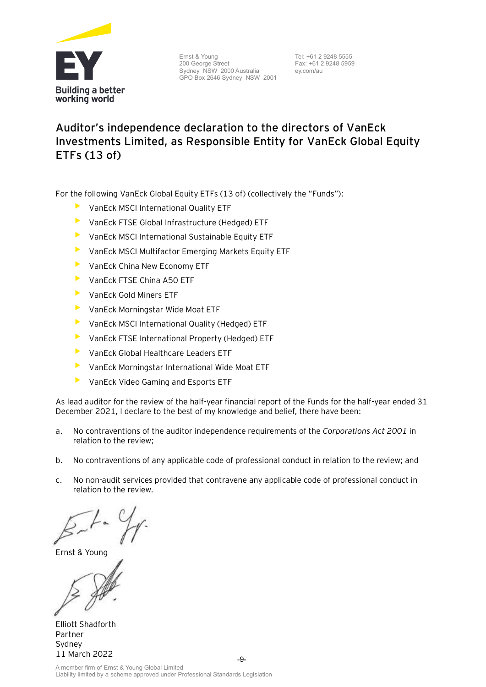

Ernst & Young 200 George Street Sydney NSW 2000 Australia GPO Box 2646 Sydney NSW 2001 Tel: +61 2 9248 5555 Fax: +61 2 9248 5959 ey.com/au

## **Auditor's independence declaration to the directors of VanEck Investments Limited, as Responsible Entity for VanEck Global Equity ETFs (13 of)**

For the following VanEck Global Equity ETFs (13 of) (collectively the "Funds"):

- VanEck MSCI International Quality ETF
- VanEck FTSE Global Infrastructure (Hedged) ETF
- VanEck MSCI International Sustainable Equity ETF
- VanEck MSCI Multifactor Emerging Markets Equity ETF
- VanEck China New Economy ETF
- VanEck FTSE China A50 ETF
- VanEck Gold Miners ETF
- VanEck Morningstar Wide Moat ETF
- VanEck MSCI International Quality (Hedged) ETF
- VanEck FTSE International Property (Hedged) ETF
- VanEck Global Healthcare Leaders ETF
- VanEck Morningstar International Wide Moat ETF
- VanEck Video Gaming and Esports ETF

As lead auditor for the review of the half-year financial report of the Funds for the half-year ended 31 December 2021, I declare to the best of my knowledge and belief, there have been:

- a. No contraventions of the auditor independence requirements of the *Corporations Act 2001* in relation to the review;
- b. No contraventions of any applicable code of professional conduct in relation to the review; and
- c. No non-audit services provided that contravene any applicable code of professional conduct in relation to the review.

Ernst & Young

Elliott Shadforth Partner Sydney 11 March 2022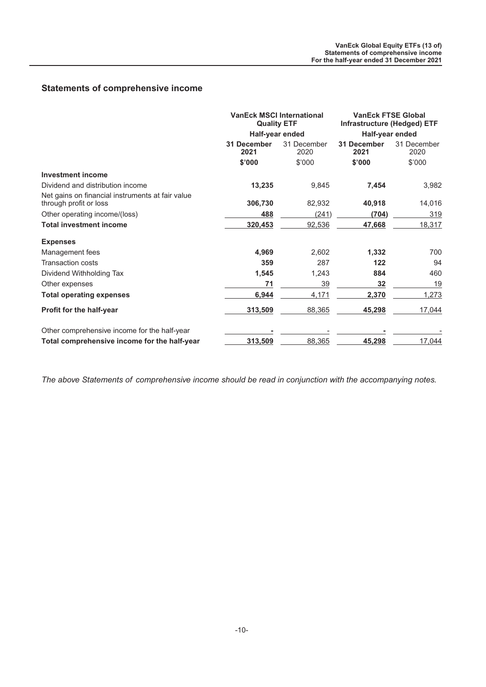### <span id="page-10-0"></span>**Statements of comprehensive income**

|                                                                            | <b>VanEck MSCI International</b><br><b>Quality ETF</b><br>Half-year ended |                     | <b>VanEck FTSE Global</b><br><b>Infrastructure (Hedged) ETF</b><br>Half-year ended |                     |
|----------------------------------------------------------------------------|---------------------------------------------------------------------------|---------------------|------------------------------------------------------------------------------------|---------------------|
|                                                                            |                                                                           |                     |                                                                                    |                     |
|                                                                            | 31 December<br>2021                                                       | 31 December<br>2020 | 31 December<br>2021                                                                | 31 December<br>2020 |
|                                                                            | \$'000                                                                    | \$'000              | \$'000                                                                             | \$'000              |
| <b>Investment income</b>                                                   |                                                                           |                     |                                                                                    |                     |
| Dividend and distribution income                                           | 13,235                                                                    | 9,845               | 7,454                                                                              | 3,982               |
| Net gains on financial instruments at fair value<br>through profit or loss | 306,730                                                                   | 82,932              | 40,918                                                                             | 14,016              |
| Other operating income/(loss)                                              | 488                                                                       | (241)               | (704)                                                                              | 319                 |
| <b>Total investment income</b>                                             | 320,453                                                                   | 92,536              | 47,668                                                                             | 18,317              |
| <b>Expenses</b>                                                            |                                                                           |                     |                                                                                    |                     |
| Management fees                                                            | 4,969                                                                     | 2,602               | 1,332                                                                              | 700                 |
| <b>Transaction costs</b>                                                   | 359                                                                       | 287                 | 122                                                                                | 94                  |
| Dividend Withholding Tax                                                   | 1,545                                                                     | 1,243               | 884                                                                                | 460                 |
| Other expenses                                                             | 71                                                                        | 39                  | 32                                                                                 | 19                  |
| <b>Total operating expenses</b>                                            | 6,944                                                                     | 4,171               | 2,370                                                                              | 1,273               |
| Profit for the half-year                                                   | 313,509                                                                   | 88,365              | 45,298                                                                             | 17,044              |
| Other comprehensive income for the half-year                               |                                                                           |                     |                                                                                    |                     |
| Total comprehensive income for the half-year                               | 313,509                                                                   | 88,365              | 45,298                                                                             | 17,044              |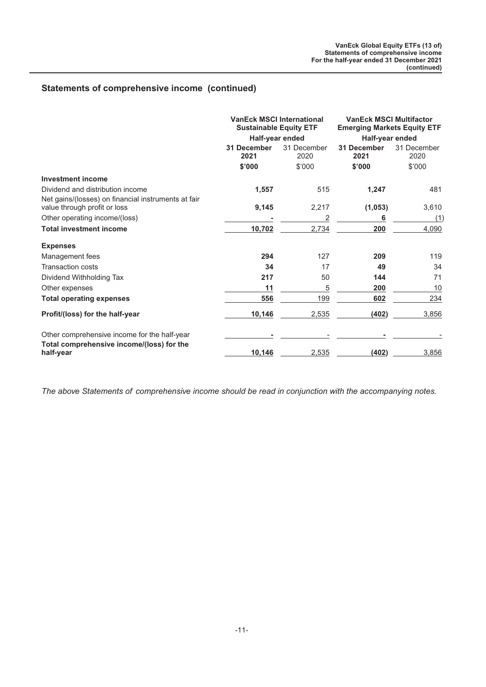|                                                                                     | <b>VanEck MSCI International</b><br><b>Sustainable Equity ETF</b> |                     | <b>VanEck MSCI Multifactor</b><br><b>Emerging Markets Equity ETF</b> |             |                     |
|-------------------------------------------------------------------------------------|-------------------------------------------------------------------|---------------------|----------------------------------------------------------------------|-------------|---------------------|
|                                                                                     | Half-year ended                                                   |                     | Half-year ended                                                      |             |                     |
|                                                                                     | 31 December<br>2021                                               | 31 December<br>2020 | 2021                                                                 | 31 December | 31 December<br>2020 |
|                                                                                     | \$'000                                                            | \$'000              | \$'000                                                               | \$'000      |                     |
| <b>Investment income</b>                                                            |                                                                   |                     |                                                                      |             |                     |
| Dividend and distribution income                                                    | 1,557                                                             | 515                 | 1,247                                                                | 481         |                     |
| Net gains/(losses) on financial instruments at fair<br>value through profit or loss | 9,145                                                             | 2,217               | (1,053)                                                              | 3,610       |                     |
| Other operating income/(loss)                                                       |                                                                   |                     | 6                                                                    | (1)         |                     |
| <b>Total investment income</b>                                                      | 10,702                                                            | 2,734               | 200                                                                  | 4,090       |                     |
| <b>Expenses</b>                                                                     |                                                                   |                     |                                                                      |             |                     |
| Management fees                                                                     | 294                                                               | 127                 | 209                                                                  | 119         |                     |
| <b>Transaction costs</b>                                                            | 34                                                                | 17                  | 49                                                                   | 34          |                     |
| Dividend Withholding Tax                                                            | 217                                                               | 50                  | 144                                                                  | 71          |                     |
| Other expenses                                                                      | 11                                                                | 5                   | 200                                                                  | 10          |                     |
| <b>Total operating expenses</b>                                                     | 556                                                               | 199                 | 602                                                                  | 234         |                     |
| Profit/(loss) for the half-year                                                     | 10,146                                                            | 2,535               | (402)                                                                | 3,856       |                     |
| Other comprehensive income for the half-year                                        |                                                                   |                     |                                                                      |             |                     |
| Total comprehensive income/(loss) for the<br>half-year                              | 10,146                                                            | 2,535               | (402)                                                                | 3,856       |                     |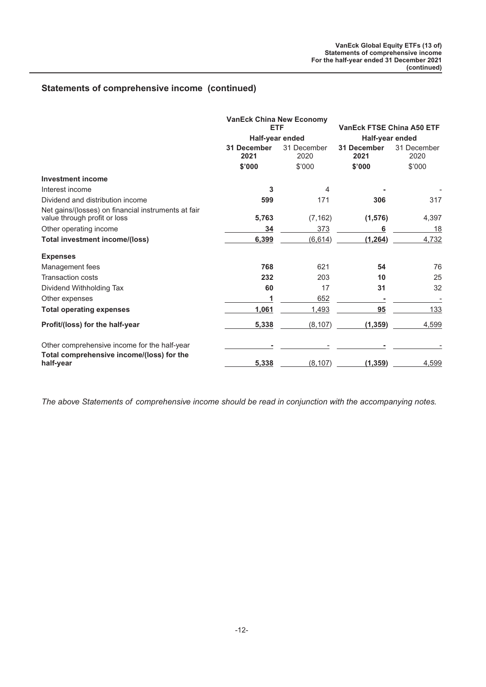|                                                                                     | <b>VanEck China New Economy</b><br><b>ETF</b> |                     | <b>VanEck FTSE China A50 ETF</b> |                     |
|-------------------------------------------------------------------------------------|-----------------------------------------------|---------------------|----------------------------------|---------------------|
|                                                                                     |                                               |                     |                                  |                     |
|                                                                                     | Half-year ended                               |                     | Half-year ended                  |                     |
|                                                                                     | 31 December<br>2021                           | 31 December<br>2020 | 31 December<br>2021              | 31 December<br>2020 |
|                                                                                     | \$'000                                        | \$'000              | \$'000                           | \$'000              |
| <b>Investment income</b>                                                            |                                               |                     |                                  |                     |
| Interest income                                                                     | 3                                             | 4                   |                                  |                     |
| Dividend and distribution income                                                    | 599                                           | 171                 | 306                              | 317                 |
| Net gains/(losses) on financial instruments at fair<br>value through profit or loss | 5,763                                         | (7, 162)            | (1, 576)                         | 4,397               |
| Other operating income                                                              | 34                                            | 373                 | 6                                | <u>18</u>           |
| <b>Total investment income/(loss)</b>                                               | 6,399                                         | (6, 614)            | (1, 264)                         | 4,732               |
| <b>Expenses</b>                                                                     |                                               |                     |                                  |                     |
| Management fees                                                                     | 768                                           | 621                 | 54                               | 76                  |
| <b>Transaction costs</b>                                                            | 232                                           | 203                 | 10                               | 25                  |
| Dividend Withholding Tax                                                            | 60                                            | 17                  | 31                               | 32                  |
| Other expenses                                                                      |                                               | 652                 |                                  |                     |
| <b>Total operating expenses</b>                                                     | 1,061                                         | 1,493               | 95                               | 133                 |
| Profit/(loss) for the half-year                                                     | 5,338                                         | (8, 107)            | (1, 359)                         | 4,599               |
| Other comprehensive income for the half-year                                        |                                               |                     |                                  |                     |
| Total comprehensive income/(loss) for the<br>half-year                              | 5,338                                         | (8, 107)            | (1, 359)                         | 4,599               |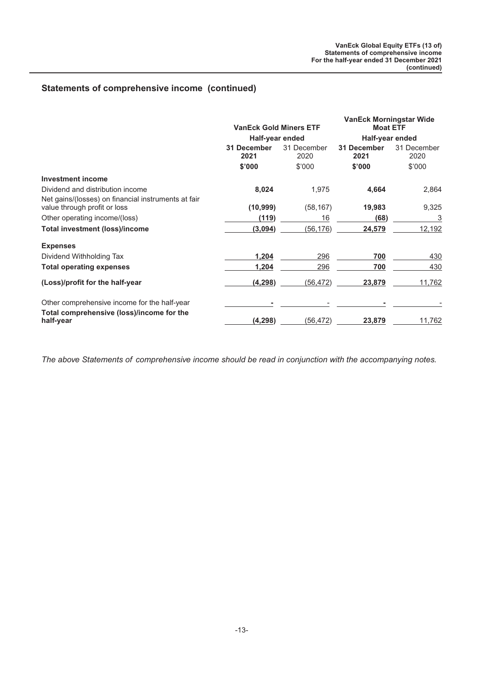|                                                                                     | <b>VanEck Gold Miners ETF</b> |           | <b>VanEck Morningstar Wide</b><br><b>Moat ETF</b> |        |  |             |                     |
|-------------------------------------------------------------------------------------|-------------------------------|-----------|---------------------------------------------------|--------|--|-------------|---------------------|
|                                                                                     | Half-year ended               |           | Half-year ended                                   |        |  |             |                     |
|                                                                                     | 31 December<br>2021           |           | 31 December<br>2020<br>2021                       |        |  | 31 December | 31 December<br>2020 |
|                                                                                     | \$'000                        | \$'000    | \$'000                                            | \$'000 |  |             |                     |
| Investment income                                                                   |                               |           |                                                   |        |  |             |                     |
| Dividend and distribution income                                                    | 8,024                         | 1,975     | 4,664                                             | 2,864  |  |             |                     |
| Net gains/(losses) on financial instruments at fair<br>value through profit or loss | (10, 999)                     | (58, 167) | 19,983                                            | 9,325  |  |             |                     |
| Other operating income/(loss)                                                       | (119)                         | 16        | (68)                                              | 3      |  |             |                     |
| Total investment (loss)/income                                                      | (3,094)                       | (56, 176) | 24,579                                            | 12,192 |  |             |                     |
| <b>Expenses</b>                                                                     |                               |           |                                                   |        |  |             |                     |
| Dividend Withholding Tax                                                            | 1,204                         | 296       | 700                                               | 430    |  |             |                     |
| <b>Total operating expenses</b>                                                     | 1,204                         | 296       | 700                                               | 430    |  |             |                     |
| (Loss)/profit for the half-year                                                     | (4, 298)                      | (56,472)  | 23,879                                            | 11,762 |  |             |                     |
| Other comprehensive income for the half-year                                        |                               |           |                                                   |        |  |             |                     |
| Total comprehensive (loss)/income for the                                           |                               |           |                                                   | 11,762 |  |             |                     |
| half-year                                                                           | (4, 298)                      | (56,472)  | 23,879                                            |        |  |             |                     |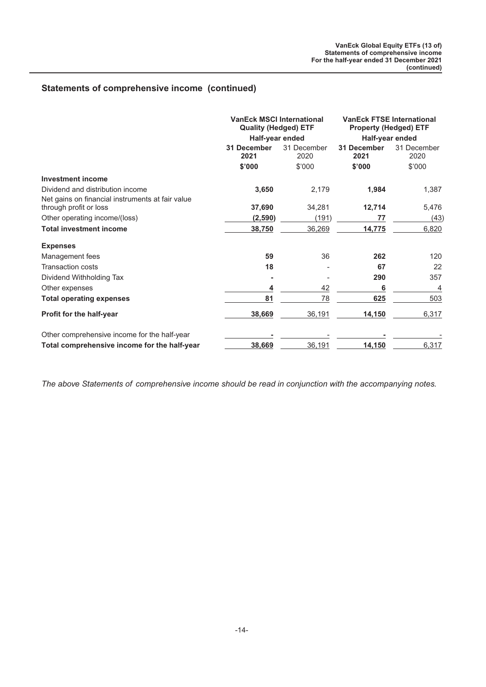|                                                                            | <b>VanEck MSCI International</b><br><b>Quality (Hedged) ETF</b> |                     | <b>VanEck FTSE International</b><br><b>Property (Hedged) ETF</b> |                     |
|----------------------------------------------------------------------------|-----------------------------------------------------------------|---------------------|------------------------------------------------------------------|---------------------|
|                                                                            | Half-year ended                                                 |                     | Half-year ended                                                  |                     |
|                                                                            | <b>31 December</b><br>2021                                      | 31 December<br>2020 | <b>31 December</b><br>2021                                       | 31 December<br>2020 |
|                                                                            | \$'000                                                          | \$'000              | \$'000                                                           | \$'000              |
| <b>Investment income</b>                                                   |                                                                 |                     |                                                                  |                     |
| Dividend and distribution income                                           | 3,650                                                           | 2,179               | 1,984                                                            | 1,387               |
| Net gains on financial instruments at fair value<br>through profit or loss | 37,690                                                          | 34,281              | 12,714                                                           | 5,476               |
| Other operating income/(loss)                                              | (2,590)                                                         | (191)               | 77                                                               | (43)                |
| <b>Total investment income</b>                                             | 38,750                                                          | 36,269              | 14,775                                                           | 6,820               |
| <b>Expenses</b>                                                            |                                                                 |                     |                                                                  |                     |
| Management fees                                                            | 59                                                              | 36                  | 262                                                              | 120                 |
| <b>Transaction costs</b>                                                   | 18                                                              |                     | 67                                                               | 22                  |
| Dividend Withholding Tax                                                   |                                                                 |                     | 290                                                              | 357                 |
| Other expenses                                                             | 4                                                               | 42                  | 6                                                                | 4                   |
| <b>Total operating expenses</b>                                            | 81                                                              | 78                  | 625                                                              | 503                 |
| Profit for the half-year                                                   | 38,669                                                          | 36,191              | 14,150                                                           | 6,317               |
| Other comprehensive income for the half-year                               |                                                                 |                     |                                                                  |                     |
| Total comprehensive income for the half-year                               | 38,669                                                          | 36,191              | 14,150                                                           | 6,317               |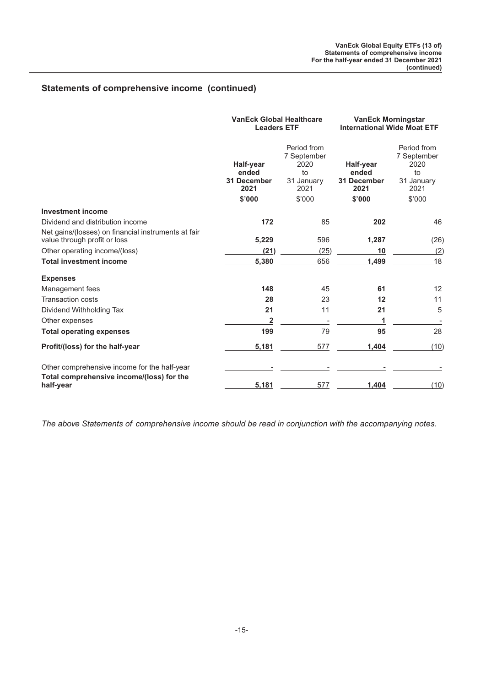|                                                                                     | <b>VanEck Global Healthcare</b><br><b>Leaders ETF</b> |                                                                | <b>VanEck Morningstar</b><br><b>International Wide Moat ETF</b> |                                                                |
|-------------------------------------------------------------------------------------|-------------------------------------------------------|----------------------------------------------------------------|-----------------------------------------------------------------|----------------------------------------------------------------|
|                                                                                     | Half-year<br>ended<br>31 December<br>2021             | Period from<br>7 September<br>2020<br>to<br>31 January<br>2021 | Half-year<br>ended<br>31 December<br>2021                       | Period from<br>7 September<br>2020<br>to<br>31 January<br>2021 |
|                                                                                     | \$'000                                                | \$'000                                                         | \$'000                                                          | \$'000                                                         |
| <b>Investment income</b>                                                            |                                                       |                                                                |                                                                 |                                                                |
| Dividend and distribution income                                                    | 172                                                   | 85                                                             | 202                                                             | 46                                                             |
| Net gains/(losses) on financial instruments at fair<br>value through profit or loss | 5,229                                                 | 596                                                            | 1,287                                                           | (26)                                                           |
| Other operating income/(loss)                                                       | (21)                                                  | (25)                                                           | 10                                                              | (2)                                                            |
| <b>Total investment income</b>                                                      | 5,380                                                 | 656                                                            | 1,499                                                           | 18                                                             |
| <b>Expenses</b>                                                                     |                                                       |                                                                |                                                                 |                                                                |
| Management fees                                                                     | 148                                                   | 45                                                             | 61                                                              | 12                                                             |
| <b>Transaction costs</b>                                                            | 28                                                    | 23                                                             | 12                                                              | 11                                                             |
| Dividend Withholding Tax                                                            | 21                                                    | 11                                                             | 21                                                              | 5                                                              |
| Other expenses                                                                      | $\overline{2}$                                        |                                                                | 1                                                               |                                                                |
| <b>Total operating expenses</b>                                                     | 199                                                   | 79                                                             | 95                                                              | 28                                                             |
| Profit/(loss) for the half-year                                                     | 5,181                                                 | 577                                                            | 1,404                                                           | (10)                                                           |
| Other comprehensive income for the half-year                                        |                                                       |                                                                |                                                                 |                                                                |
| Total comprehensive income/(loss) for the<br>half-year                              | 5,181                                                 | 577                                                            | 1,404                                                           | (10)                                                           |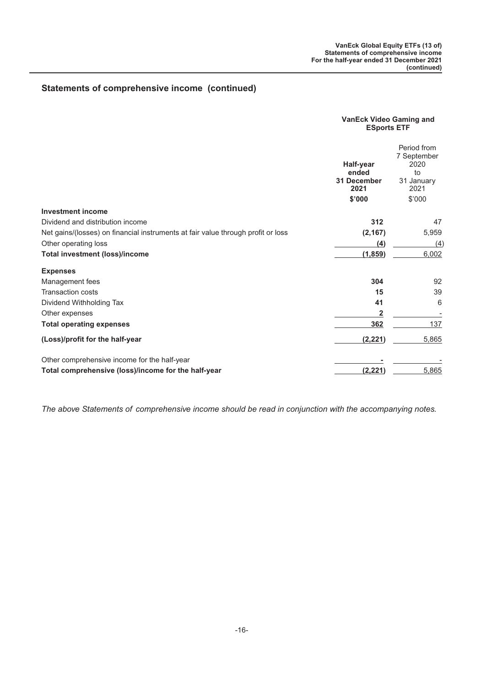|                                                                                  | <b>VanEck Video Gaming and</b><br><b>ESports ETF</b> |                                                                |
|----------------------------------------------------------------------------------|------------------------------------------------------|----------------------------------------------------------------|
|                                                                                  | Half-year<br>ended<br>31 December<br>2021            | Period from<br>7 September<br>2020<br>to<br>31 January<br>2021 |
|                                                                                  | \$'000                                               | \$'000                                                         |
| <b>Investment income</b>                                                         |                                                      |                                                                |
| Dividend and distribution income                                                 | 312                                                  | 47                                                             |
| Net gains/(losses) on financial instruments at fair value through profit or loss | (2, 167)                                             | 5,959                                                          |
| Other operating loss                                                             | (4)                                                  | (4)                                                            |
| <b>Total investment (loss)/income</b>                                            | (1,859)                                              | 6,002                                                          |
| <b>Expenses</b>                                                                  |                                                      |                                                                |
| Management fees                                                                  | 304                                                  | 92                                                             |
| <b>Transaction costs</b>                                                         | 15                                                   | 39                                                             |
| Dividend Withholding Tax                                                         | 41                                                   | 6                                                              |
| Other expenses                                                                   | 2                                                    |                                                                |
| <b>Total operating expenses</b>                                                  | 362                                                  | 137                                                            |
| (Loss)/profit for the half-year                                                  | (2, 221)                                             | 5,865                                                          |
| Other comprehensive income for the half-year                                     |                                                      |                                                                |
| Total comprehensive (loss)/income for the half-year                              | (2, 221)                                             | 5,865                                                          |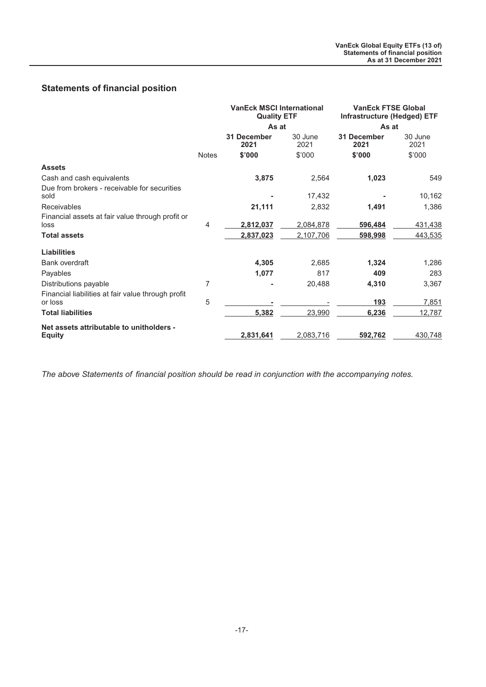### <span id="page-17-0"></span>**Statements of financial position**

|                                                               |              | <b>VanEck MSCI International</b><br><b>Quality ETF</b> |                 | <b>VanEck FTSE Global</b><br><b>Infrastructure (Hedged) ETF</b> |                 |
|---------------------------------------------------------------|--------------|--------------------------------------------------------|-----------------|-----------------------------------------------------------------|-----------------|
|                                                               |              | As at                                                  |                 | As at                                                           |                 |
|                                                               |              | 31 December<br>2021                                    | 30 June<br>2021 | 31 December<br>2021                                             | 30 June<br>2021 |
|                                                               | <b>Notes</b> | \$'000                                                 | \$'000          | \$'000                                                          | \$'000          |
| <b>Assets</b>                                                 |              |                                                        |                 |                                                                 |                 |
| Cash and cash equivalents                                     |              | 3,875                                                  | 2,564           | 1,023                                                           | 549             |
| Due from brokers - receivable for securities<br>sold          |              |                                                        | 17,432          |                                                                 | 10,162          |
| Receivables                                                   |              | 21,111                                                 | 2,832           | 1,491                                                           | 1,386           |
| Financial assets at fair value through profit or<br>loss      | 4            | 2,812,037                                              | 2,084,878       | 596,484                                                         | 431,438         |
| <b>Total assets</b>                                           |              | 2,837,023                                              | 2,107,706       | 598,998                                                         | 443,535         |
| <b>Liabilities</b>                                            |              |                                                        |                 |                                                                 |                 |
| Bank overdraft                                                |              | 4,305                                                  | 2,685           | 1,324                                                           | 1,286           |
| Payables                                                      |              | 1,077                                                  | 817             | 409                                                             | 283             |
| Distributions payable                                         | 7            |                                                        | 20,488          | 4,310                                                           | 3,367           |
| Financial liabilities at fair value through profit<br>or loss | 5            |                                                        |                 | 193                                                             | 7,851           |
| <b>Total liabilities</b>                                      |              | 5,382                                                  | 23,990          | 6,236                                                           | 12,787          |
| Net assets attributable to unitholders -                      |              |                                                        |                 |                                                                 |                 |
| <b>Equity</b>                                                 |              | 2,831,641                                              | 2,083,716       | 592,762                                                         | 430,748         |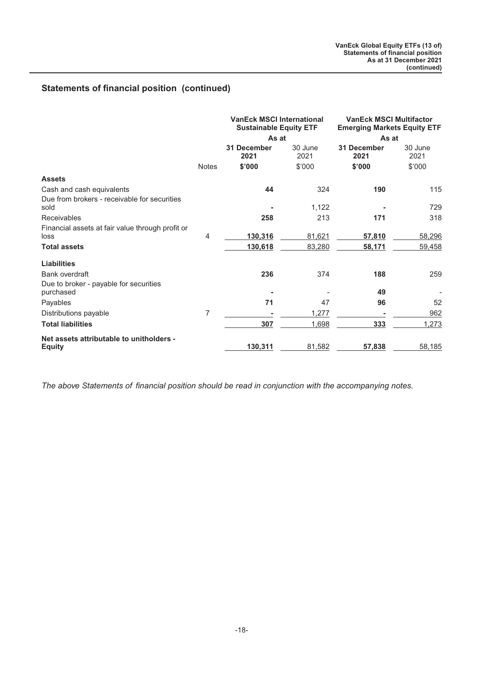|                                                          |                | <b>VanEck MSCI International</b><br><b>Sustainable Equity ETF</b> |                 | <b>VanEck MSCI Multifactor</b><br><b>Emerging Markets Equity ETF</b> |                 |  |
|----------------------------------------------------------|----------------|-------------------------------------------------------------------|-----------------|----------------------------------------------------------------------|-----------------|--|
|                                                          |                | As at                                                             |                 | As at                                                                |                 |  |
|                                                          |                | 31 December<br>2021                                               | 30 June<br>2021 | 31 December<br>2021                                                  | 30 June<br>2021 |  |
|                                                          | <b>Notes</b>   | \$'000                                                            | \$'000          | \$'000                                                               | \$'000          |  |
| <b>Assets</b>                                            |                |                                                                   |                 |                                                                      |                 |  |
| Cash and cash equivalents                                |                | 44                                                                | 324             | 190                                                                  | 115             |  |
| Due from brokers - receivable for securities<br>sold     |                |                                                                   | 1,122           |                                                                      | 729             |  |
| Receivables                                              |                | 258                                                               | 213             | 171                                                                  | 318             |  |
| Financial assets at fair value through profit or<br>loss | 4              | 130,316                                                           | 81,621          | 57,810                                                               | 58,296          |  |
| <b>Total assets</b>                                      |                | 130,618                                                           | 83,280          | 58,171                                                               | 59,458          |  |
| <b>Liabilities</b>                                       |                |                                                                   |                 |                                                                      |                 |  |
| Bank overdraft                                           |                | 236                                                               | 374             | 188                                                                  | 259             |  |
| Due to broker - payable for securities<br>purchased      |                |                                                                   |                 | 49                                                                   |                 |  |
| Payables                                                 |                | 71                                                                | 47              | 96                                                                   | 52              |  |
| Distributions payable                                    | $\overline{7}$ |                                                                   | 1,277           |                                                                      | 962             |  |
| <b>Total liabilities</b>                                 |                | 307                                                               | 1,698           | 333                                                                  | 1,273           |  |
| Net assets attributable to unitholders -                 |                |                                                                   |                 |                                                                      | 58,185          |  |
| <b>Equity</b>                                            |                | 130,311                                                           | 81,582          | 57,838                                                               |                 |  |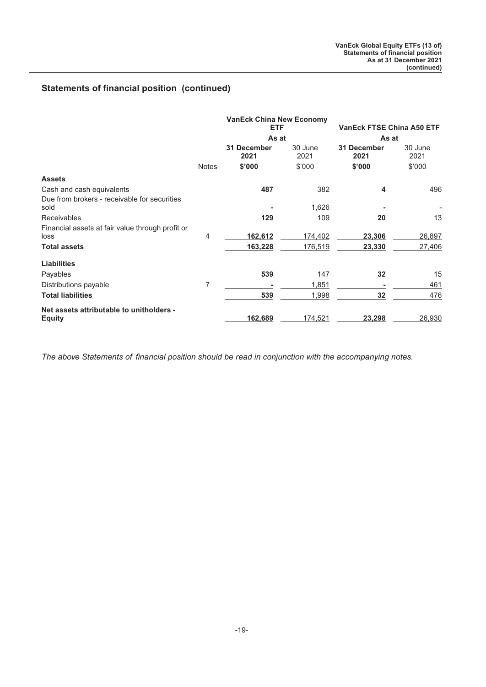|                                                          | <b>VanEck China New Economy</b><br><b>ETF</b> |                     |                 | <b>VanEck FTSE China A50 ETF</b> |                 |  |
|----------------------------------------------------------|-----------------------------------------------|---------------------|-----------------|----------------------------------|-----------------|--|
|                                                          |                                               | As at               |                 | As at                            |                 |  |
|                                                          |                                               | 31 December<br>2021 | 30 June<br>2021 | 31 December<br>2021              | 30 June<br>2021 |  |
|                                                          | <b>Notes</b>                                  | \$'000              | \$'000          | \$'000                           | \$'000          |  |
| <b>Assets</b>                                            |                                               |                     |                 |                                  |                 |  |
| Cash and cash equivalents                                |                                               | 487                 | 382             | 4                                | 496             |  |
| Due from brokers - receivable for securities<br>sold     |                                               |                     | 1,626           |                                  |                 |  |
| <b>Receivables</b>                                       |                                               | 129                 | 109             | 20                               | 13              |  |
| Financial assets at fair value through profit or<br>loss | 4                                             | 162,612             | 174,402         | 23,306                           | 26,897          |  |
| <b>Total assets</b>                                      |                                               | 163,228             | 176,519         | 23,330                           | 27,406          |  |
| <b>Liabilities</b>                                       |                                               |                     |                 |                                  |                 |  |
| Payables                                                 |                                               | 539                 | 147             | 32                               | 15              |  |
| Distributions payable                                    | 7                                             |                     | 1,851           |                                  | 461             |  |
| <b>Total liabilities</b>                                 |                                               | 539                 | 1,998           | 32                               | 476             |  |
| Net assets attributable to unitholders -                 |                                               |                     |                 |                                  |                 |  |
| <b>Equity</b>                                            |                                               | 162,689             | 174,521         | 23,298                           | 26,930          |  |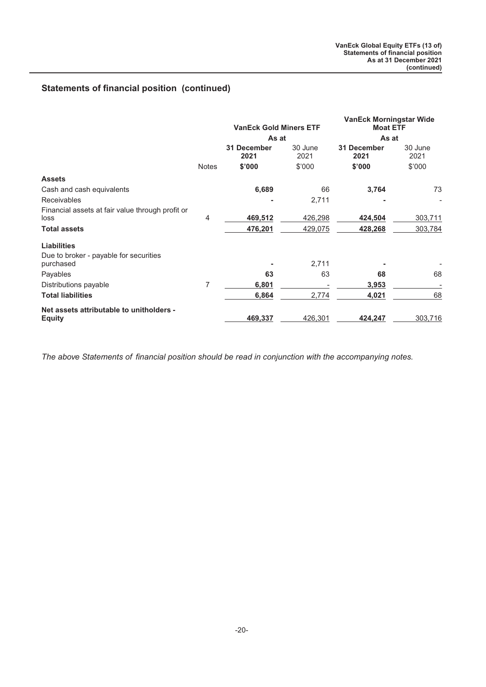|                                                           |              | <b>VanEck Gold Miners ETF</b> |                 | <b>VanEck Morningstar Wide</b><br><b>Moat ETF</b> |                 |
|-----------------------------------------------------------|--------------|-------------------------------|-----------------|---------------------------------------------------|-----------------|
|                                                           |              | As at                         |                 | As at                                             |                 |
|                                                           |              | 31 December<br>2021           | 30 June<br>2021 | 31 December<br>2021                               | 30 June<br>2021 |
|                                                           | <b>Notes</b> | \$'000                        | \$'000          | \$'000                                            | \$'000          |
| <b>Assets</b>                                             |              |                               |                 |                                                   |                 |
| Cash and cash equivalents                                 |              | 6,689                         | 66              | 3,764                                             | 73              |
| <b>Receivables</b>                                        |              |                               | 2,711           |                                                   |                 |
| Financial assets at fair value through profit or<br>loss  | 4            | 469,512                       | 426,298         | 424,504                                           | 303,711         |
| <b>Total assets</b>                                       |              | 476,201                       | 429,075         | 428,268                                           | 303,784         |
| <b>Liabilities</b>                                        |              |                               |                 |                                                   |                 |
| Due to broker - payable for securities<br>purchased       |              |                               | 2,711           |                                                   |                 |
| Payables                                                  |              | 63                            | 63              | 68                                                | 68              |
| Distributions payable                                     | 7            | 6,801                         |                 | 3,953                                             |                 |
| <b>Total liabilities</b>                                  |              | 6,864                         | 2,774           | 4,021                                             | 68              |
| Net assets attributable to unitholders -<br><b>Equity</b> |              | 469,337                       | 426,301         | 424,247                                           | 303,716         |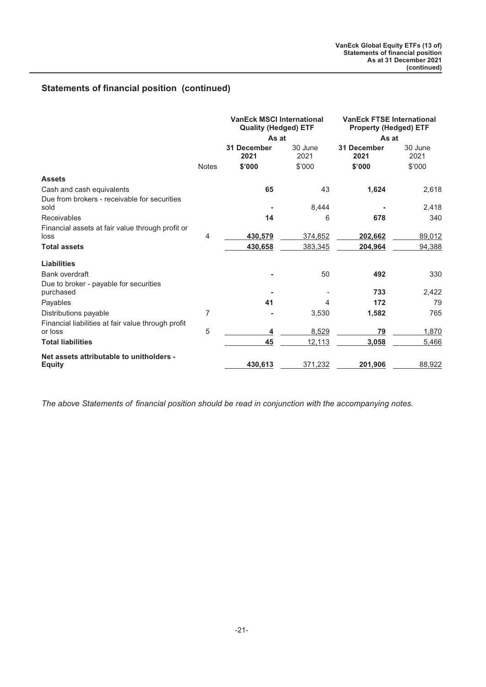|                                                               |              | <b>VanEck MSCI International</b><br><b>Quality (Hedged) ETF</b> |                 | <b>VanEck FTSE International</b><br><b>Property (Hedged) ETF</b> |                 |
|---------------------------------------------------------------|--------------|-----------------------------------------------------------------|-----------------|------------------------------------------------------------------|-----------------|
|                                                               |              | As at                                                           |                 | As at                                                            |                 |
|                                                               |              | <b>31 December</b><br>2021                                      | 30 June<br>2021 | <b>31 December</b><br>2021                                       | 30 June<br>2021 |
|                                                               | <b>Notes</b> | \$'000                                                          | \$'000          | \$'000                                                           | \$'000          |
| <b>Assets</b>                                                 |              |                                                                 |                 |                                                                  |                 |
| Cash and cash equivalents                                     |              | 65                                                              | 43              | 1,624                                                            | 2,618           |
| Due from brokers - receivable for securities<br>sold          |              |                                                                 | 8,444           |                                                                  | 2,418           |
| Receivables                                                   |              | 14                                                              | 6               | 678                                                              | 340             |
| Financial assets at fair value through profit or<br>loss      | 4            | 430,579                                                         | 374,852         | 202,662                                                          | 89,012          |
| <b>Total assets</b>                                           |              | 430,658                                                         | 383,345         | 204,964                                                          | 94,388          |
| <b>Liabilities</b>                                            |              |                                                                 |                 |                                                                  |                 |
| Bank overdraft                                                |              |                                                                 | 50              | 492                                                              | 330             |
| Due to broker - payable for securities<br>purchased           |              |                                                                 |                 | 733                                                              | 2,422           |
| Payables                                                      |              | 41                                                              | 4               | 172                                                              | 79              |
| Distributions payable                                         | 7            |                                                                 | 3,530           | 1,582                                                            | 765             |
| Financial liabilities at fair value through profit<br>or loss | 5            | 4                                                               | 8,529           | 79                                                               | 1,870           |
| <b>Total liabilities</b>                                      |              | 45                                                              | 12,113          | 3,058                                                            | 5,466           |
| Net assets attributable to unitholders -                      |              |                                                                 |                 |                                                                  |                 |
| <b>Equity</b>                                                 |              | 430,613                                                         | 371,232         | 201,906                                                          | 88,922          |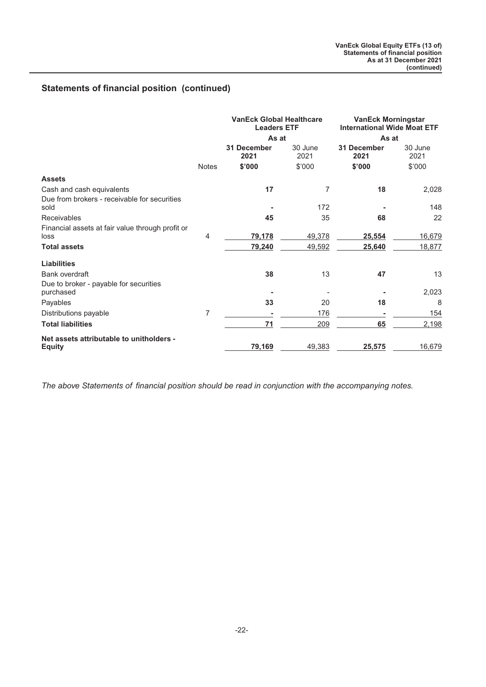|                                                          |              | <b>VanEck Global Healthcare</b><br><b>Leaders ETF</b> |                 | <b>VanEck Morningstar</b><br><b>International Wide Moat ETF</b> |                 |  |
|----------------------------------------------------------|--------------|-------------------------------------------------------|-----------------|-----------------------------------------------------------------|-----------------|--|
|                                                          |              | As at                                                 |                 | As at                                                           |                 |  |
|                                                          |              | 31 December<br>2021                                   | 30 June<br>2021 | 31 December<br>2021                                             | 30 June<br>2021 |  |
|                                                          | <b>Notes</b> | \$'000                                                | \$'000          | \$'000                                                          | \$'000          |  |
| <b>Assets</b>                                            |              |                                                       |                 |                                                                 |                 |  |
| Cash and cash equivalents                                |              | 17                                                    | 7               | 18                                                              | 2,028           |  |
| Due from brokers - receivable for securities<br>sold     |              |                                                       | 172             |                                                                 | 148             |  |
| Receivables                                              |              | 45                                                    | 35              | 68                                                              | 22              |  |
| Financial assets at fair value through profit or<br>loss | 4            | 79,178                                                | 49,378          | 25,554                                                          | 16,679          |  |
| <b>Total assets</b>                                      |              | 79,240                                                | 49,592          | 25,640                                                          | 18,877          |  |
| Liabilities                                              |              |                                                       |                 |                                                                 |                 |  |
| Bank overdraft                                           |              | 38                                                    | 13              | 47                                                              | 13              |  |
| Due to broker - payable for securities<br>purchased      |              |                                                       |                 |                                                                 | 2,023           |  |
| Payables                                                 |              | 33                                                    | 20              | 18                                                              | 8               |  |
| Distributions payable                                    | 7            |                                                       | 176             |                                                                 | 154             |  |
| <b>Total liabilities</b>                                 |              | 71                                                    | 209             | 65                                                              | 2,198           |  |
| Net assets attributable to unitholders -                 |              |                                                       |                 |                                                                 |                 |  |
| <b>Equity</b>                                            |              | 79,169                                                | 49,383          | 25,575                                                          | 16,679          |  |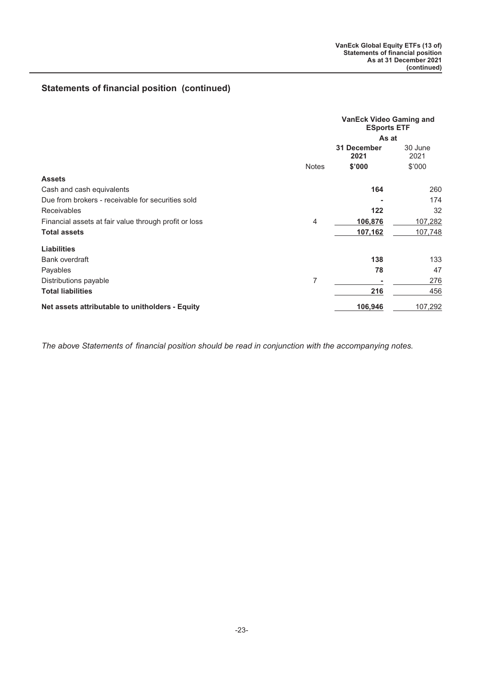|                                                       |              | <b>VanEck Video Gaming and</b><br><b>ESports ETF</b> |                 |
|-------------------------------------------------------|--------------|------------------------------------------------------|-----------------|
|                                                       |              | As at                                                |                 |
|                                                       |              | 31 December<br>2021                                  | 30 June<br>2021 |
|                                                       | <b>Notes</b> | \$'000                                               | \$'000          |
| <b>Assets</b>                                         |              |                                                      |                 |
| Cash and cash equivalents                             |              | 164                                                  | 260             |
| Due from brokers - receivable for securities sold     |              |                                                      | 174             |
| <b>Receivables</b>                                    |              | 122                                                  | 32              |
| Financial assets at fair value through profit or loss | 4            | 106,876                                              | 107,282         |
| <b>Total assets</b>                                   |              | 107,162                                              | 107,748         |
| <b>Liabilities</b>                                    |              |                                                      |                 |
| Bank overdraft                                        |              | 138                                                  | 133             |
| Payables                                              |              | 78                                                   | 47              |
| Distributions payable                                 | 7            |                                                      | 276             |
| <b>Total liabilities</b>                              |              | 216                                                  | 456             |
| Net assets attributable to unitholders - Equity       |              | 106,946                                              | 107,292         |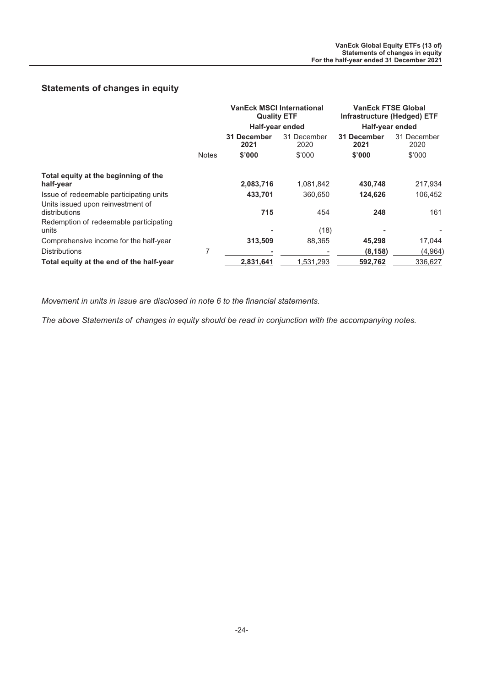### <span id="page-24-0"></span>**Statements of changes in equity**

|                                                                              | <b>VanEck MSCI International</b><br><b>Quality ETF</b> |                     |                     | <b>VanEck FTSE Global</b><br>Infrastructure (Hedged) ETF |                     |
|------------------------------------------------------------------------------|--------------------------------------------------------|---------------------|---------------------|----------------------------------------------------------|---------------------|
|                                                                              |                                                        | Half-year ended     |                     | Half-year ended                                          |                     |
|                                                                              |                                                        | 31 December<br>2021 | 31 December<br>2020 | 31 December<br>2021                                      | 31 December<br>2020 |
|                                                                              | <b>Notes</b>                                           | \$'000              | \$'000              | \$'000                                                   | \$'000              |
| Total equity at the beginning of the<br>half-year                            |                                                        | 2,083,716           | 1,081,842           | 430,748                                                  | 217,934             |
| Issue of redeemable participating units<br>Units issued upon reinvestment of |                                                        | 433,701             | 360,650             | 124,626                                                  | 106,452             |
| distributions                                                                |                                                        | 715                 | 454                 | 248                                                      | 161                 |
| Redemption of redeemable participating<br>units                              |                                                        |                     | (18)                |                                                          |                     |
| Comprehensive income for the half-year                                       |                                                        | 313,509             | 88.365              | 45.298                                                   | 17,044              |
| <b>Distributions</b>                                                         | 7                                                      |                     |                     | (8, 158)                                                 | (4, 964)            |
| Total equity at the end of the half-year                                     |                                                        | 2,831,641           | 1.531.293           | 592,762                                                  | 336,627             |

*Movement in units in issue are disclosed in note 6 to the financial statements.*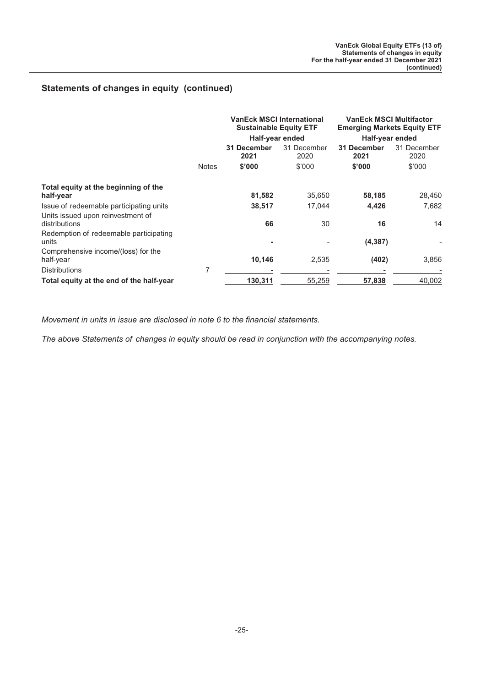|                                                  |              | <b>VanEck MSCI International</b><br><b>Sustainable Equity ETF</b> |                     | <b>VanEck MSCI Multifactor</b><br><b>Emerging Markets Equity ETF</b> |                     |
|--------------------------------------------------|--------------|-------------------------------------------------------------------|---------------------|----------------------------------------------------------------------|---------------------|
|                                                  |              | Half-year ended                                                   |                     | Half-year ended                                                      |                     |
|                                                  |              | 31 December<br>2021                                               | 31 December<br>2020 | 31 December<br>2021                                                  | 31 December<br>2020 |
|                                                  | <b>Notes</b> | \$'000                                                            | \$'000              | \$'000                                                               | \$'000              |
| Total equity at the beginning of the             |              |                                                                   |                     |                                                                      |                     |
| half-year                                        |              | 81,582                                                            | 35,650              | 58,185                                                               | 28,450              |
| Issue of redeemable participating units          |              | 38,517                                                            | 17.044              | 4,426                                                                | 7,682               |
| Units issued upon reinvestment of                |              |                                                                   |                     |                                                                      |                     |
| distributions                                    |              | 66                                                                | 30                  | 16                                                                   | 14                  |
| Redemption of redeemable participating<br>units  |              |                                                                   |                     | (4, 387)                                                             |                     |
| Comprehensive income/(loss) for the<br>half-year |              | 10,146                                                            | 2,535               | (402)                                                                | 3,856               |
| <b>Distributions</b>                             | 7            |                                                                   |                     |                                                                      |                     |
| Total equity at the end of the half-year         |              | 130,311                                                           | 55,259              | 57,838                                                               | 40,002              |

*Movement in units in issue are disclosed in note 6 to the financial statements.*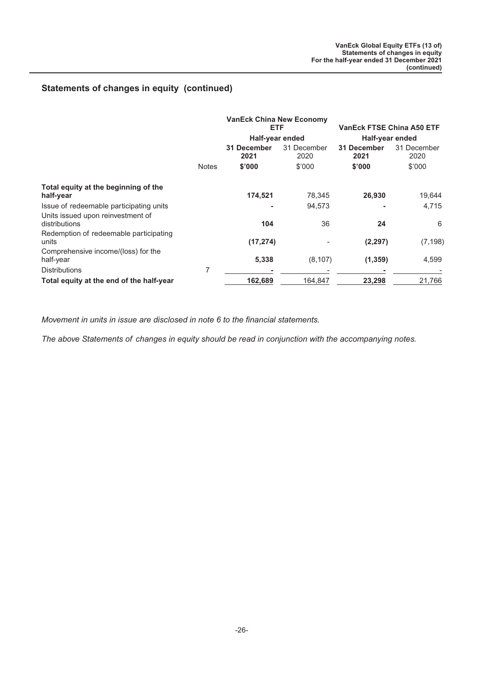|                                                                              |              | <b>VanEck China New Economy</b><br><b>ETF</b> |                     | <b>VanEck FTSE China A50 ETF</b> |                     |
|------------------------------------------------------------------------------|--------------|-----------------------------------------------|---------------------|----------------------------------|---------------------|
|                                                                              |              | Half-year ended                               |                     |                                  | Half-year ended     |
|                                                                              |              | 31 December<br>2021                           | 31 December<br>2020 | 31 December<br>2021              | 31 December<br>2020 |
|                                                                              | <b>Notes</b> | \$'000                                        | \$'000              | \$'000                           | \$'000              |
| Total equity at the beginning of the<br>half-year                            |              | 174,521                                       | 78,345              | 26,930                           | 19,644              |
| Issue of redeemable participating units<br>Units issued upon reinvestment of |              |                                               | 94,573              |                                  | 4,715               |
| distributions<br>Redemption of redeemable participating<br>units             |              | 104<br>(17, 274)                              | 36                  | 24<br>(2, 297)                   | 6<br>(7, 198)       |
| Comprehensive income/(loss) for the<br>half-year                             |              | 5,338                                         | (8, 107)            | (1, 359)                         | 4,599               |
| <b>Distributions</b>                                                         | 7            |                                               |                     |                                  |                     |
| Total equity at the end of the half-year                                     |              | 162,689                                       | 164.847             | 23,298                           | 21,766              |

*Movement in units in issue are disclosed in note 6 to the financial statements.*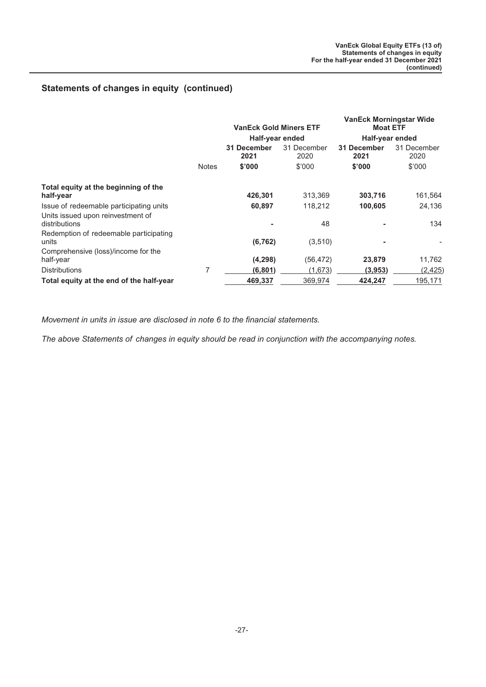|                                                                                               |              | <b>VanEck Gold Miners ETF</b> |                     |                     | <b>VanEck Morningstar Wide</b><br><b>Moat ETF</b> |  |
|-----------------------------------------------------------------------------------------------|--------------|-------------------------------|---------------------|---------------------|---------------------------------------------------|--|
|                                                                                               |              | Half-year ended               |                     | Half-year ended     |                                                   |  |
|                                                                                               |              | 31 December<br>2021           | 31 December<br>2020 | 31 December<br>2021 | 31 December<br>2020                               |  |
|                                                                                               | <b>Notes</b> | \$'000                        | \$'000              | \$'000              | \$'000                                            |  |
| Total equity at the beginning of the<br>half-year                                             |              | 426,301                       | 313,369             | 303,716             | 161,564                                           |  |
| Issue of redeemable participating units<br>Units issued upon reinvestment of<br>distributions |              | 60,897                        | 118,212<br>48       | 100,605             | 24,136<br>134                                     |  |
| Redemption of redeemable participating<br>units                                               |              | (6, 762)                      | (3,510)             |                     |                                                   |  |
| Comprehensive (loss)/income for the<br>half-year                                              |              | (4,298)                       | (56, 472)           | 23,879              | 11,762                                            |  |
| <b>Distributions</b>                                                                          | 7            | (6, 801)                      | (1,673)             | (3,953)             | (2, 425)                                          |  |
| Total equity at the end of the half-year                                                      |              | 469,337                       | 369.974             | 424.247             | 195,171                                           |  |

*Movement in units in issue are disclosed in note 6 to the financial statements.*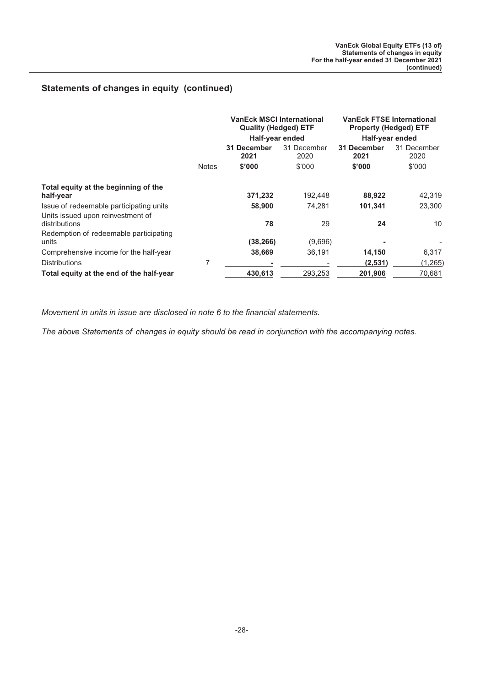|                                                 |              | <b>VanEck MSCI International</b><br><b>Quality (Hedged) ETF</b> |                     | <b>VanEck FTSE International</b><br><b>Property (Hedged) ETF</b> |                     |
|-------------------------------------------------|--------------|-----------------------------------------------------------------|---------------------|------------------------------------------------------------------|---------------------|
|                                                 |              | Half-year ended                                                 |                     | Half-year ended                                                  |                     |
|                                                 |              | 31 December<br>2021                                             | 31 December<br>2020 | 31 December<br>2021                                              | 31 December<br>2020 |
|                                                 | <b>Notes</b> | \$'000                                                          | \$'000              | \$'000                                                           | \$'000              |
| Total equity at the beginning of the            |              | 371,232                                                         |                     |                                                                  | 42,319              |
| half-year                                       |              |                                                                 | 192,448             | 88,922                                                           |                     |
| Issue of redeemable participating units         |              | 58,900                                                          | 74.281              | 101,341                                                          | 23,300              |
| Units issued upon reinvestment of               |              |                                                                 |                     |                                                                  |                     |
| distributions                                   |              | 78                                                              | 29                  | 24                                                               | 10                  |
| Redemption of redeemable participating<br>units |              | (38, 266)                                                       | (9,696)             |                                                                  |                     |
| Comprehensive income for the half-year          |              | 38,669                                                          | 36,191              | 14.150                                                           | 6,317               |
| <b>Distributions</b>                            | 7            |                                                                 |                     | (2,531)                                                          | (1,265)             |
| Total equity at the end of the half-year        |              | 430,613                                                         | 293.253             | 201.906                                                          | 70,681              |

*Movement in units in issue are disclosed in note 6 to the financial statements.*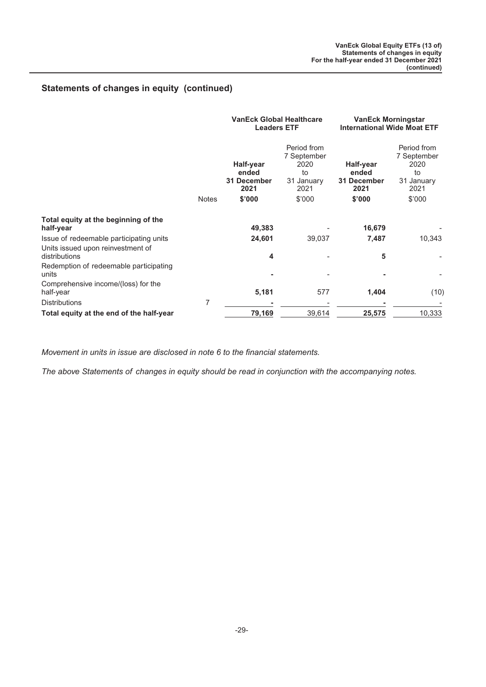|                                                    |              | <b>VanEck Global Healthcare</b><br><b>Leaders ETF</b> |                                                                | <b>VanEck Morningstar</b><br><b>International Wide Moat ETF</b> |                                                                |
|----------------------------------------------------|--------------|-------------------------------------------------------|----------------------------------------------------------------|-----------------------------------------------------------------|----------------------------------------------------------------|
|                                                    |              | Half-year<br>ended<br>31 December<br>2021             | Period from<br>7 September<br>2020<br>to<br>31 January<br>2021 | Half-year<br>ended<br>31 December<br>2021                       | Period from<br>7 September<br>2020<br>to<br>31 January<br>2021 |
|                                                    | <b>Notes</b> | \$'000                                                | \$'000                                                         | \$'000                                                          | \$'000                                                         |
| Total equity at the beginning of the<br>half-year  |              | 49,383                                                |                                                                | 16,679                                                          |                                                                |
| Issue of redeemable participating units            |              | 24,601                                                | 39,037                                                         | 7,487                                                           | 10,343                                                         |
| Units issued upon reinvestment of<br>distributions |              | 4                                                     |                                                                | 5                                                               |                                                                |
| Redemption of redeemable participating<br>units    |              |                                                       |                                                                |                                                                 |                                                                |
| Comprehensive income/(loss) for the<br>half-year   |              | 5,181                                                 | 577                                                            | 1,404                                                           | (10)                                                           |
| <b>Distributions</b>                               | 7            |                                                       |                                                                |                                                                 |                                                                |
| Total equity at the end of the half-year           |              | 79,169                                                | 39,614                                                         | 25,575                                                          | 10,333                                                         |

*Movement in units in issue are disclosed in note 6 to the financial statements.*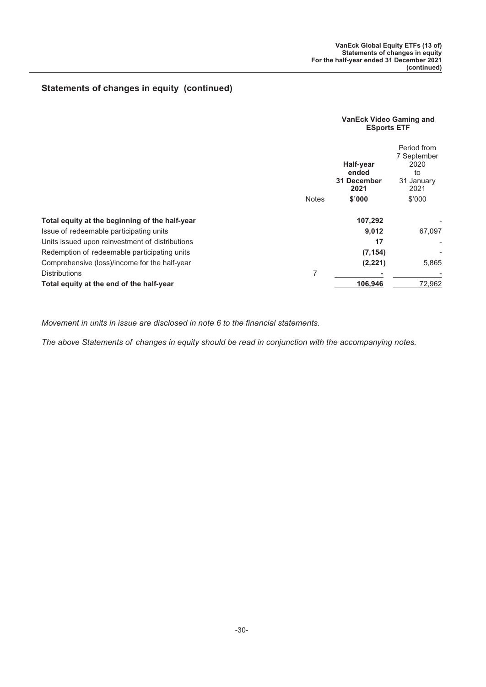|                                                 |              | <b>VanEck Video Gaming and</b><br><b>ESports ETF</b> |                                                                |
|-------------------------------------------------|--------------|------------------------------------------------------|----------------------------------------------------------------|
|                                                 |              | Half-year<br>ended<br>31 December<br>2021            | Period from<br>7 September<br>2020<br>to<br>31 January<br>2021 |
|                                                 | <b>Notes</b> | \$'000                                               | \$'000                                                         |
| Total equity at the beginning of the half-year  |              | 107,292                                              |                                                                |
| Issue of redeemable participating units         |              | 9,012                                                | 67,097                                                         |
| Units issued upon reinvestment of distributions |              | 17                                                   |                                                                |
| Redemption of redeemable participating units    |              | (7, 154)                                             |                                                                |
| Comprehensive (loss)/income for the half-year   |              | (2,221)                                              | 5,865                                                          |
| <b>Distributions</b>                            | 7            |                                                      |                                                                |
| Total equity at the end of the half-year        |              | 106,946                                              | 72,962                                                         |
|                                                 |              |                                                      |                                                                |

*Movement in units in issue are disclosed in note 6 to the financial statements.*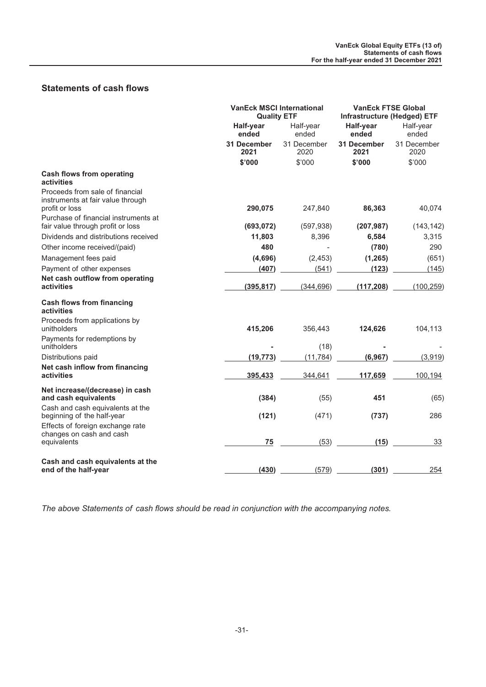### <span id="page-31-0"></span>**Statements of cash flows**

|                                                                                        | <b>VanEck MSCI International</b><br><b>Quality ETF</b> |                     | <b>VanEck FTSE Global</b><br><b>Infrastructure (Hedged) ETF</b> |                     |
|----------------------------------------------------------------------------------------|--------------------------------------------------------|---------------------|-----------------------------------------------------------------|---------------------|
|                                                                                        | Half-year<br>ended                                     | Half-year<br>ended  | Half-year<br>ended                                              | Half-year<br>ended  |
|                                                                                        | 31 December<br>2021                                    | 31 December<br>2020 | <b>31 December</b><br>2021                                      | 31 December<br>2020 |
|                                                                                        | \$'000                                                 | \$'000              | \$'000                                                          | \$'000              |
| <b>Cash flows from operating</b><br>activities                                         |                                                        |                     |                                                                 |                     |
| Proceeds from sale of financial<br>instruments at fair value through<br>profit or loss | 290,075                                                | 247,840             | 86,363                                                          | 40,074              |
| Purchase of financial instruments at<br>fair value through profit or loss              | (693, 072)                                             | (597, 938)          | (207, 987)                                                      | (143, 142)          |
| Dividends and distributions received                                                   | 11,803                                                 | 8,396               | 6,584                                                           | 3,315               |
| Other income received/(paid)                                                           | 480                                                    |                     | (780)                                                           | 290                 |
| Management fees paid                                                                   | (4,696)                                                | (2, 453)            | (1, 265)                                                        | (651)               |
| Payment of other expenses                                                              | (407)                                                  | (541)               | (123)                                                           | (145)               |
| Net cash outflow from operating<br>activities                                          | (395, 817)                                             | (344, 696)          | (117, 208)                                                      | (100, 259)          |
| <b>Cash flows from financing</b><br>activities                                         |                                                        |                     |                                                                 |                     |
| Proceeds from applications by<br>unitholders                                           | 415,206                                                | 356,443             | 124,626                                                         | 104,113             |
| Payments for redemptions by<br>unitholders                                             |                                                        | (18)                |                                                                 |                     |
| Distributions paid                                                                     | (19, 773)                                              | (11, 784)           | (6,967)                                                         | (3,919)             |
| Net cash inflow from financing<br>activities                                           | 395,433                                                | 344,641             | 117,659                                                         | 100,194             |
| Net increase/(decrease) in cash<br>and cash equivalents                                | (384)                                                  | (55)                | 451                                                             | (65)                |
| Cash and cash equivalents at the<br>beginning of the half-year                         | (121)                                                  | (471)               | (737)                                                           | 286                 |
| Effects of foreign exchange rate<br>changes on cash and cash                           |                                                        |                     |                                                                 |                     |
| equivalents                                                                            | 75                                                     | (53)                | (15)                                                            | 33                  |
| Cash and cash equivalents at the<br>end of the half-year                               | (430)                                                  | (579)               | (301)                                                           | 254                 |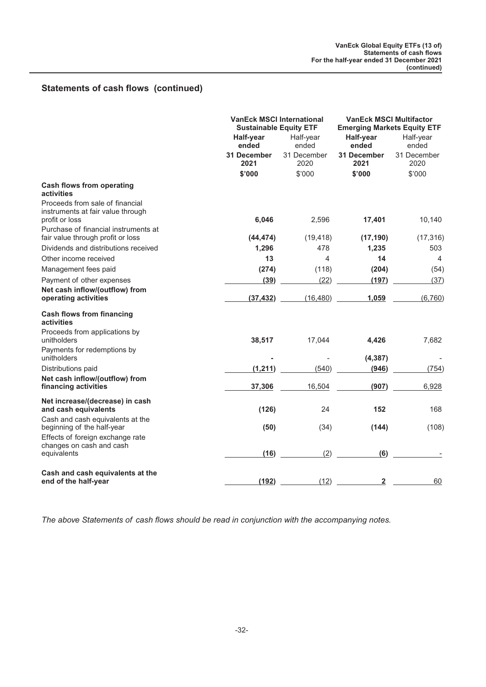|                                                                                        | <b>VanEck MSCI International</b><br><b>Sustainable Equity ETF</b> |                     | <b>VanEck MSCI Multifactor</b><br><b>Emerging Markets Equity ETF</b> |                     |
|----------------------------------------------------------------------------------------|-------------------------------------------------------------------|---------------------|----------------------------------------------------------------------|---------------------|
|                                                                                        | Half-year<br>ended                                                | Half-year<br>ended  | Half-year<br>ended                                                   | Half-year<br>ended  |
|                                                                                        | 31 December<br>2021                                               | 31 December<br>2020 | 31 December<br>2021                                                  | 31 December<br>2020 |
|                                                                                        | \$'000                                                            | \$'000              | \$'000                                                               | \$'000              |
| <b>Cash flows from operating</b><br>activities                                         |                                                                   |                     |                                                                      |                     |
| Proceeds from sale of financial<br>instruments at fair value through<br>profit or loss | 6,046                                                             | 2,596               | 17,401                                                               | 10,140              |
| Purchase of financial instruments at<br>fair value through profit or loss              | (44, 474)                                                         | (19, 418)           | (17, 190)                                                            | (17, 316)           |
| Dividends and distributions received                                                   | 1,296                                                             | 478                 | 1,235                                                                | 503                 |
| Other income received                                                                  | 13                                                                | 4                   | 14                                                                   | $\overline{4}$      |
| Management fees paid                                                                   | (274)                                                             | (118)               | (204)                                                                | (54)                |
| Payment of other expenses                                                              | (39)                                                              | (22)                | (197)                                                                | (37)                |
| Net cash inflow/(outflow) from<br>operating activities                                 | (37, 432)                                                         | (16, 480)           | 1,059                                                                | (6,760)             |
| <b>Cash flows from financing</b><br>activities                                         |                                                                   |                     |                                                                      |                     |
| Proceeds from applications by<br>unitholders                                           | 38,517                                                            | 17,044              | 4,426                                                                | 7,682               |
| Payments for redemptions by<br>unitholders                                             |                                                                   |                     | (4, 387)                                                             |                     |
| Distributions paid                                                                     | (1, 211)                                                          | (540)               | (946)                                                                | (754)               |
| Net cash inflow/(outflow) from<br>financing activities                                 | 37,306                                                            | 16,504              | (907)                                                                | 6,928               |
| Net increase/(decrease) in cash<br>and cash equivalents                                | (126)                                                             | 24                  | 152                                                                  | 168                 |
| Cash and cash equivalents at the<br>beginning of the half-year                         | (50)                                                              | (34)                | (144)                                                                | (108)               |
| Effects of foreign exchange rate<br>changes on cash and cash<br>equivalents            | (16)                                                              | (2)                 | (6)                                                                  |                     |
| Cash and cash equivalents at the<br>end of the half-year                               | (192)                                                             | (12)                | $\overline{2}$                                                       | 60                  |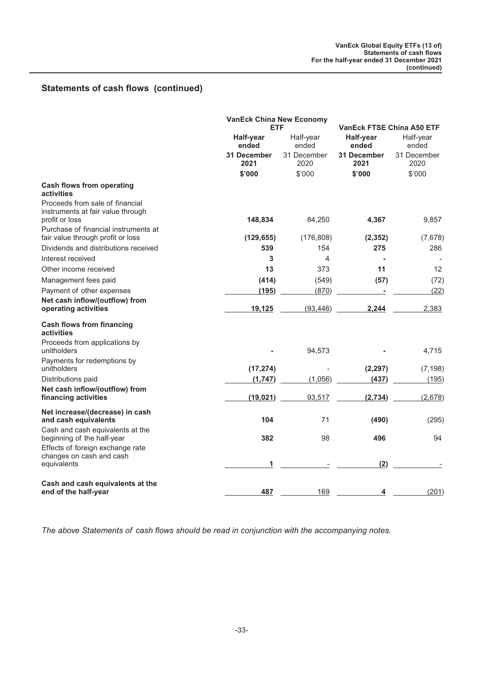|                                                                                        |                            | <b>VanEck China New Economy</b> |                                  |                     |
|----------------------------------------------------------------------------------------|----------------------------|---------------------------------|----------------------------------|---------------------|
|                                                                                        | <b>ETF</b>                 |                                 | <b>VanEck FTSE China A50 ETF</b> |                     |
|                                                                                        | Half-year<br>ended         | Half-year<br>ended              | Half-year<br>ended               | Half-year<br>ended  |
|                                                                                        | <b>31 December</b><br>2021 | 31 December<br>2020             | 31 December<br>2021              | 31 December<br>2020 |
|                                                                                        | \$'000                     | \$'000                          | \$'000                           | \$'000              |
| <b>Cash flows from operating</b><br>activities                                         |                            |                                 |                                  |                     |
| Proceeds from sale of financial<br>instruments at fair value through<br>profit or loss | 148,834                    | 84,250                          | 4,367                            | 9,857               |
| Purchase of financial instruments at<br>fair value through profit or loss              | (129, 655)                 | (176, 808)                      | (2, 352)                         | (7,678)             |
| Dividends and distributions received                                                   | 539                        | 154                             | 275                              | 286                 |
| Interest received                                                                      | 3                          | 4                               |                                  |                     |
| Other income received                                                                  | 13                         | 373                             | 11                               | 12                  |
| Management fees paid                                                                   | (414)                      | (549)                           | (57)                             | (72)                |
| Payment of other expenses                                                              | (195)                      | (870)                           |                                  | (22)                |
| Net cash inflow/(outflow) from<br>operating activities                                 | 19,125                     | (93, 446)                       | 2,244                            | 2,383               |
| <b>Cash flows from financing</b><br>activities                                         |                            |                                 |                                  |                     |
| Proceeds from applications by<br>unitholders                                           |                            | 94,573                          |                                  | 4,715               |
| Payments for redemptions by<br>unitholders                                             | (17, 274)                  |                                 | (2, 297)                         | (7, 198)            |
| Distributions paid                                                                     | (1,747)                    | (1,056)                         | (437)                            | (195)               |
| Net cash inflow/(outflow) from<br>financing activities                                 | (19, 021)                  | 93,517                          | (2,734)                          | (2,678)             |
| Net increase/(decrease) in cash<br>and cash equivalents                                | 104                        | 71                              | (490)                            | (295)               |
| Cash and cash equivalents at the<br>beginning of the half-year                         | 382                        | 98                              | 496                              | 94                  |
| Effects of foreign exchange rate<br>changes on cash and cash<br>equivalents            | 1                          |                                 | (2)                              |                     |
|                                                                                        |                            |                                 |                                  |                     |
| Cash and cash equivalents at the<br>end of the half-year                               | 487                        | 169                             | 4                                | (201)               |
|                                                                                        |                            |                                 |                                  |                     |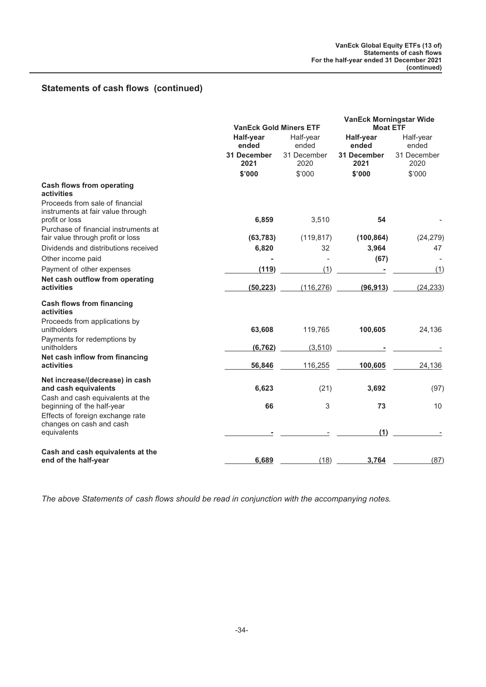|                                                                                        |                            | <b>VanEck Gold Miners ETF</b> |                     | <b>VanEck Morningstar Wide</b><br><b>Moat ETF</b> |  |
|----------------------------------------------------------------------------------------|----------------------------|-------------------------------|---------------------|---------------------------------------------------|--|
|                                                                                        | Half-year<br>ended         | Half-year<br>ended            | Half-year<br>ended  | Half-year<br>ended                                |  |
|                                                                                        | <b>31 December</b><br>2021 | 31 December<br>2020           | 31 December<br>2021 | 31 December<br>2020                               |  |
|                                                                                        | \$'000                     | \$'000                        | \$'000              | \$'000                                            |  |
| <b>Cash flows from operating</b><br>activities                                         |                            |                               |                     |                                                   |  |
| Proceeds from sale of financial<br>instruments at fair value through<br>profit or loss | 6,859                      | 3,510                         | 54                  |                                                   |  |
| Purchase of financial instruments at<br>fair value through profit or loss              | (63, 783)                  | (119, 817)                    | (100, 864)          | (24, 279)                                         |  |
| Dividends and distributions received                                                   | 6,820                      | 32                            | 3,964               | 47                                                |  |
| Other income paid                                                                      |                            |                               | (67)                |                                                   |  |
| Payment of other expenses                                                              | (119)                      | (1)                           |                     | (1)                                               |  |
| Net cash outflow from operating<br>activities                                          | (50, 223)                  | (116, 276)                    | (96, 913)           | (24, 233)                                         |  |
| <b>Cash flows from financing</b><br>activities                                         |                            |                               |                     |                                                   |  |
| Proceeds from applications by<br>unitholders                                           | 63,608                     | 119,765                       | 100,605             | 24,136                                            |  |
| Payments for redemptions by<br>unitholders                                             | (6, 762)                   | (3, 510)                      |                     |                                                   |  |
| Net cash inflow from financing<br>activities                                           | 56,846                     | 116,255                       | 100,605             | 24,136                                            |  |
| Net increase/(decrease) in cash<br>and cash equivalents                                | 6,623                      | (21)                          | 3,692               | (97)                                              |  |
| Cash and cash equivalents at the<br>beginning of the half-year                         | 66                         | 3                             | 73                  | 10                                                |  |
| Effects of foreign exchange rate<br>changes on cash and cash                           |                            |                               | (1)                 |                                                   |  |
| equivalents                                                                            |                            |                               |                     |                                                   |  |
| Cash and cash equivalents at the<br>end of the half-year                               | 6.689                      | (18)                          | 3,764               | (87)                                              |  |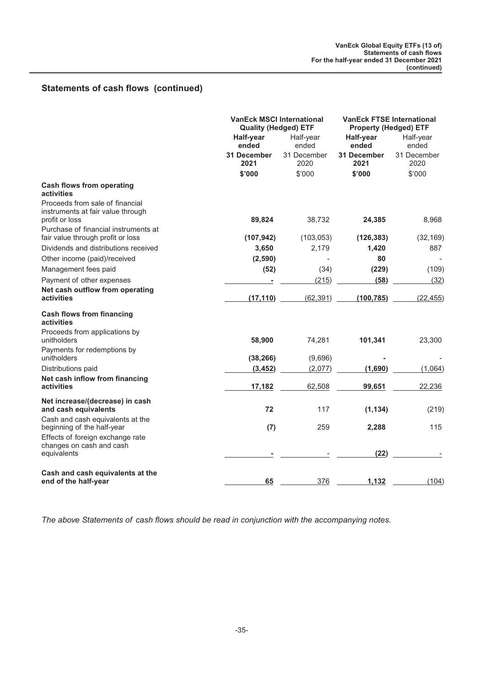|                                                                                        | <b>VanEck MSCI International</b><br><b>Quality (Hedged) ETF</b> |                     | <b>VanEck FTSE International</b><br><b>Property (Hedged) ETF</b> |                     |
|----------------------------------------------------------------------------------------|-----------------------------------------------------------------|---------------------|------------------------------------------------------------------|---------------------|
|                                                                                        | Half-vear<br>ended                                              | Half-year<br>ended  | Half-year<br>ended                                               | Half-year<br>ended  |
|                                                                                        | <b>31 December</b><br>2021                                      | 31 December<br>2020 | <b>31 December</b><br>2021                                       | 31 December<br>2020 |
|                                                                                        | \$'000                                                          | \$'000              | \$'000                                                           | \$'000              |
| <b>Cash flows from operating</b><br>activities                                         |                                                                 |                     |                                                                  |                     |
| Proceeds from sale of financial<br>instruments at fair value through<br>profit or loss | 89,824                                                          | 38,732              | 24,385                                                           | 8,968               |
| Purchase of financial instruments at<br>fair value through profit or loss              | (107, 942)                                                      | (103, 053)          | (126, 383)                                                       | (32, 169)           |
| Dividends and distributions received                                                   | 3,650                                                           | 2,179               | 1,420                                                            | 887                 |
| Other income (paid)/received                                                           | (2,590)                                                         |                     | 80                                                               |                     |
| Management fees paid                                                                   | (52)                                                            | (34)                | (229)                                                            | (109)               |
| Payment of other expenses                                                              |                                                                 | (215)               | (58)                                                             | (32)                |
| Net cash outflow from operating<br>activities                                          | (17, 110)                                                       | (62, 391)           | (100, 785)                                                       | (22, 455)           |
| <b>Cash flows from financing</b><br>activities                                         |                                                                 |                     |                                                                  |                     |
| Proceeds from applications by<br>unitholders                                           | 58,900                                                          | 74,281              | 101,341                                                          | 23,300              |
| Payments for redemptions by<br>unitholders                                             | (38, 266)                                                       | (9,696)             |                                                                  |                     |
| Distributions paid                                                                     | (3, 452)                                                        | (2,077)             | (1,690)                                                          | (1,064)             |
| Net cash inflow from financing<br>activities                                           | 17,182                                                          | 62,508              | 99,651                                                           | 22,236              |
| Net increase/(decrease) in cash<br>and cash equivalents                                | 72                                                              | 117                 | (1, 134)                                                         | (219)               |
| Cash and cash equivalents at the<br>beginning of the half-year                         | (7)                                                             | 259                 | 2,288                                                            | 115                 |
| Effects of foreign exchange rate<br>changes on cash and cash<br>equivalents            |                                                                 |                     | (22)                                                             |                     |
| Cash and cash equivalents at the<br>end of the half-year                               | 65                                                              | 376                 | 1,132                                                            | (104)               |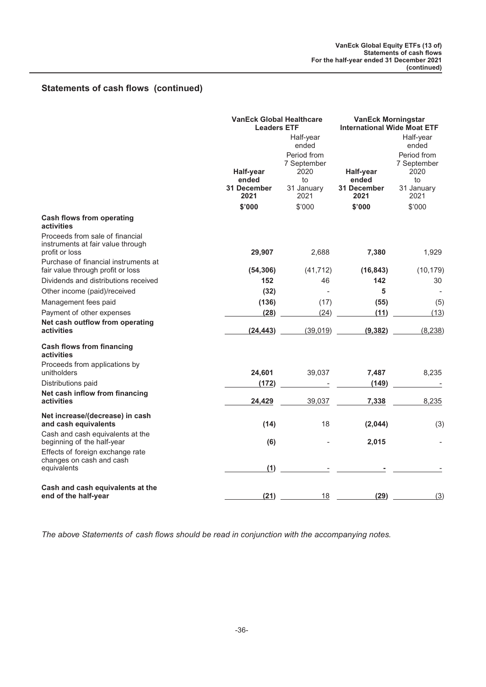|                                                                                                    | <b>VanEck Global Healthcare</b><br><b>Leaders ETF</b> |                                                        | <b>VanEck Morningstar</b><br><b>International Wide Moat ETF</b> |                                                        |
|----------------------------------------------------------------------------------------------------|-------------------------------------------------------|--------------------------------------------------------|-----------------------------------------------------------------|--------------------------------------------------------|
|                                                                                                    |                                                       | Half-year<br>ended                                     |                                                                 | Half-year<br>ended                                     |
|                                                                                                    | Half-year<br>ended<br>31 December                     | Period from<br>7 September<br>2020<br>to<br>31 January | Half-year<br>ended<br>31 December                               | Period from<br>7 September<br>2020<br>to<br>31 January |
|                                                                                                    | 2021                                                  | 2021                                                   | 2021                                                            | 2021                                                   |
|                                                                                                    | \$'000                                                | \$'000                                                 | \$'000                                                          | \$'000                                                 |
| <b>Cash flows from operating</b><br>activities                                                     |                                                       |                                                        |                                                                 |                                                        |
| Proceeds from sale of financial<br>instruments at fair value through                               |                                                       |                                                        |                                                                 |                                                        |
| profit or loss<br>Purchase of financial instruments at                                             | 29,907                                                | 2,688                                                  | 7,380                                                           | 1,929                                                  |
| fair value through profit or loss                                                                  | (54, 306)                                             | (41, 712)                                              | (16, 843)                                                       | (10, 179)                                              |
| Dividends and distributions received                                                               | 152                                                   | 46                                                     | 142                                                             | 30                                                     |
| Other income (paid)/received                                                                       | (32)                                                  | $\overline{a}$                                         | 5                                                               |                                                        |
| Management fees paid                                                                               | (136)                                                 | (17)                                                   | (55)                                                            | (5)                                                    |
| Payment of other expenses                                                                          | (28)                                                  | (24)                                                   | (11)                                                            | (13)                                                   |
| Net cash outflow from operating<br>activities                                                      | (24, 443)                                             | (39,019)                                               | (9, 382)                                                        | (8, 238)                                               |
| <b>Cash flows from financing</b><br>activities                                                     |                                                       |                                                        |                                                                 |                                                        |
| Proceeds from applications by<br>unitholders                                                       | 24,601                                                | 39,037                                                 | 7,487                                                           | 8,235                                                  |
| Distributions paid                                                                                 | (172)                                                 |                                                        | (149)                                                           |                                                        |
| Net cash inflow from financing<br>activities                                                       | 24,429                                                | 39,037                                                 | 7,338                                                           | 8,235                                                  |
| Net increase/(decrease) in cash<br>and cash equivalents                                            | (14)                                                  | 18                                                     | (2,044)                                                         | (3)                                                    |
| Cash and cash equivalents at the<br>beginning of the half-year<br>Effects of foreign exchange rate | (6)                                                   |                                                        | 2,015                                                           |                                                        |
| changes on cash and cash<br>equivalents                                                            | (1)                                                   |                                                        |                                                                 |                                                        |
| Cash and cash equivalents at the<br>end of the half-year                                           | (21)                                                  | 18                                                     | (29)                                                            | (3)                                                    |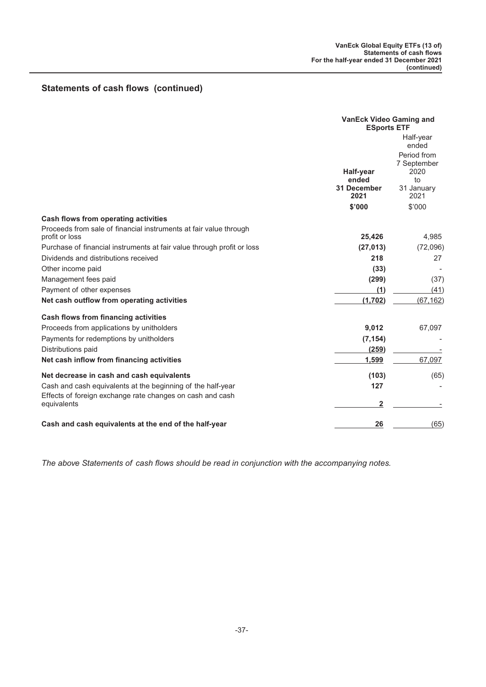|                                                                                                                  | <b>VanEck Video Gaming and</b><br><b>ESports ETF</b> |                                                                                      |
|------------------------------------------------------------------------------------------------------------------|------------------------------------------------------|--------------------------------------------------------------------------------------|
|                                                                                                                  | Half-year<br>ended<br><b>31 December</b><br>2021     | Half-year<br>ended<br>Period from<br>7 September<br>2020<br>to<br>31 January<br>2021 |
|                                                                                                                  | \$'000                                               | \$'000                                                                               |
| <b>Cash flows from operating activities</b><br>Proceeds from sale of financial instruments at fair value through |                                                      |                                                                                      |
| profit or loss                                                                                                   | 25,426                                               | 4,985                                                                                |
| Purchase of financial instruments at fair value through profit or loss                                           | (27, 013)                                            | (72,096)                                                                             |
| Dividends and distributions received                                                                             | 218                                                  | 27                                                                                   |
| Other income paid                                                                                                | (33)                                                 |                                                                                      |
| Management fees paid                                                                                             | (299)                                                | (37)                                                                                 |
| Payment of other expenses                                                                                        | (1)                                                  | (41)                                                                                 |
| Net cash outflow from operating activities                                                                       | (1, 702)                                             | (67, 162)                                                                            |
| <b>Cash flows from financing activities</b>                                                                      |                                                      |                                                                                      |
| Proceeds from applications by unitholders                                                                        | 9,012                                                | 67,097                                                                               |
| Payments for redemptions by unitholders                                                                          | (7, 154)                                             |                                                                                      |
| Distributions paid                                                                                               | (259)                                                |                                                                                      |
| Net cash inflow from financing activities                                                                        | 1,599                                                | 67,097                                                                               |
| Net decrease in cash and cash equivalents                                                                        | (103)                                                | (65)                                                                                 |
| Cash and cash equivalents at the beginning of the half-year                                                      | 127                                                  |                                                                                      |
| Effects of foreign exchange rate changes on cash and cash<br>equivalents                                         | 2                                                    |                                                                                      |
| Cash and cash equivalents at the end of the half-year                                                            | 26                                                   | (65)                                                                                 |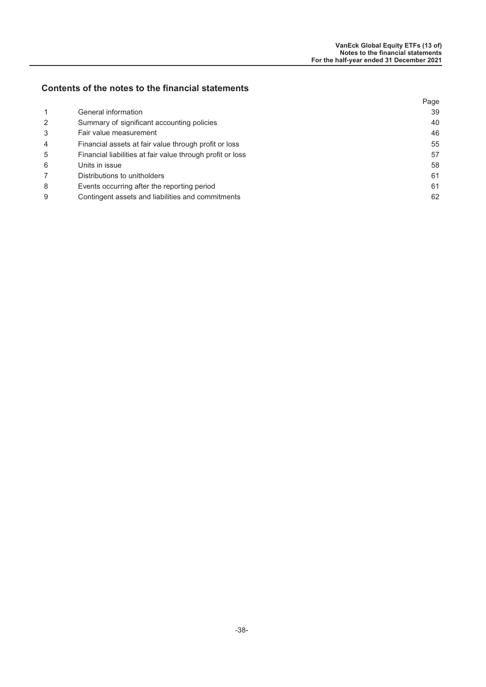### **Contents of the notes to the financial statements**

|   |                                                            | Page |
|---|------------------------------------------------------------|------|
| 1 | General information                                        | 39   |
| 2 | Summary of significant accounting policies                 | 40   |
| 3 | Fair value measurement                                     | 46   |
| 4 | Financial assets at fair value through profit or loss      | 55   |
| 5 | Financial liabilities at fair value through profit or loss | 57   |
| 6 | Units in issue                                             | 58   |
|   | Distributions to unitholders                               | 61   |
| 8 | Events occurring after the reporting period                | 61   |
| 9 | Contingent assets and liabilities and commitments          | 62   |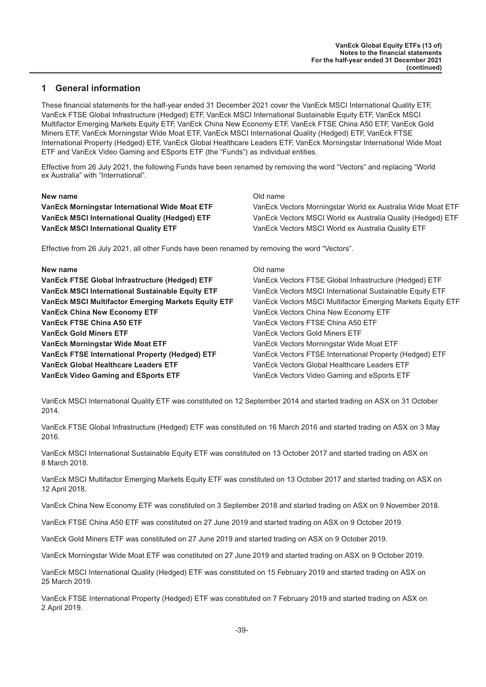### <span id="page-39-0"></span>**1 General information**

These financial statements for the half-year ended 31 December 2021 cover the VanEck MSCI International Quality ETF, VanEck FTSE Global Infrastructure (Hedged) ETF, VanEck MSCI International Sustainable Equity ETF, VanEck MSCI Multifactor Emerging Markets Equity ETF, VanEck China New Economy ETF, VanEck FTSE China A50 ETF, VanEck Gold Miners ETF, VanEck Morningstar Wide Moat ETF, VanEck MSCI International Quality (Hedged) ETF, VanEck FTSE International Property (Hedged) ETF, VanEck Global Healthcare Leaders ETF, VanEck Morningstar International Wide Moat ETF and VanEck Video Gaming and ESports ETF (the "Funds") as individual entities.

Effective from 26 July 2021, the following Funds have been renamed by removing the word "Vectors" and replacing "World ex Australia" with "International".

#### **New name** Old name

**VanEck MSCI International Quality ETF** VanEck Vectors MSCI World ex Australia Quality ETF

**VanEck Morningstar International Wide Moat ETF** VanEck Vectors Morningstar World ex Australia Wide Moat ETF **VanEck MSCI International Quality (Hedged) ETF** VanEck Vectors MSCI World ex Australia Quality (Hedged) ETF

Effective from 26 July 2021, all other Funds have been renamed by removing the word "Vectors".

#### **New name** Old name **New name** Old name

**VanEck FTSE Global Infrastructure (Hedged) ETF VanEck MSCI International Sustainable Equity ETF VanEck MSCI Multifactor Emerging Markets Equity ETF VanEck China New Economy ETF VanEck FTSE China A50 ETF VanEck Gold Miners ETF** VanEck Vectors Gold Miners ETF **VanEck Morningstar Wide Moat ETF VanEck FTSE International Property (Hedged) ETF VanEck Global Healthcare Leaders ETF VanEck Video Gaming and ESports ETF** 

| VanEck Vectors FTSE Global Infrastructure (Hedged) ETF      |
|-------------------------------------------------------------|
| VanEck Vectors MSCI International Sustainable Equity ETF    |
| VanEck Vectors MSCI Multifactor Emerging Markets Equity ETF |
| VanEck Vectors China New Economy ETF                        |
| VanEck Vectors FTSE China A50 ETF                           |
| VanEck Vectors Gold Miners ETF                              |
| VanEck Vectors Morningstar Wide Moat ETF                    |
| VanEck Vectors FTSE International Property (Hedged) ETF     |
| VanEck Vectors Global Healthcare Leaders ETF                |
| VanEck Vectors Video Gaming and eSports ETF                 |

VanEck MSCI International Quality ETF was constituted on 12 September 2014 and started trading on ASX on 31 October 2014.

VanEck FTSE Global Infrastructure (Hedged) ETF was constituted on 16 March 2016 and started trading on ASX on 3 May 2016.

VanEck MSCI International Sustainable Equity ETF was constituted on 13 October 2017 and started trading on ASX on 8 March 2018.

VanEck MSCI Multifactor Emerging Markets Equity ETF was constituted on 13 October 2017 and started trading on ASX on 12 April 2018.

VanEck China New Economy ETF was constituted on 3 September 2018 and started trading on ASX on 9 November 2018.

VanEck FTSE China A50 ETF was constituted on 27 June 2019 and started trading on ASX on 9 October 2019.

VanEck Gold Miners ETF was constituted on 27 June 2019 and started trading on ASX on 9 October 2019.

VanEck Morningstar Wide Moat ETF was constituted on 27 June 2019 and started trading on ASX on 9 October 2019.

VanEck MSCI International Quality (Hedged) ETF was constituted on 15 February 2019 and started trading on ASX on 25 March 2019.

VanEck FTSE International Property (Hedged) ETF was constituted on 7 February 2019 and started trading on ASX on 2 April 2019.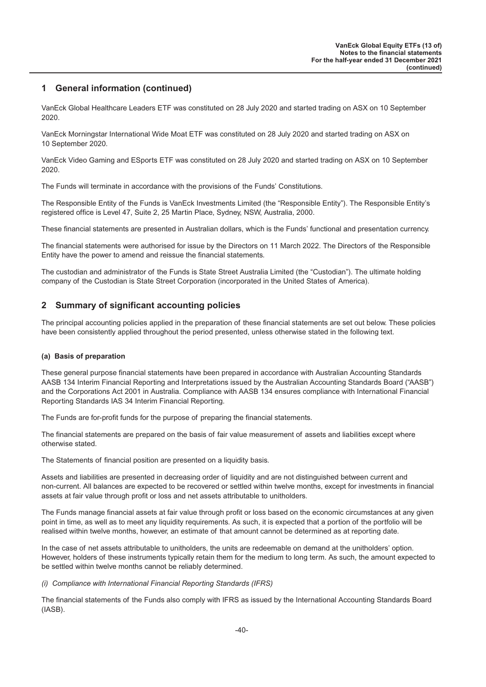### <span id="page-40-0"></span>**1 General information (continued)**

VanEck Global Healthcare Leaders ETF was constituted on 28 July 2020 and started trading on ASX on 10 September 2020.

VanEck Morningstar International Wide Moat ETF was constituted on 28 July 2020 and started trading on ASX on 10 September 2020.

VanEck Video Gaming and ESports ETF was constituted on 28 July 2020 and started trading on ASX on 10 September 2020.

The Funds will terminate in accordance with the provisions of the Funds' Constitutions.

The Responsible Entity of the Funds is VanEck Investments Limited (the "Responsible Entity"). The Responsible Entity's registered office is Level 47, Suite 2, 25 Martin Place, Sydney, NSW, Australia, 2000.

These financial statements are presented in Australian dollars, which is the Funds' functional and presentation currency.

The financial statements were authorised for issue by the Directors on 11 March 2022. The Directors of the Responsible Entity have the power to amend and reissue the financial statements.

The custodian and administrator of the Funds is State Street Australia Limited (the "Custodian"). The ultimate holding company of the Custodian is State Street Corporation (incorporated in the United States of America).

### **2 Summary of significant accounting policies**

The principal accounting policies applied in the preparation of these financial statements are set out below. These policies have been consistently applied throughout the period presented, unless otherwise stated in the following text.

#### **(a) Basis of preparation**

These general purpose financial statements have been prepared in accordance with Australian Accounting Standards AASB 134 Interim Financial Reporting and Interpretations issued by the Australian Accounting Standards Board ("AASB") and the Corporations Act 2001 in Australia. Compliance with AASB 134 ensures compliance with International Financial Reporting Standards IAS 34 Interim Financial Reporting.

The Funds are for-profit funds for the purpose of preparing the financial statements.

The financial statements are prepared on the basis of fair value measurement of assets and liabilities except where otherwise stated.

The Statements of financial position are presented on a liquidity basis.

Assets and liabilities are presented in decreasing order of liquidity and are not distinguished between current and non-current. All balances are expected to be recovered or settled within twelve months, except for investments in financial assets at fair value through profit or loss and net assets attributable to unitholders.

The Funds manage financial assets at fair value through profit or loss based on the economic circumstances at any given point in time, as well as to meet any liquidity requirements. As such, it is expected that a portion of the portfolio will be realised within twelve months, however, an estimate of that amount cannot be determined as at reporting date.

In the case of net assets attributable to unitholders, the units are redeemable on demand at the unitholders' option. However, holders of these instruments typically retain them for the medium to long term. As such, the amount expected to be settled within twelve months cannot be reliably determined.

#### *(i) Compliance with International Financial Reporting Standards (IFRS)*

The financial statements of the Funds also comply with IFRS as issued by the International Accounting Standards Board (IASB).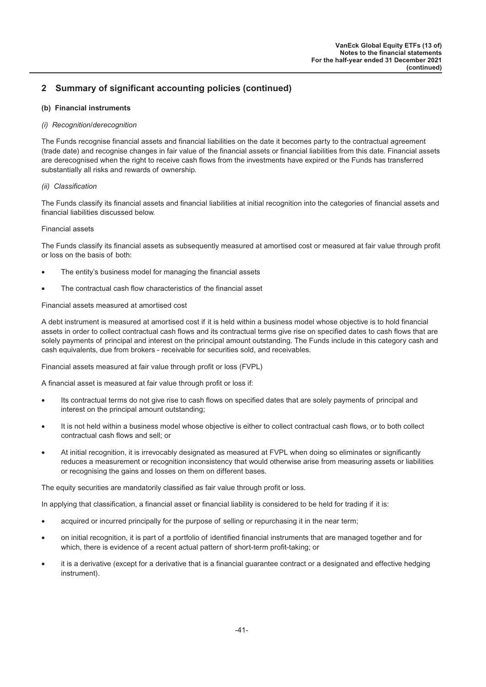#### **(b) Financial instruments**

#### *(i) Recognition/derecognition*

The Funds recognise financial assets and financial liabilities on the date it becomes party to the contractual agreement (trade date) and recognise changes in fair value of the financial assets or financial liabilities from this date. Financial assets are derecognised when the right to receive cash flows from the investments have expired or the Funds has transferred substantially all risks and rewards of ownership.

#### *(ii) Classification*

The Funds classify its financial assets and financial liabilities at initial recognition into the categories of financial assets and financial liabilities discussed below.

#### Financial assets

The Funds classify its financial assets as subsequently measured at amortised cost or measured at fair value through profit or loss on the basis of both:

- The entity's business model for managing the financial assets
- The contractual cash flow characteristics of the financial asset

#### Financial assets measured at amortised cost

A debt instrument is measured at amortised cost if it is held within a business model whose objective is to hold financial assets in order to collect contractual cash flows and its contractual terms give rise on specified dates to cash flows that are solely payments of principal and interest on the principal amount outstanding. The Funds include in this category cash and cash equivalents, due from brokers - receivable for securities sold, and receivables.

Financial assets measured at fair value through profit or loss (FVPL)

A financial asset is measured at fair value through profit or loss if:

- Its contractual terms do not give rise to cash flows on specified dates that are solely payments of principal and interest on the principal amount outstanding;
- It is not held within a business model whose objective is either to collect contractual cash flows, or to both collect contractual cash flows and sell; or
- At initial recognition, it is irrevocably designated as measured at FVPL when doing so eliminates or significantly reduces a measurement or recognition inconsistency that would otherwise arise from measuring assets or liabilities or recognising the gains and losses on them on different bases.

The equity securities are mandatorily classified as fair value through profit or loss.

In applying that classification, a financial asset or financial liability is considered to be held for trading if it is:

- acquired or incurred principally for the purpose of selling or repurchasing it in the near term;
- on initial recognition, it is part of a portfolio of identified financial instruments that are managed together and for which, there is evidence of a recent actual pattern of short-term profit-taking; or
- it is a derivative (except for a derivative that is a financial guarantee contract or a designated and effective hedging instrument).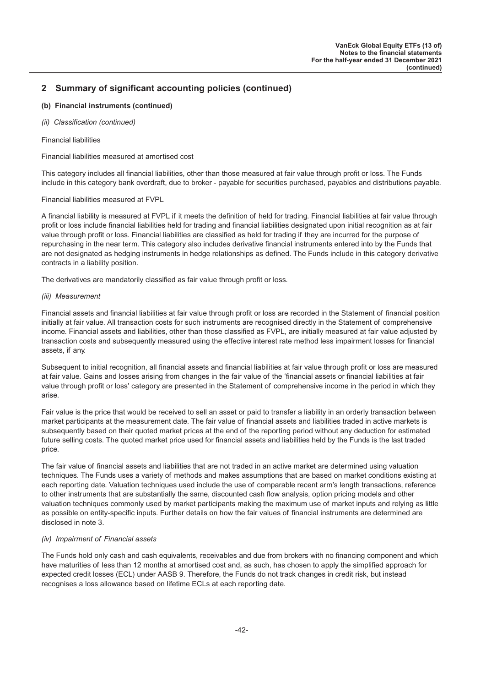#### **(b) Financial instruments (continued)**

#### *(ii) Classification (continued)*

#### Financial liabilities

#### Financial liabilities measured at amortised cost

This category includes all financial liabilities, other than those measured at fair value through profit or loss. The Funds include in this category bank overdraft, due to broker - payable for securities purchased, payables and distributions payable.

#### Financial liabilities measured at FVPL

A financial liability is measured at FVPL if it meets the definition of held for trading. Financial liabilities at fair value through profit or loss include financial liabilities held for trading and financial liabilities designated upon initial recognition as at fair value through profit or loss. Financial liabilities are classified as held for trading if they are incurred for the purpose of repurchasing in the near term. This category also includes derivative financial instruments entered into by the Funds that are not designated as hedging instruments in hedge relationships as defined. The Funds include in this category derivative contracts in a liability position.

The derivatives are mandatorily classified as fair value through profit or loss.

#### *(iii) Measurement*

Financial assets and financial liabilities at fair value through profit or loss are recorded in the Statement of financial position initially at fair value. All transaction costs for such instruments are recognised directly in the Statement of comprehensive income. Financial assets and liabilities, other than those classified as FVPL, are initially measured at fair value adjusted by transaction costs and subsequently measured using the effective interest rate method less impairment losses for financial assets, if any.

Subsequent to initial recognition, all financial assets and financial liabilities at fair value through profit or loss are measured at fair value. Gains and losses arising from changes in the fair value of the 'financial assets or financial liabilities at fair value through profit or loss' category are presented in the Statement of comprehensive income in the period in which they arise.

Fair value is the price that would be received to sell an asset or paid to transfer a liability in an orderly transaction between market participants at the measurement date. The fair value of financial assets and liabilities traded in active markets is subsequently based on their quoted market prices at the end of the reporting period without any deduction for estimated future selling costs. The quoted market price used for financial assets and liabilities held by the Funds is the last traded price.

The fair value of financial assets and liabilities that are not traded in an active market are determined using valuation techniques. The Funds uses a variety of methods and makes assumptions that are based on market conditions existing at each reporting date. Valuation techniques used include the use of comparable recent arm's length transactions, reference to other instruments that are substantially the same, discounted cash flow analysis, option pricing models and other valuation techniques commonly used by market participants making the maximum use of market inputs and relying as little as possible on entity-specific inputs. Further details on how the fair values of financial instruments are determined are disclosed in note 3.

#### *(iv) Impairment of Financial assets*

The Funds hold only cash and cash equivalents, receivables and due from brokers with no financing component and which have maturities of less than 12 months at amortised cost and, as such, has chosen to apply the simplified approach for expected credit losses (ECL) under AASB 9. Therefore, the Funds do not track changes in credit risk, but instead recognises a loss allowance based on lifetime ECLs at each reporting date.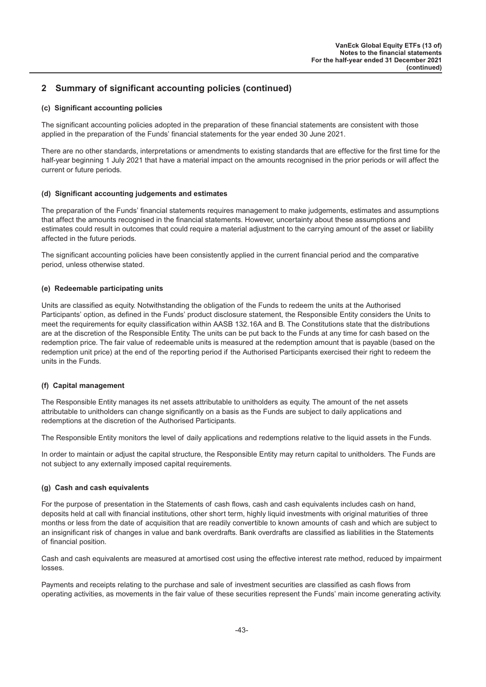#### **(c) Significant accounting policies**

The significant accounting policies adopted in the preparation of these financial statements are consistent with those applied in the preparation of the Funds' financial statements for the year ended 30 June 2021.

There are no other standards, interpretations or amendments to existing standards that are effective for the first time for the half-year beginning 1 July 2021 that have a material impact on the amounts recognised in the prior periods or will affect the current or future periods.

#### **(d) Significant accounting judgements and estimates**

The preparation of the Funds' financial statements requires management to make judgements, estimates and assumptions that affect the amounts recognised in the financial statements. However, uncertainty about these assumptions and estimates could result in outcomes that could require a material adjustment to the carrying amount of the asset or liability affected in the future periods.

The significant accounting policies have been consistently applied in the current financial period and the comparative period, unless otherwise stated.

#### **(e) Redeemable participating units**

Units are classified as equity. Notwithstanding the obligation of the Funds to redeem the units at the Authorised Participants' option, as defined in the Funds' product disclosure statement, the Responsible Entity considers the Units to meet the requirements for equity classification within AASB 132.16A and B. The Constitutions state that the distributions are at the discretion of the Responsible Entity. The units can be put back to the Funds at any time for cash based on the redemption price. The fair value of redeemable units is measured at the redemption amount that is payable (based on the redemption unit price) at the end of the reporting period if the Authorised Participants exercised their right to redeem the units in the Funds.

#### **(f) Capital management**

The Responsible Entity manages its net assets attributable to unitholders as equity. The amount of the net assets attributable to unitholders can change significantly on a basis as the Funds are subject to daily applications and redemptions at the discretion of the Authorised Participants.

The Responsible Entity monitors the level of daily applications and redemptions relative to the liquid assets in the Funds.

In order to maintain or adjust the capital structure, the Responsible Entity may return capital to unitholders. The Funds are not subject to any externally imposed capital requirements.

#### **(g) Cash and cash equivalents**

For the purpose of presentation in the Statements of cash flows, cash and cash equivalents includes cash on hand, deposits held at call with financial institutions, other short term, highly liquid investments with original maturities of three months or less from the date of acquisition that are readily convertible to known amounts of cash and which are subject to an insignificant risk of changes in value and bank overdrafts. Bank overdrafts are classified as liabilities in the Statements of financial position.

Cash and cash equivalents are measured at amortised cost using the effective interest rate method, reduced by impairment losses.

Payments and receipts relating to the purchase and sale of investment securities are classified as cash flows from operating activities, as movements in the fair value of these securities represent the Funds' main income generating activity.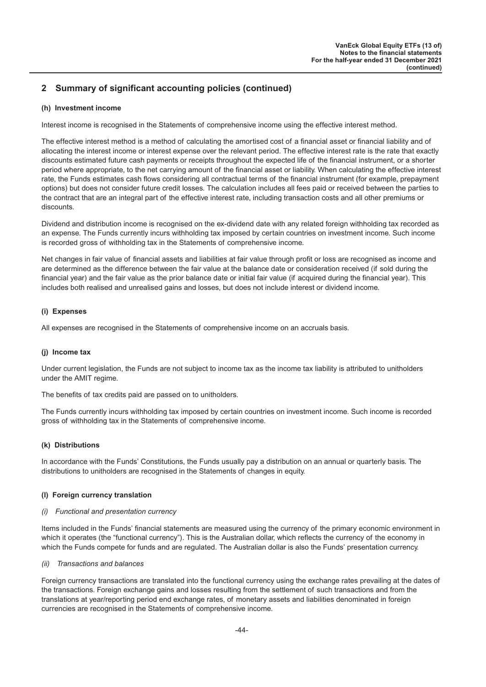#### **(h) Investment income**

Interest income is recognised in the Statements of comprehensive income using the effective interest method.

The effective interest method is a method of calculating the amortised cost of a financial asset or financial liability and of allocating the interest income or interest expense over the relevant period. The effective interest rate is the rate that exactly discounts estimated future cash payments or receipts throughout the expected life of the financial instrument, or a shorter period where appropriate, to the net carrying amount of the financial asset or liability. When calculating the effective interest rate, the Funds estimates cash flows considering all contractual terms of the financial instrument (for example, prepayment options) but does not consider future credit losses. The calculation includes all fees paid or received between the parties to the contract that are an integral part of the effective interest rate, including transaction costs and all other premiums or discounts.

Dividend and distribution income is recognised on the ex-dividend date with any related foreign withholding tax recorded as an expense. The Funds currently incurs withholding tax imposed by certain countries on investment income. Such income is recorded gross of withholding tax in the Statements of comprehensive income.

Net changes in fair value of financial assets and liabilities at fair value through profit or loss are recognised as income and are determined as the difference between the fair value at the balance date or consideration received (if sold during the financial year) and the fair value as the prior balance date or initial fair value (if acquired during the financial year). This includes both realised and unrealised gains and losses, but does not include interest or dividend income.

#### **(i) Expenses**

All expenses are recognised in the Statements of comprehensive income on an accruals basis.

#### **(j) Income tax**

Under current legislation, the Funds are not subject to income tax as the income tax liability is attributed to unitholders under the AMIT regime.

The benefits of tax credits paid are passed on to unitholders.

The Funds currently incurs withholding tax imposed by certain countries on investment income. Such income is recorded gross of withholding tax in the Statements of comprehensive income.

#### **(k) Distributions**

In accordance with the Funds' Constitutions, the Funds usually pay a distribution on an annual or quarterly basis. The distributions to unitholders are recognised in the Statements of changes in equity.

#### **(l) Foreign currency translation**

#### *(i) Functional and presentation currency*

Items included in the Funds' financial statements are measured using the currency of the primary economic environment in which it operates (the "functional currency"). This is the Australian dollar, which reflects the currency of the economy in which the Funds compete for funds and are regulated. The Australian dollar is also the Funds' presentation currency.

#### *(ii) Transactions and balances*

Foreign currency transactions are translated into the functional currency using the exchange rates prevailing at the dates of the transactions. Foreign exchange gains and losses resulting from the settlement of such transactions and from the translations at year/reporting period end exchange rates, of monetary assets and liabilities denominated in foreign currencies are recognised in the Statements of comprehensive income.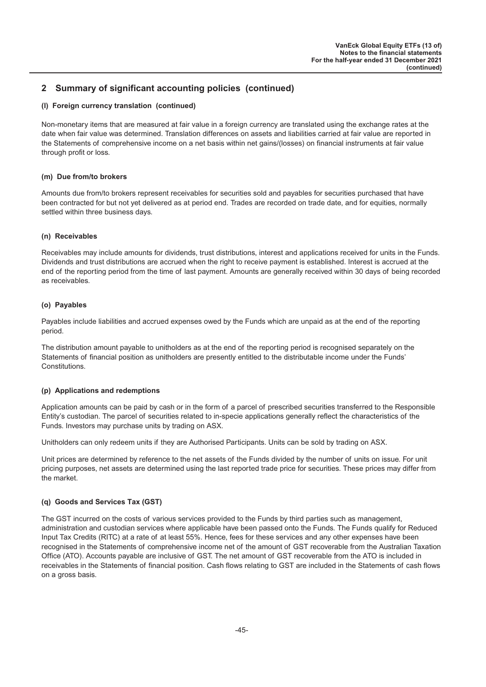#### **(l) Foreign currency translation (continued)**

Non-monetary items that are measured at fair value in a foreign currency are translated using the exchange rates at the date when fair value was determined. Translation differences on assets and liabilities carried at fair value are reported in the Statements of comprehensive income on a net basis within net gains/(losses) on financial instruments at fair value through profit or loss.

#### **(m) Due from/to brokers**

Amounts due from/to brokers represent receivables for securities sold and payables for securities purchased that have been contracted for but not yet delivered as at period end. Trades are recorded on trade date, and for equities, normally settled within three business days.

#### **(n) Receivables**

Receivables may include amounts for dividends, trust distributions, interest and applications received for units in the Funds. Dividends and trust distributions are accrued when the right to receive payment is established. Interest is accrued at the end of the reporting period from the time of last payment. Amounts are generally received within 30 days of being recorded as receivables.

#### **(o) Payables**

Payables include liabilities and accrued expenses owed by the Funds which are unpaid as at the end of the reporting period.

The distribution amount payable to unitholders as at the end of the reporting period is recognised separately on the Statements of financial position as unitholders are presently entitled to the distributable income under the Funds' Constitutions.

#### **(p) Applications and redemptions**

Application amounts can be paid by cash or in the form of a parcel of prescribed securities transferred to the Responsible Entity's custodian. The parcel of securities related to in-specie applications generally reflect the characteristics of the Funds. Investors may purchase units by trading on ASX.

Unitholders can only redeem units if they are Authorised Participants. Units can be sold by trading on ASX.

Unit prices are determined by reference to the net assets of the Funds divided by the number of units on issue. For unit pricing purposes, net assets are determined using the last reported trade price for securities. These prices may differ from the market.

#### **(q) Goods and Services Tax (GST)**

The GST incurred on the costs of various services provided to the Funds by third parties such as management, administration and custodian services where applicable have been passed onto the Funds. The Funds qualify for Reduced Input Tax Credits (RITC) at a rate of at least 55%. Hence, fees for these services and any other expenses have been recognised in the Statements of comprehensive income net of the amount of GST recoverable from the Australian Taxation Office (ATO). Accounts payable are inclusive of GST. The net amount of GST recoverable from the ATO is included in receivables in the Statements of financial position. Cash flows relating to GST are included in the Statements of cash flows on a gross basis.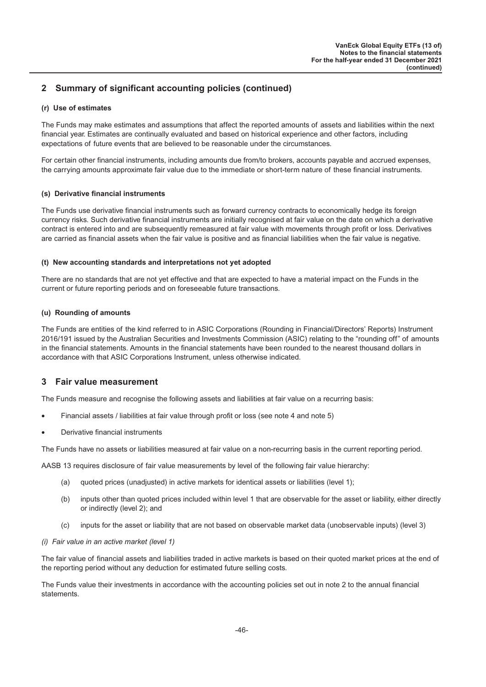#### <span id="page-46-0"></span>**(r) Use of estimates**

The Funds may make estimates and assumptions that affect the reported amounts of assets and liabilities within the next financial year. Estimates are continually evaluated and based on historical experience and other factors, including expectations of future events that are believed to be reasonable under the circumstances.

For certain other financial instruments, including amounts due from/to brokers, accounts payable and accrued expenses, the carrying amounts approximate fair value due to the immediate or short-term nature of these financial instruments.

#### **(s) Derivative financial instruments**

The Funds use derivative financial instruments such as forward currency contracts to economically hedge its foreign currency risks. Such derivative financial instruments are initially recognised at fair value on the date on which a derivative contract is entered into and are subsequently remeasured at fair value with movements through profit or loss. Derivatives are carried as financial assets when the fair value is positive and as financial liabilities when the fair value is negative.

#### **(t) New accounting standards and interpretations not yet adopted**

There are no standards that are not yet effective and that are expected to have a material impact on the Funds in the current or future reporting periods and on foreseeable future transactions.

#### **(u) Rounding of amounts**

The Funds are entities of the kind referred to in ASIC Corporations (Rounding in Financial/Directors' Reports) Instrument 2016/191 issued by the Australian Securities and Investments Commission (ASIC) relating to the "rounding off" of amounts in the financial statements. Amounts in the financial statements have been rounded to the nearest thousand dollars in accordance with that ASIC Corporations Instrument, unless otherwise indicated.

#### **3 Fair value measurement**

The Funds measure and recognise the following assets and liabilities at fair value on a recurring basis:

- Financial assets / liabilities at fair value through profit or loss (see note 4 and note 5)
- Derivative financial instruments

The Funds have no assets or liabilities measured at fair value on a non-recurring basis in the current reporting period.

AASB 13 requires disclosure of fair value measurements by level of the following fair value hierarchy:

- (a) quoted prices (unadjusted) in active markets for identical assets or liabilities (level 1);
- (b) inputs other than quoted prices included within level 1 that are observable for the asset or liability, either directly or indirectly (level 2); and
- (c) inputs for the asset or liability that are not based on observable market data (unobservable inputs) (level 3)

#### *(i) Fair value in an active market (level 1)*

The fair value of financial assets and liabilities traded in active markets is based on their quoted market prices at the end of the reporting period without any deduction for estimated future selling costs.

The Funds value their investments in accordance with the accounting policies set out in note 2 to the annual financial statements.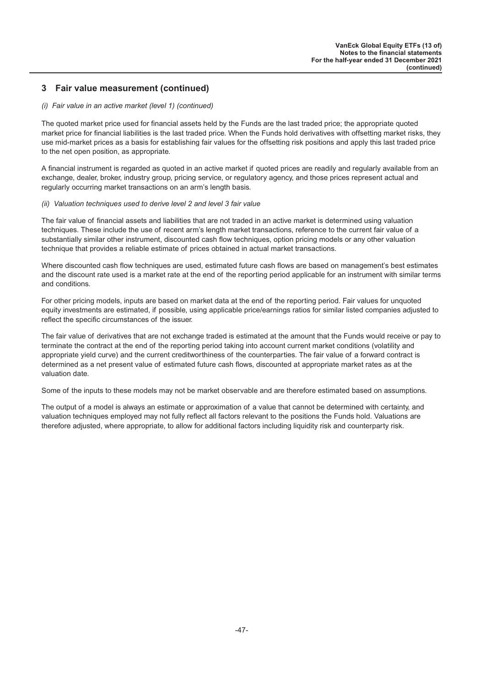#### *(i) Fair value in an active market (level 1) (continued)*

The quoted market price used for financial assets held by the Funds are the last traded price; the appropriate quoted market price for financial liabilities is the last traded price. When the Funds hold derivatives with offsetting market risks, they use mid-market prices as a basis for establishing fair values for the offsetting risk positions and apply this last traded price to the net open position, as appropriate.

A financial instrument is regarded as quoted in an active market if quoted prices are readily and regularly available from an exchange, dealer, broker, industry group, pricing service, or regulatory agency, and those prices represent actual and regularly occurring market transactions on an arm's length basis.

#### *(ii) Valuation techniques used to derive level 2 and level 3 fair value*

The fair value of financial assets and liabilities that are not traded in an active market is determined using valuation techniques. These include the use of recent arm's length market transactions, reference to the current fair value of a substantially similar other instrument, discounted cash flow techniques, option pricing models or any other valuation technique that provides a reliable estimate of prices obtained in actual market transactions.

Where discounted cash flow techniques are used, estimated future cash flows are based on management's best estimates and the discount rate used is a market rate at the end of the reporting period applicable for an instrument with similar terms and conditions.

For other pricing models, inputs are based on market data at the end of the reporting period. Fair values for unquoted equity investments are estimated, if possible, using applicable price/earnings ratios for similar listed companies adjusted to reflect the specific circumstances of the issuer.

The fair value of derivatives that are not exchange traded is estimated at the amount that the Funds would receive or pay to terminate the contract at the end of the reporting period taking into account current market conditions (volatility and appropriate yield curve) and the current creditworthiness of the counterparties. The fair value of a forward contract is determined as a net present value of estimated future cash flows, discounted at appropriate market rates as at the valuation date.

Some of the inputs to these models may not be market observable and are therefore estimated based on assumptions.

The output of a model is always an estimate or approximation of a value that cannot be determined with certainty, and valuation techniques employed may not fully reflect all factors relevant to the positions the Funds hold. Valuations are therefore adjusted, where appropriate, to allow for additional factors including liquidity risk and counterparty risk.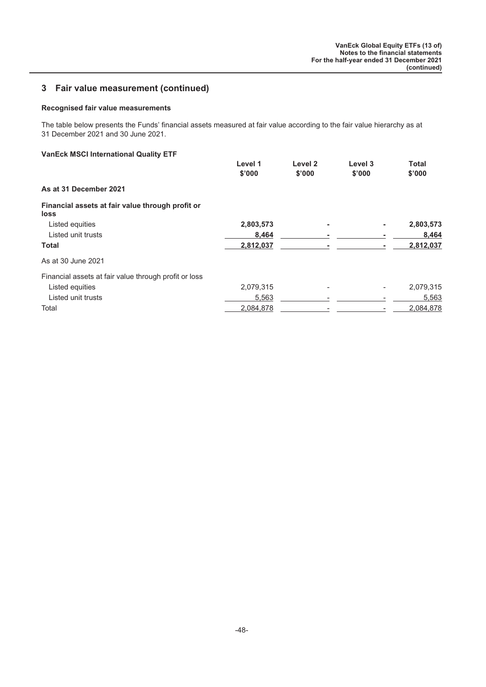#### **Recognised fair value measurements**

The table below presents the Funds' financial assets measured at fair value according to the fair value hierarchy as at 31 December 2021 and 30 June 2021.

#### **VanEck MSCI International Quality ETF**

|                                                          | Level 1<br>\$'000 | Level <sub>2</sub><br>\$'000 | Level 3 | <b>Total</b> |
|----------------------------------------------------------|-------------------|------------------------------|---------|--------------|
|                                                          |                   |                              | \$'000  | \$'000       |
| As at 31 December 2021                                   |                   |                              |         |              |
| Financial assets at fair value through profit or<br>loss |                   |                              |         |              |
| Listed equities                                          | 2,803,573         | ۰                            | ۰       | 2,803,573    |
| Listed unit trusts                                       | 8,464             |                              |         | 8,464        |
| Total                                                    | 2,812,037         |                              |         | 2,812,037    |
| As at 30 June 2021                                       |                   |                              |         |              |
| Financial assets at fair value through profit or loss    |                   |                              |         |              |
| Listed equities                                          | 2,079,315         |                              |         | 2,079,315    |
| Listed unit trusts                                       | 5,563             |                              |         | 5,563        |
| Total                                                    | 2.084.878         |                              |         | 2.084.878    |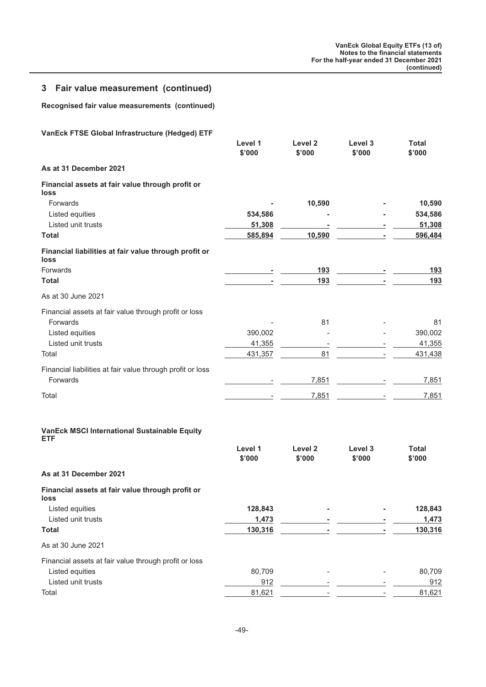**Recognised fair value measurements (continued)**

#### **VanEck FTSE Global Infrastructure (Hedged) ETF**

| an=ok + + 0= 010par mmaou aouaro (110agoa) = 11               | Level 1<br>\$'000 | Level <sub>2</sub><br>\$'000 | Level 3<br>\$'000 | <b>Total</b><br>\$'000 |
|---------------------------------------------------------------|-------------------|------------------------------|-------------------|------------------------|
| As at 31 December 2021                                        |                   |                              |                   |                        |
| Financial assets at fair value through profit or<br>loss      |                   |                              |                   |                        |
| Forwards                                                      |                   | 10,590                       |                   | 10,590                 |
| Listed equities                                               | 534,586           |                              |                   | 534,586                |
| Listed unit trusts                                            | 51,308            |                              |                   | 51,308                 |
| <b>Total</b>                                                  | 585,894           | 10,590                       |                   | 596,484                |
| Financial liabilities at fair value through profit or<br>loss |                   |                              |                   |                        |
| Forwards                                                      |                   | 193                          |                   | 193                    |
| <b>Total</b>                                                  |                   | 193                          |                   | 193                    |
| As at 30 June 2021                                            |                   |                              |                   |                        |
| Financial assets at fair value through profit or loss         |                   |                              |                   |                        |
| Forwards                                                      |                   | 81                           |                   | 81                     |
| Listed equities                                               | 390,002           |                              |                   | 390,002                |
| Listed unit trusts                                            | 41,355            |                              |                   | 41,355                 |
| Total                                                         | 431,357           | 81                           |                   | 431,438                |
| Financial liabilities at fair value through profit or loss    |                   |                              |                   |                        |
| Forwards                                                      |                   | 7,851                        |                   | 7,851                  |
| Total                                                         |                   | 7,851                        |                   | 7,851                  |
|                                                               |                   |                              |                   |                        |

#### **VanEck MSCI International Sustainable Equity ETF**

|                                                          | Level 1<br>\$'000 | Level 2<br>\$'000 | Level 3<br>\$'000 | <b>Total</b><br>\$'000 |
|----------------------------------------------------------|-------------------|-------------------|-------------------|------------------------|
| As at 31 December 2021                                   |                   |                   |                   |                        |
| Financial assets at fair value through profit or<br>loss |                   |                   |                   |                        |
| Listed equities                                          | 128,843           | ۰                 |                   | 128,843                |
| Listed unit trusts                                       | 1,473             |                   |                   | 1,473                  |
| <b>Total</b>                                             | 130,316           |                   |                   | 130,316                |
| As at 30 June 2021                                       |                   |                   |                   |                        |
| Financial assets at fair value through profit or loss    |                   |                   |                   |                        |
| Listed equities                                          | 80,709            | $\blacksquare$    |                   | 80,709                 |
| Listed unit trusts                                       | 912               |                   |                   | 912                    |
| Total                                                    | 81,621            |                   |                   | 81,621                 |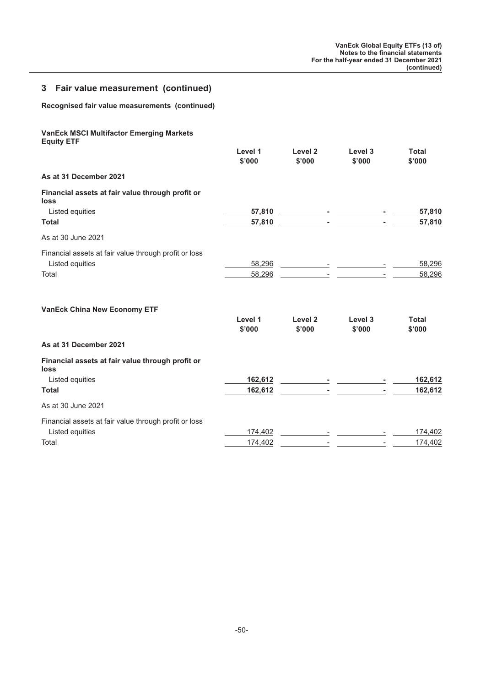**Recognised fair value measurements (continued)**

#### **VanEck MSCI Multifactor Emerging Markets**

| <b>Equity ETF</b>                                        |                   |                                                         |                                        |                        |
|----------------------------------------------------------|-------------------|---------------------------------------------------------|----------------------------------------|------------------------|
|                                                          | Level 1<br>\$'000 | Level 2<br>\$'000                                       | Level 3<br>\$'000                      | <b>Total</b><br>\$'000 |
| As at 31 December 2021                                   |                   |                                                         |                                        |                        |
| Financial assets at fair value through profit or<br>loss |                   |                                                         |                                        |                        |
| Listed equities                                          | 57,810            | <u> 1989 - John Harry Harry Harry Harry Harry Harry</u> |                                        | 57,810                 |
| <b>Total</b>                                             | 57,810            |                                                         |                                        | 57,810                 |
| As at 30 June 2021                                       |                   |                                                         |                                        |                        |
| Financial assets at fair value through profit or loss    |                   |                                                         |                                        |                        |
| Listed equities                                          | 58,296            |                                                         | the control of the control of the con- | 58,296                 |
| Total                                                    | 58,296            | <u> 1990 - Jan Barbara III, martxa</u>                  | $\sim$                                 | 58,296                 |
| <b>VanEck China New Economy ETF</b>                      |                   |                                                         |                                        |                        |
|                                                          | Level 1<br>\$'000 | Level 2<br>\$'000                                       | Level 3<br>\$'000                      | <b>Total</b><br>\$'000 |
| As at 31 December 2021                                   |                   |                                                         |                                        |                        |
| Financial assets at fair value through profit or<br>loss |                   |                                                         |                                        |                        |
| Listed equities                                          | 162,612           | the control of the control of the con-                  |                                        | 162,612                |
| <b>Total</b>                                             | 162,612           |                                                         | with the company of the                | 162,612                |
| As at 30 June 2021                                       |                   |                                                         |                                        |                        |
| Financial assets at fair value through profit or loss    |                   |                                                         |                                        |                        |
| Listed equities                                          | 174,402           |                                                         | <b>E</b> a complete the state of       | 174,402                |
| Total                                                    | 174,402           | $\sim$                                                  |                                        | 174,402                |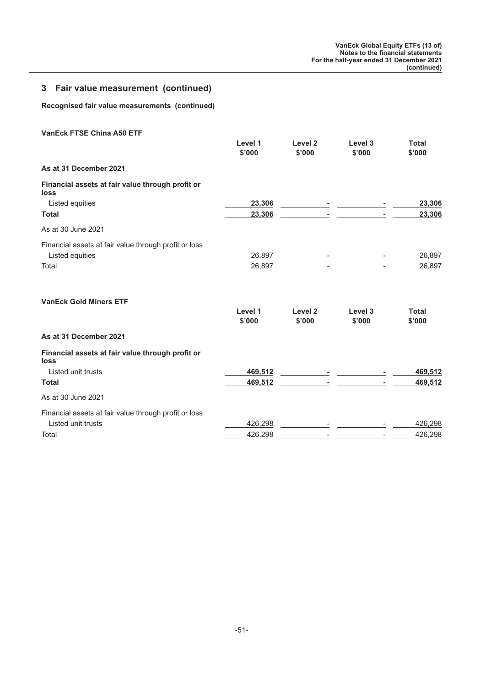**Recognised fair value measurements (continued)**

| <b>VanEck FTSE China A50 ETF</b>                         |                   |                              |                                                 |                        |
|----------------------------------------------------------|-------------------|------------------------------|-------------------------------------------------|------------------------|
|                                                          | Level 1<br>\$'000 | Level <sub>2</sub><br>\$'000 | Level 3<br>\$'000                               | <b>Total</b><br>\$'000 |
| As at 31 December 2021                                   |                   |                              |                                                 |                        |
| Financial assets at fair value through profit or<br>loss |                   |                              |                                                 |                        |
| Listed equities                                          | 23,306            |                              | the contract of the contract of the contract of | 23,306                 |
| <b>Total</b>                                             | 23,306            |                              |                                                 | 23,306                 |
| As at 30 June 2021                                       |                   |                              |                                                 |                        |
| Financial assets at fair value through profit or loss    |                   |                              |                                                 |                        |
| Listed equities                                          | 26,897            |                              | the company's company's company's               | 26,897                 |
| Total                                                    | 26,897            |                              |                                                 | 26,897                 |
| <b>VanEck Gold Miners ETF</b>                            |                   |                              |                                                 |                        |
|                                                          | Level 1<br>\$'000 | Level <sub>2</sub><br>\$'000 | Level 3<br>\$'000                               | <b>Total</b><br>\$'000 |
| As at 31 December 2021                                   |                   |                              |                                                 |                        |
| Financial assets at fair value through profit or<br>loss |                   |                              |                                                 |                        |
| Listed unit trusts                                       | 469,512           |                              |                                                 | 469,512                |
| <b>Total</b>                                             | 469,512           | $\sim$                       |                                                 | 469,512                |
| As at 30 June 2021                                       |                   |                              |                                                 |                        |
| Financial assets at fair value through profit or loss    |                   |                              |                                                 |                        |
| Listed unit trusts                                       | 426,298           | $\sim$                       |                                                 | 426,298                |
| Total                                                    | 426,298           |                              |                                                 | 426,298                |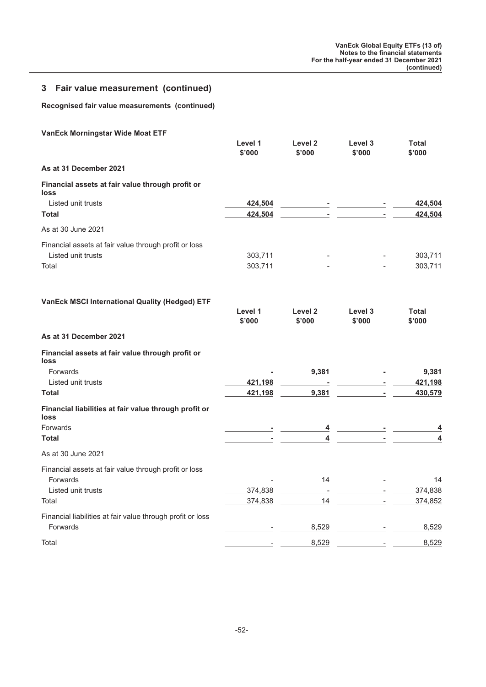**Recognised fair value measurements (continued)**

| VanEck Morningstar Wide Moat ETF                              |                   |                                                                                                                       |                                                                                                                                                                                                              |                        |
|---------------------------------------------------------------|-------------------|-----------------------------------------------------------------------------------------------------------------------|--------------------------------------------------------------------------------------------------------------------------------------------------------------------------------------------------------------|------------------------|
|                                                               | Level 1<br>\$'000 | Level 2<br>\$'000                                                                                                     | Level 3<br>\$'000                                                                                                                                                                                            | <b>Total</b><br>\$'000 |
| As at 31 December 2021                                        |                   |                                                                                                                       |                                                                                                                                                                                                              |                        |
| Financial assets at fair value through profit or<br>loss      |                   |                                                                                                                       |                                                                                                                                                                                                              |                        |
| Listed unit trusts                                            | 424,504           | and the contract of the                                                                                               | and the contract of the con-                                                                                                                                                                                 | 424,504                |
| Total                                                         | 424,504           |                                                                                                                       | $\begin{array}{c} \bullet \end{array} \qquad \qquad \underline{\hspace{1cm}} \qquad \qquad \underline{\hspace{1cm}} \qquad \qquad \underline{\hspace{1cm}} \qquad \qquad \underline{\hspace{1cm}}$<br>$\sim$ | 424,504                |
| As at 30 June 2021                                            |                   |                                                                                                                       |                                                                                                                                                                                                              |                        |
| Financial assets at fair value through profit or loss         |                   |                                                                                                                       |                                                                                                                                                                                                              |                        |
| Listed unit trusts                                            | 303,711           | <u> 1999 - John Harry Harry Harry Harry Harry Harry Harry Harry Harry Harry Harry Harry Harry Harry Harry Harry H</u> |                                                                                                                                                                                                              | 303,711                |
| Total                                                         | 303,711           |                                                                                                                       |                                                                                                                                                                                                              | 303,711                |
| VanEck MSCI International Quality (Hedged) ETF                | Level 1           | Level 2                                                                                                               | Level 3                                                                                                                                                                                                      | <b>Total</b>           |
|                                                               | \$'000            | \$'000                                                                                                                | \$'000                                                                                                                                                                                                       | \$'000                 |
| As at 31 December 2021                                        |                   |                                                                                                                       |                                                                                                                                                                                                              |                        |
| Financial assets at fair value through profit or<br>loss      |                   |                                                                                                                       |                                                                                                                                                                                                              |                        |
| Forwards                                                      |                   | 9,381                                                                                                                 |                                                                                                                                                                                                              | 9,381                  |
| Listed unit trusts                                            | 421,198           | $\sim$                                                                                                                |                                                                                                                                                                                                              | 421,198                |
| <b>Total</b>                                                  | 421,198           | 9,381                                                                                                                 |                                                                                                                                                                                                              | 430,579                |
| Financial liabilities at fair value through profit or<br>loss |                   |                                                                                                                       |                                                                                                                                                                                                              |                        |
| Forwards                                                      |                   |                                                                                                                       | $\overline{4}$ $\overline{2}$<br>$\sim$                                                                                                                                                                      | 4                      |
| Total                                                         |                   | $\overline{\mathbf{4}}$                                                                                               | $\sim$                                                                                                                                                                                                       | 4                      |
| As at 30 June 2021                                            |                   |                                                                                                                       |                                                                                                                                                                                                              |                        |
| Financial assets at fair value through profit or loss         |                   |                                                                                                                       |                                                                                                                                                                                                              |                        |
| Forwards                                                      |                   | 14                                                                                                                    |                                                                                                                                                                                                              | 14                     |
| Listed unit trusts                                            | 374,838           | $\sim$                                                                                                                |                                                                                                                                                                                                              | 374,838                |
| Total                                                         | 374,838           | 14                                                                                                                    |                                                                                                                                                                                                              | 374,852                |
| Financial liabilities at fair value through profit or loss    |                   |                                                                                                                       |                                                                                                                                                                                                              |                        |
| Forwards                                                      |                   | 8,529                                                                                                                 |                                                                                                                                                                                                              | 8,529                  |
| Total                                                         |                   | 8,529                                                                                                                 |                                                                                                                                                                                                              | 8,529                  |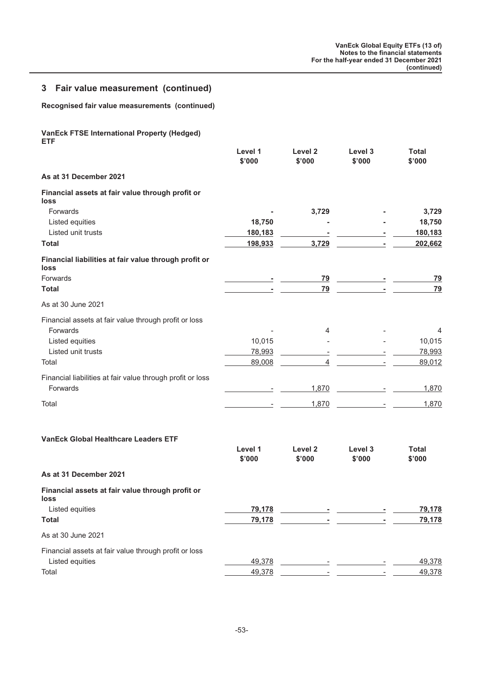**Recognised fair value measurements (continued)**

#### **VanEck FTSE International Property (Hedged) ETF**

|                                                               | Level 1<br>\$'000 | Level <sub>2</sub><br>\$'000 | Level 3<br>\$'000 | <b>Total</b><br>\$'000 |
|---------------------------------------------------------------|-------------------|------------------------------|-------------------|------------------------|
| As at 31 December 2021                                        |                   |                              |                   |                        |
| Financial assets at fair value through profit or<br>loss      |                   |                              |                   |                        |
| <b>Forwards</b>                                               |                   | 3,729                        |                   | 3,729                  |
| Listed equities                                               | 18,750            |                              |                   | 18,750                 |
| Listed unit trusts                                            | 180,183           |                              |                   | 180,183                |
| <b>Total</b>                                                  | 198,933           | 3,729                        |                   | 202,662                |
| Financial liabilities at fair value through profit or<br>loss |                   |                              |                   |                        |
| Forwards                                                      |                   | 79                           |                   | 79                     |
| <b>Total</b>                                                  |                   | 79                           |                   | 79                     |
| As at 30 June 2021                                            |                   |                              |                   |                        |
| Financial assets at fair value through profit or loss         |                   |                              |                   |                        |
| Forwards                                                      |                   | 4                            |                   | 4                      |
| Listed equities                                               | 10,015            |                              |                   | 10,015                 |
| Listed unit trusts                                            | 78,993            | $\overline{\phantom{a}}$     |                   | 78,993                 |
| Total                                                         | 89,008            | 4                            |                   | 89,012                 |
| Financial liabilities at fair value through profit or loss    |                   |                              |                   |                        |
| Forwards                                                      |                   | 1,870                        |                   | 1,870                  |
| Total                                                         |                   | 1,870                        |                   | 1,870                  |
| <b>VanEck Global Healthcare Leaders ETF</b>                   | Level 1           | Level <sub>2</sub>           | Level 3           | <b>Total</b>           |
|                                                               | \$'000            | \$'000                       | \$'000            | \$'000                 |
| As at 31 December 2021                                        |                   |                              |                   |                        |
| Financial assets at fair value through profit or<br>loss      |                   |                              |                   |                        |
| Listed equities                                               | 79,178            |                              |                   | 79,178                 |
| <b>Total</b>                                                  | 79,178            |                              |                   | 79,178                 |
| As at 30 June 2021                                            |                   |                              |                   |                        |

| Financial assets at fair value through profit or loss |        |                          |        |        |
|-------------------------------------------------------|--------|--------------------------|--------|--------|
| Listed equities                                       | 49.378 | $\overline{\phantom{a}}$ | $\sim$ | 49.378 |
| Total                                                 |        | $\overline{\phantom{0}}$ | $\sim$ | 49.378 |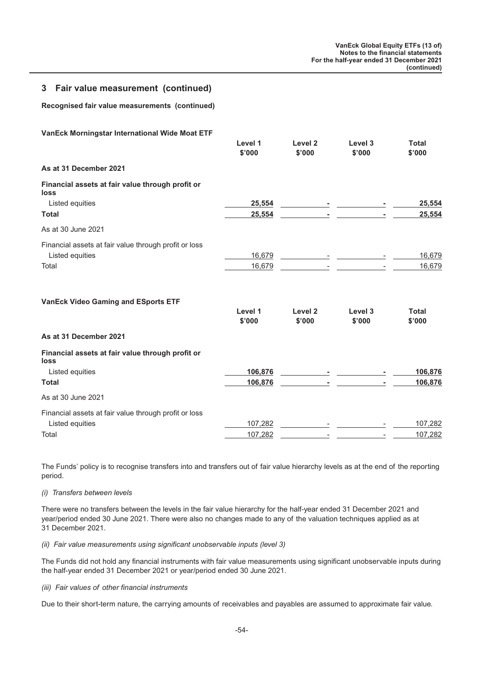**Recognised fair value measurements (continued)**

| VanEck Morningstar International Wide Moat ETF           |                   |                              |                   |                        |
|----------------------------------------------------------|-------------------|------------------------------|-------------------|------------------------|
|                                                          | Level 1<br>\$'000 | Level <sub>2</sub><br>\$'000 | Level 3<br>\$'000 | <b>Total</b><br>\$'000 |
| As at 31 December 2021                                   |                   |                              |                   |                        |
| Financial assets at fair value through profit or<br>loss |                   |                              |                   |                        |
| Listed equities                                          | 25,554            |                              |                   | 25,554                 |
| <b>Total</b>                                             | 25,554            |                              |                   | 25,554                 |
| As at 30 June 2021                                       |                   |                              |                   |                        |
| Financial assets at fair value through profit or loss    |                   |                              |                   |                        |
| Listed equities                                          | 16,679            |                              |                   | 16,679                 |
| Total                                                    | 16,679            |                              |                   | 16,679                 |
| <b>VanEck Video Gaming and ESports ETF</b>               |                   |                              |                   |                        |
|                                                          | Level 1<br>\$'000 | Level <sub>2</sub><br>\$'000 | Level 3<br>\$'000 | <b>Total</b><br>\$'000 |
| As at 31 December 2021                                   |                   |                              |                   |                        |
| Financial assets at fair value through profit or<br>loss |                   |                              |                   |                        |
| Listed equities                                          | 106,876           |                              |                   | 106,876                |
| <b>Total</b>                                             | 106,876           |                              |                   | 106,876                |
| As at 30 June 2021                                       |                   |                              |                   |                        |
| Financial assets at fair value through profit or loss    |                   |                              |                   |                        |
| Listed equities                                          | 107,282           |                              |                   | 107,282                |
| Total                                                    | 107,282           |                              |                   | 107,282                |

The Funds' policy is to recognise transfers into and transfers out of fair value hierarchy levels as at the end of the reporting period.

#### *(i) Transfers between levels*

There were no transfers between the levels in the fair value hierarchy for the half-year ended 31 December 2021 and year/period ended 30 June 2021. There were also no changes made to any of the valuation techniques applied as at 31 December 2021.

#### *(ii) Fair value measurements using significant unobservable inputs (level 3)*

The Funds did not hold any financial instruments with fair value measurements using significant unobservable inputs during the half-year ended 31 December 2021 or year/period ended 30 June 2021.

#### *(iii) Fair values of other financial instruments*

Due to their short-term nature, the carrying amounts of receivables and payables are assumed to approximate fair value.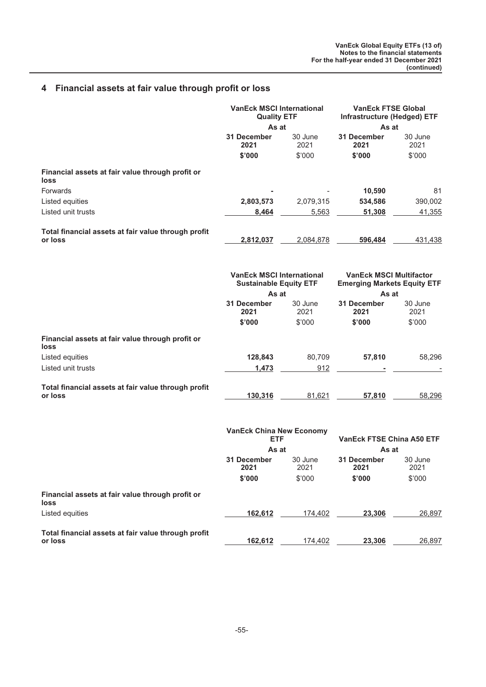### <span id="page-55-0"></span>**4 Financial assets at fair value through profit or loss**

|                                                                | <b>VanEck MSCI International</b><br><b>Quality ETF</b>            |                 | <b>VanEck FTSE Global</b><br><b>Infrastructure (Hedged) ETF</b>      |                 |
|----------------------------------------------------------------|-------------------------------------------------------------------|-----------------|----------------------------------------------------------------------|-----------------|
|                                                                | As at                                                             |                 | As at                                                                |                 |
|                                                                | 31 December<br>2021                                               | 30 June<br>2021 | <b>31 December</b><br>2021                                           | 30 June<br>2021 |
|                                                                | \$'000                                                            | \$'000          | \$'000                                                               | \$'000          |
| Financial assets at fair value through profit or<br>loss       |                                                                   |                 |                                                                      |                 |
| Forwards                                                       |                                                                   |                 | 10,590                                                               | 81              |
| Listed equities                                                | 2,803,573                                                         | 2,079,315       | 534,586                                                              | 390,002         |
| Listed unit trusts                                             | 8,464                                                             | 5,563           | 51,308                                                               | 41,355          |
| Total financial assets at fair value through profit<br>or loss | 2,812,037                                                         | 2,084,878       | 596,484                                                              | 431,438         |
|                                                                | <b>VanEck MSCI International</b><br><b>Sustainable Equity ETF</b> |                 | <b>VanEck MSCI Multifactor</b><br><b>Emerging Markets Equity ETF</b> |                 |
|                                                                | As at                                                             |                 | As at                                                                |                 |
|                                                                | 31 December<br>2021                                               | 30 June<br>2021 | 31 December<br>2021                                                  | 30 June<br>2021 |
|                                                                | \$'000                                                            | \$'000          | \$'000                                                               | \$'000          |
| Financial assets at fair value through profit or<br>loss       |                                                                   |                 |                                                                      |                 |
| Listed equities                                                | 128,843                                                           | 80,709          | 57,810                                                               | 58,296          |
| Listed unit trusts                                             | 1,473                                                             | 912             |                                                                      |                 |
|                                                                |                                                                   |                 |                                                                      |                 |
| Total financial assets at fair value through profit<br>or loss | 130,316                                                           | 81,621          | 57.810                                                               | 58,296          |

|                                                                 | <b>VanEck China New Economy</b><br><b>ETF</b><br>As at |                                        | <b>VanEck FTSE China A50 ETF</b><br>As at |        |                 |
|-----------------------------------------------------------------|--------------------------------------------------------|----------------------------------------|-------------------------------------------|--------|-----------------|
|                                                                 |                                                        |                                        |                                           |        |                 |
|                                                                 | 31 December<br>2021                                    | 31 December<br>30 June<br>2021<br>2021 |                                           |        | 30 June<br>2021 |
|                                                                 | \$'000                                                 | \$'000                                 | \$'000                                    | \$'000 |                 |
| Financial assets at fair value through profit or<br><b>loss</b> |                                                        |                                        |                                           |        |                 |
| Listed equities                                                 | 162,612                                                | 174,402                                | 23.306                                    | 26,897 |                 |
| Total financial assets at fair value through profit             |                                                        |                                        |                                           |        |                 |
| or loss                                                         | 162.612                                                | 174.402                                | 23.306                                    | 26,897 |                 |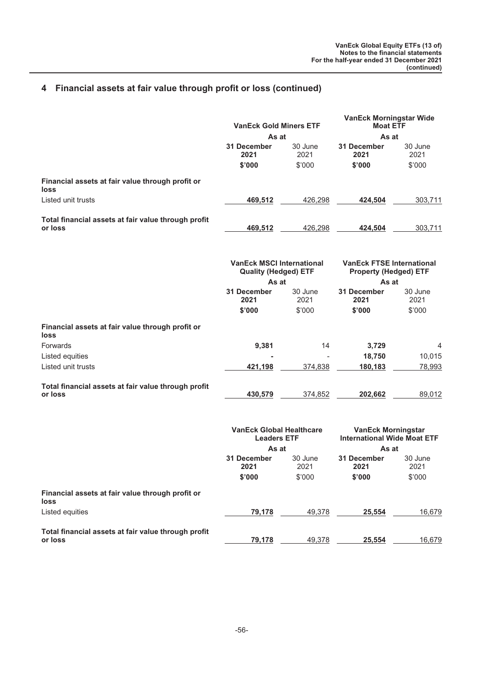### **4 Financial assets at fair value through profit or loss (continued)**

|                                                                | <b>VanEck Gold Miners ETF</b>                                            |                 | <b>VanEck Morningstar Wide</b><br><b>Moat ETF</b>                         |                 |
|----------------------------------------------------------------|--------------------------------------------------------------------------|-----------------|---------------------------------------------------------------------------|-----------------|
|                                                                | As at                                                                    |                 | As at                                                                     |                 |
|                                                                | 31 December<br>2021                                                      | 30 June<br>2021 | 31 December<br>2021                                                       | 30 June<br>2021 |
|                                                                | \$'000                                                                   | \$'000          | \$'000                                                                    | \$'000          |
| Financial assets at fair value through profit or<br>loss       |                                                                          |                 |                                                                           |                 |
| Listed unit trusts                                             | 469,512                                                                  | 426,298         | 424,504                                                                   | 303,711         |
| Total financial assets at fair value through profit<br>or loss | 469,512                                                                  | 426,298         | 424,504                                                                   | 303,711         |
|                                                                | <b>VanEck MSCI International</b><br><b>Quality (Hedged) ETF</b><br>As at |                 | <b>VanEck FTSE International</b><br><b>Property (Hedged) ETF</b><br>As at |                 |
|                                                                | <b>31 December</b>                                                       | 30 June         | <b>31 December</b>                                                        | 30 June         |
|                                                                | 2021                                                                     | 2021            | 2021                                                                      | 2021            |
|                                                                | \$'000                                                                   | \$'000          | \$'000                                                                    | \$'000          |
| Financial assets at fair value through profit or<br>loss       |                                                                          |                 |                                                                           |                 |
| Forwards                                                       | 9,381                                                                    | 14              | 3,729                                                                     | $\overline{4}$  |
| Listed equities                                                |                                                                          |                 | 18,750                                                                    | 10,015          |
| Listed unit trusts                                             | 421,198                                                                  | 374,838         | 180,183                                                                   | 78,993          |
| Total financial assets at fair value through profit<br>or loss | 430,579                                                                  | 374,852         | 202,662                                                                   | 89,012          |
|                                                                | <b>VanEck Global Healthcare</b><br><b>Leaders ETF</b>                    |                 | <b>VanEck Morningstar</b><br><b>International Wide Moat ETF</b>           |                 |
|                                                                | As at                                                                    |                 | As at                                                                     |                 |
|                                                                | 31 December<br>2021                                                      | 30 June<br>2021 | 31 December<br>2021                                                       | 30 June<br>2021 |
|                                                                | \$'000                                                                   | \$'000          | \$'000                                                                    | \$'000          |
| Financial assets at fair value through profit or               |                                                                          |                 |                                                                           |                 |

| loss                                                           |        |        |        |        |
|----------------------------------------------------------------|--------|--------|--------|--------|
| Listed equities                                                | 79.178 | 49.378 | 25.554 | 16.679 |
| Total financial assets at fair value through profit<br>or loss | 79.178 | 49.378 | 25.554 | 16.679 |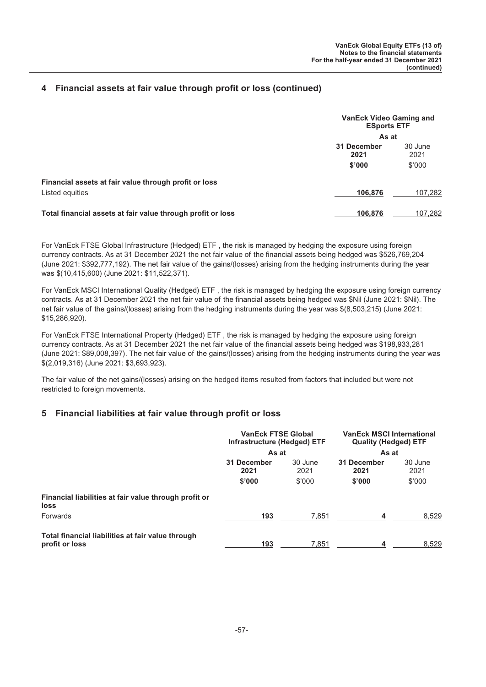### <span id="page-57-0"></span>**4 Financial assets at fair value through profit or loss (continued)**

|                                                             | <b>VanEck Video Gaming and</b><br><b>ESports ETF</b> |                 |
|-------------------------------------------------------------|------------------------------------------------------|-----------------|
|                                                             | As at                                                |                 |
|                                                             | 31 December<br>2021                                  | 30 June<br>2021 |
|                                                             | \$'000                                               | \$'000          |
| Financial assets at fair value through profit or loss       |                                                      |                 |
| Listed equities                                             | 106,876                                              | 107.282         |
| Total financial assets at fair value through profit or loss | 106.876                                              | 107.282         |

For VanEck FTSE Global Infrastructure (Hedged) ETF , the risk is managed by hedging the exposure using foreign currency contracts. As at 31 December 2021 the net fair value of the financial assets being hedged was \$526,769,204 (June 2021: \$392,777,192). The net fair value of the gains/(losses) arising from the hedging instruments during the year was \$(10,415,600) (June 2021: \$11,522,371).

For VanEck MSCI International Quality (Hedged) ETF , the risk is managed by hedging the exposure using foreign currency contracts. As at 31 December 2021 the net fair value of the financial assets being hedged was \$Nil (June 2021: \$Nil). The net fair value of the gains/(losses) arising from the hedging instruments during the year was \$(8,503,215) (June 2021: \$15,286,920).

For VanEck FTSE International Property (Hedged) ETF , the risk is managed by hedging the exposure using foreign currency contracts. As at 31 December 2021 the net fair value of the financial assets being hedged was \$198,933,281 (June 2021: \$89,008,397). The net fair value of the gains/(losses) arising from the hedging instruments during the year was \$(2,019,316) (June 2021: \$3,693,923).

The fair value of the net gains/(losses) arising on the hedged items resulted from factors that included but were not restricted to foreign movements.

### **5 Financial liabilities at fair value through profit or loss**

|                                                                     | <b>VanEck FTSE Global</b><br>Infrastructure (Hedged) ETF |                 | <b>VanEck MSCI International</b><br><b>Quality (Hedged) ETF</b> |                 |
|---------------------------------------------------------------------|----------------------------------------------------------|-----------------|-----------------------------------------------------------------|-----------------|
|                                                                     | As at                                                    |                 | As at                                                           |                 |
|                                                                     | 31 December<br>2021                                      | 30 June<br>2021 | 31 December<br>2021                                             | 30 June<br>2021 |
|                                                                     | \$'000                                                   | \$'000          | \$'000                                                          | \$'000          |
| Financial liabilities at fair value through profit or<br>loss       |                                                          |                 |                                                                 |                 |
| Forwards                                                            | 193                                                      | 7.851           | 4                                                               | 8,529           |
| Total financial liabilities at fair value through<br>profit or loss | 193                                                      | 7.851           | 4                                                               | 8.529           |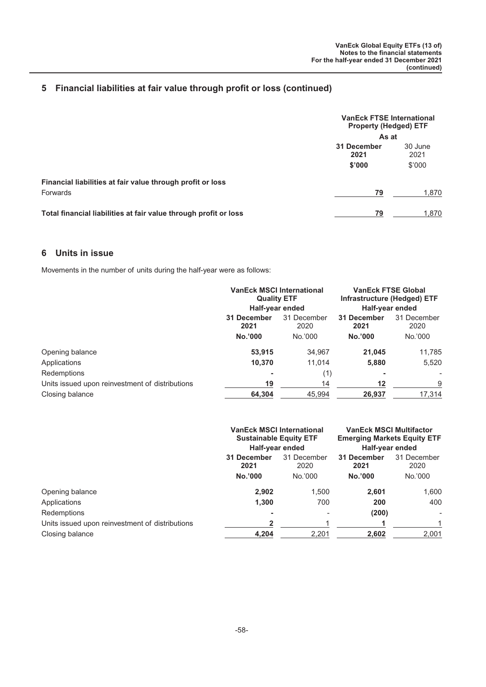### <span id="page-58-0"></span>**5 Financial liabilities at fair value through profit or loss (continued)**

|                                                                  | <b>VanEck FTSE International</b><br><b>Property (Hedged) ETF</b> |                 |
|------------------------------------------------------------------|------------------------------------------------------------------|-----------------|
|                                                                  | As at                                                            |                 |
|                                                                  | 31 December<br>2021                                              | 30 June<br>2021 |
|                                                                  | \$'000                                                           | \$'000          |
| Financial liabilities at fair value through profit or loss       |                                                                  |                 |
| Forwards                                                         | 79                                                               | 1.870           |
| Total financial liabilities at fair value through profit or loss | 79                                                               | 1,870           |

#### **6 Units in issue**

Movements in the number of units during the half-year were as follows:

|                                                 | <b>VanEck MSCI International</b><br><b>Quality ETF</b><br>Half-year ended |                     | <b>VanEck FTSE Global</b><br>Infrastructure (Hedged) ETF<br>Half-year ended |                          |
|-------------------------------------------------|---------------------------------------------------------------------------|---------------------|-----------------------------------------------------------------------------|--------------------------|
|                                                 | 31 December<br>2021                                                       | 31 December<br>2020 | 31 December<br>2021                                                         | 31 December<br>2020      |
|                                                 | No.'000                                                                   | No.'000             | No.'000                                                                     | No.'000                  |
| Opening balance                                 | 53,915                                                                    | 34,967              | 21,045                                                                      | 11,785                   |
| Applications                                    | 10.370                                                                    | 11.014              | 5,880                                                                       | 5,520                    |
| Redemptions                                     | ۰                                                                         | (1)                 |                                                                             | $\overline{\phantom{a}}$ |
| Units issued upon reinvestment of distributions | 19                                                                        | 14                  | 12                                                                          | 9                        |
| Closing balance                                 | 64.304                                                                    | 45.994              | 26.937                                                                      | 17,314                   |

|                                                 | <b>VanEck MSCI International</b><br><b>Sustainable Equity ETF</b> |                     | <b>VanEck MSCI Multifactor</b><br><b>Emerging Markets Equity ETF</b> |                     |
|-------------------------------------------------|-------------------------------------------------------------------|---------------------|----------------------------------------------------------------------|---------------------|
|                                                 | Half-year ended                                                   |                     | Half-year ended                                                      |                     |
|                                                 | 31 December<br>2021                                               | 31 December<br>2020 | 31 December<br>2021                                                  | 31 December<br>2020 |
|                                                 | No.'000                                                           | No.'000             | No.'000                                                              | No.'000             |
| Opening balance                                 | 2,902                                                             | 1,500               | 2,601                                                                | 1,600               |
| Applications                                    | 1.300                                                             | 700                 | 200                                                                  | 400                 |
| Redemptions                                     |                                                                   |                     | (200)                                                                | ۰                   |
| Units issued upon reinvestment of distributions |                                                                   |                     |                                                                      |                     |
| Closing balance                                 | 4,204                                                             | 2,201               | 2,602                                                                | 2,001               |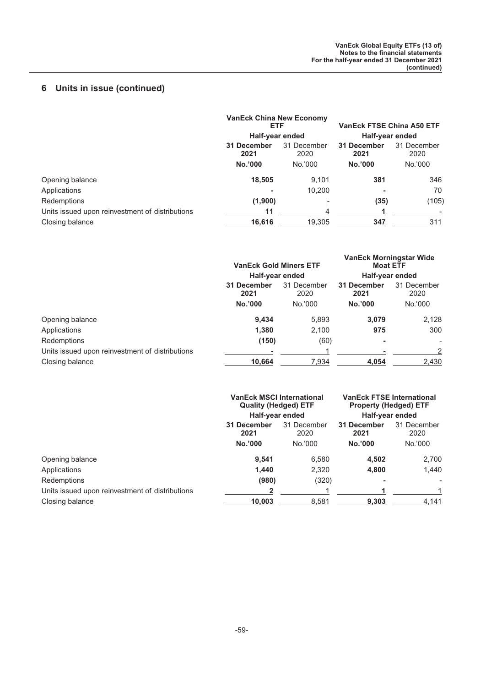## **6 Units in issue (continued)**

|                                                 | <b>VanEck China New Economy</b><br><b>ETF</b> |                     | <b>VanEck FTSE China A50 ETF</b> |         |                     |
|-------------------------------------------------|-----------------------------------------------|---------------------|----------------------------------|---------|---------------------|
|                                                 | Half-year ended                               |                     | Half-year ended                  |         |                     |
|                                                 | 31 December<br>2021                           | 31 December<br>2020 | 31 December<br>2021              |         | 31 December<br>2020 |
|                                                 | No.'000                                       | No.'000             | No.'000                          | No.'000 |                     |
| Opening balance                                 | 18,505                                        | 9,101               | 381                              | 346     |                     |
| Applications                                    |                                               | 10.200              |                                  | 70      |                     |
| Redemptions                                     | (1,900)                                       |                     | (35)                             | (105)   |                     |
| Units issued upon reinvestment of distributions | 11                                            |                     |                                  |         |                     |
| Closing balance                                 | 16,616                                        | 19.305              | 347                              | 311     |                     |

|                                                 | <b>VanEck Gold Miners ETF</b><br>Half-year ended |         | <b>VanEck Morningstar Wide</b><br><b>Moat ETF</b><br>Half-year ended |                     |  |                     |                     |
|-------------------------------------------------|--------------------------------------------------|---------|----------------------------------------------------------------------|---------------------|--|---------------------|---------------------|
|                                                 | 31 December<br>2021                              |         |                                                                      | 31 December<br>2020 |  | 31 December<br>2021 | 31 December<br>2020 |
|                                                 | No.'000                                          | No.'000 | No.'000                                                              | No.'000             |  |                     |                     |
| Opening balance                                 | 9.434                                            | 5,893   | 3.079                                                                | 2,128               |  |                     |                     |
| Applications                                    | 1.380                                            | 2,100   | 975                                                                  | 300                 |  |                     |                     |
| Redemptions                                     | (150)                                            | (60)    | ٠                                                                    |                     |  |                     |                     |
| Units issued upon reinvestment of distributions |                                                  |         |                                                                      | 2                   |  |                     |                     |
| Closing balance                                 | 10,664                                           | 7,934   | 4,054                                                                | 2,430               |  |                     |                     |

|                                                 | <b>VanEck MSCI International</b><br><b>Quality (Hedged) ETF</b><br>Half-year ended |                     | <b>VanEck FTSE International</b><br><b>Property (Hedged) ETF</b><br>Half-year ended |                     |
|-------------------------------------------------|------------------------------------------------------------------------------------|---------------------|-------------------------------------------------------------------------------------|---------------------|
|                                                 | 31 December<br>2021                                                                | 31 December<br>2020 | 31 December<br>2021                                                                 | 31 December<br>2020 |
|                                                 | No.'000                                                                            | No.'000             | No.'000                                                                             | No.'000             |
| Opening balance                                 | 9,541                                                                              | 6,580               | 4,502                                                                               | 2,700               |
| Applications                                    | 1.440                                                                              | 2.320               | 4.800                                                                               | 1.440               |
| Redemptions                                     | (980)                                                                              | (320)               |                                                                                     |                     |
| Units issued upon reinvestment of distributions |                                                                                    |                     |                                                                                     |                     |
| Closing balance                                 | 10.003                                                                             | 8,581               | 9.303                                                                               | 4,141               |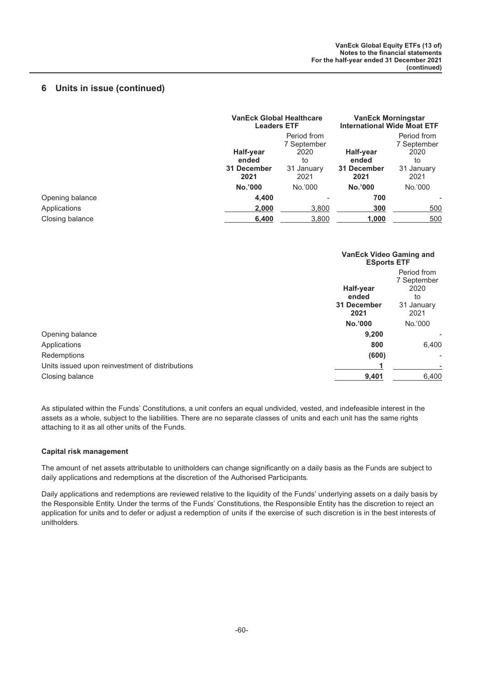### **6 Units in issue (continued)**

|                 |                                           | <b>VanEck Global Healthcare</b><br><b>Leaders ETF</b> |                                           | <b>VanEck Morningstar</b><br><b>International Wide Moat ETF</b> |  |
|-----------------|-------------------------------------------|-------------------------------------------------------|-------------------------------------------|-----------------------------------------------------------------|--|
|                 |                                           | Period from                                           |                                           | Period from                                                     |  |
|                 | Half-year<br>ended<br>31 December<br>2021 | 7 September<br>2020<br>to<br>31 January<br>2021       | Half-year<br>ended<br>31 December<br>2021 | 7 September<br>2020<br>to<br>31 January<br>2021                 |  |
|                 | No.'000                                   | No.'000                                               | No.'000                                   | No.'000                                                         |  |
| Opening balance | 4,400                                     |                                                       | 700                                       |                                                                 |  |
| Applications    | 2,000                                     | 3,800                                                 | 300                                       | 500                                                             |  |
| Closing balance | 6,400                                     | 3,800                                                 | 1.000                                     | 500                                                             |  |

|                                                 | <b>VanEck Video Gaming and</b><br><b>ESports ETF</b> |                                                                |
|-------------------------------------------------|------------------------------------------------------|----------------------------------------------------------------|
|                                                 | Half-year<br>ended<br>31 December<br>2021            | Period from<br>7 September<br>2020<br>to<br>31 January<br>2021 |
|                                                 | No.'000                                              | No.'000                                                        |
| Opening balance                                 | 9,200                                                |                                                                |
| Applications                                    | 800                                                  | 6,400                                                          |
| Redemptions                                     | (600)                                                | $\overline{\phantom{0}}$                                       |
| Units issued upon reinvestment of distributions |                                                      | ۰                                                              |
| Closing balance                                 | 9,401                                                | 6,400                                                          |

As stipulated within the Funds' Constitutions, a unit confers an equal undivided, vested, and indefeasible interest in the assets as a whole, subject to the liabilities. There are no separate classes of units and each unit has the same rights attaching to it as all other units of the Funds.

#### **Capital risk management**

The amount of net assets attributable to unitholders can change significantly on a daily basis as the Funds are subject to daily applications and redemptions at the discretion of the Authorised Participants.

Daily applications and redemptions are reviewed relative to the liquidity of the Funds' underlying assets on a daily basis by the Responsible Entity. Under the terms of the Funds' Constitutions, the Responsible Entity has the discretion to reject an application for units and to defer or adjust a redemption of units if the exercise of such discretion is in the best interests of unitholders.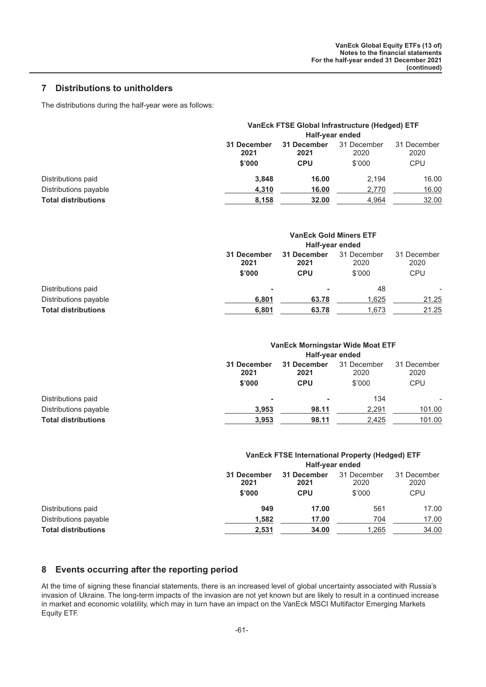### <span id="page-61-0"></span>**7 Distributions to unitholders**

The distributions during the half-year were as follows:

|                            | VanEck FTSE Global Infrastructure (Hedged) ETF<br>Half-year ended |                     |                     |                     |
|----------------------------|-------------------------------------------------------------------|---------------------|---------------------|---------------------|
|                            |                                                                   |                     |                     |                     |
|                            | 31 December<br>2021                                               | 31 December<br>2021 | 31 December<br>2020 | 31 December<br>2020 |
|                            | \$'000                                                            | <b>CPU</b>          | \$'000              | CPU                 |
| Distributions paid         | 3.848                                                             | 16.00               | 2.194               | 16.00               |
| Distributions payable      | 4.310                                                             | 16.00               | 2,770               | 16.00               |
| <b>Total distributions</b> | 8,158                                                             | 32.00               | 4.964               | 32.00               |

|                            | <b>VanEck Gold Miners ETF</b><br>Half-year ended |                                   |                               |                                   |
|----------------------------|--------------------------------------------------|-----------------------------------|-------------------------------|-----------------------------------|
|                            | 31 December<br>2021<br>\$'000                    | 31 December<br>2021<br><b>CPU</b> | 31 December<br>2020<br>\$'000 | 31 December<br>2020<br><b>CPU</b> |
| Distributions paid         | ۰                                                | ۰                                 | 48                            |                                   |
| Distributions payable      | 6,801                                            | 63.78                             | 1,625                         | 21.25                             |
| <b>Total distributions</b> | 6,801                                            | 63.78                             | 1,673                         | 21.25                             |

|                            | VanEck Morningstar Wide Moat ETF |                     |                     |                     |
|----------------------------|----------------------------------|---------------------|---------------------|---------------------|
|                            | Half-year ended                  |                     |                     |                     |
|                            | 31 December<br>2021              | 31 December<br>2021 | 31 December<br>2020 | 31 December<br>2020 |
|                            | \$'000                           | <b>CPU</b>          | \$'000              | <b>CPU</b>          |
| Distributions paid         | ۰                                | ۰                   | 134                 |                     |
| Distributions payable      | 3.953                            | 98.11               | 2,291               | 101.00              |
| <b>Total distributions</b> | 3,953                            | 98.11               | 2,425               | 101.00              |

|                            | VanEck FTSE International Property (Hedged) ETF<br>Half-year ended |                     |                     |                     |
|----------------------------|--------------------------------------------------------------------|---------------------|---------------------|---------------------|
|                            | 31 December<br>2021                                                | 31 December<br>2021 | 31 December<br>2020 | 31 December<br>2020 |
|                            | \$'000                                                             | <b>CPU</b>          | \$'000              | <b>CPU</b>          |
| Distributions paid         | 949                                                                | 17.00               | 561                 | 17.00               |
| Distributions payable      | 1.582                                                              | 17.00               | 704                 | 17.00               |
| <b>Total distributions</b> | 2.531                                                              | 34.00               | 1.265               | 34.00               |

### **8 Events occurring after the reporting period**

At the time of signing these financial statements, there is an increased level of global uncertainty associated with Russia's invasion of Ukraine. The long-term impacts of the invasion are not yet known but are likely to result in a continued increase in market and economic volatility, which may in turn have an impact on the VanEck MSCI Multifactor Emerging Markets Equity ETF.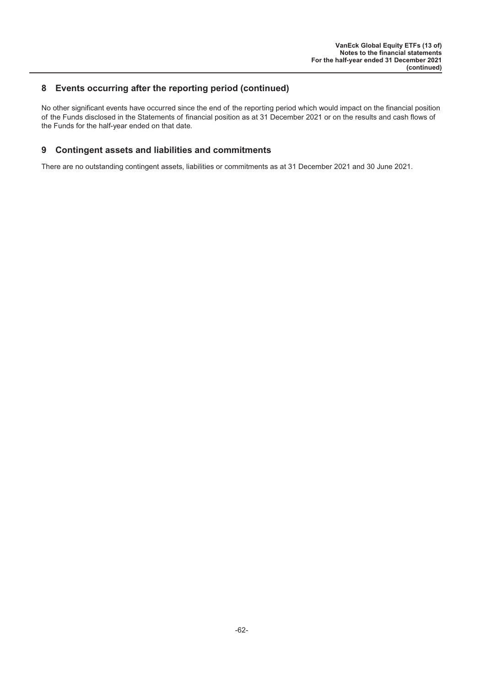### <span id="page-62-0"></span>**8 Events occurring after the reporting period (continued)**

No other significant events have occurred since the end of the reporting period which would impact on the financial position of the Funds disclosed in the Statements of financial position as at 31 December 2021 or on the results and cash flows of the Funds for the half-year ended on that date.

### **9 Contingent assets and liabilities and commitments**

There are no outstanding contingent assets, liabilities or commitments as at 31 December 2021 and 30 June 2021.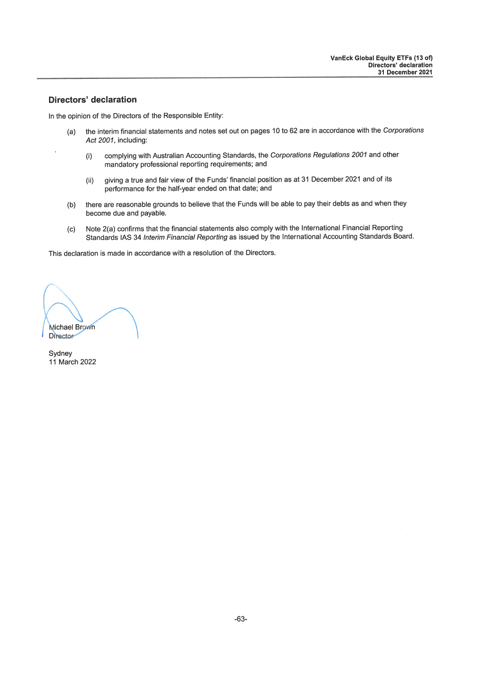#### **Directors' declaration**

In the opinion of the Directors of the Responsible Entity:

- the interim financial statements and notes set out on pages 10 to 62 are in accordance with the Corporations  $(a)$ Act 2001, including:
	- complying with Australian Accounting Standards, the Corporations Regulations 2001 and other  $(i)$ mandatory professional reporting requirements; and
	- giving a true and fair view of the Funds' financial position as at 31 December 2021 and of its  $(i)$ performance for the half-year ended on that date; and
- there are reasonable grounds to believe that the Funds will be able to pay their debts as and when they  $(b)$ become due and payable.
- Note 2(a) confirms that the financial statements also comply with the International Financial Reporting  $(c)$ Standards IAS 34 Interim Financial Reporting as issued by the International Accounting Standards Board.

This declaration is made in accordance with a resolution of the Directors.

Michael Brown Director

Sydney 11 March 2022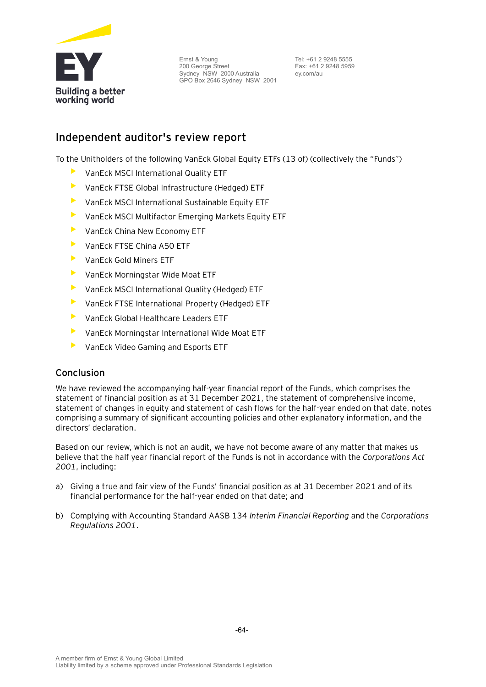

Ernst & Young 200 George Street Sydney NSW 2000 Australia GPO Box 2646 Sydney NSW 2001

Tel: +61 2 9248 5555 Fax: +61 2 9248 5959 ey.com/au

## **Independent auditor's review report**

To the Unitholders of the following VanEck Global Equity ETFs (13 of) (collectively the "Funds")

- VanEck MSCI International Quality ETF
- VanEck FTSE Global Infrastructure (Hedged) ETF
- VanEck MSCI International Sustainable Equity ETF
- VanEck MSCI Multifactor Emerging Markets Equity ETF
- VanEck China New Economy ETF
- VanEck FTSE China A50 ETF
- VanEck Gold Miners ETF
- VanEck Morningstar Wide Moat ETF
- VanEck MSCI International Quality (Hedged) ETF
- VanEck FTSE International Property (Hedged) ETF
- VanEck Global Healthcare Leaders ETF
- VanEck Morningstar International Wide Moat ETF
- VanEck Video Gaming and Esports ETF

### Conclusion

We have reviewed the accompanying half-year financial report of the Funds, which comprises the statement of financial position as at 31 December 2021, the statement of comprehensive income, statement of changes in equity and statement of cash flows for the half-year ended on that date, notes comprising a summary of significant accounting policies and other explanatory information, and the directors' declaration.

Based on our review, which is not an audit, we have not become aware of any matter that makes us believe that the half year financial report of the Funds is not in accordance with the *Corporations Act 2001*, including:

- a) Giving a true and fair view of the Funds' financial position as at 31 December 2021 and of its financial performance for the half-year ended on that date; and
- b) Complying with Accounting Standard AASB 134 *Interim Financial Reporting* and the *Corporations Regulations 2001*.